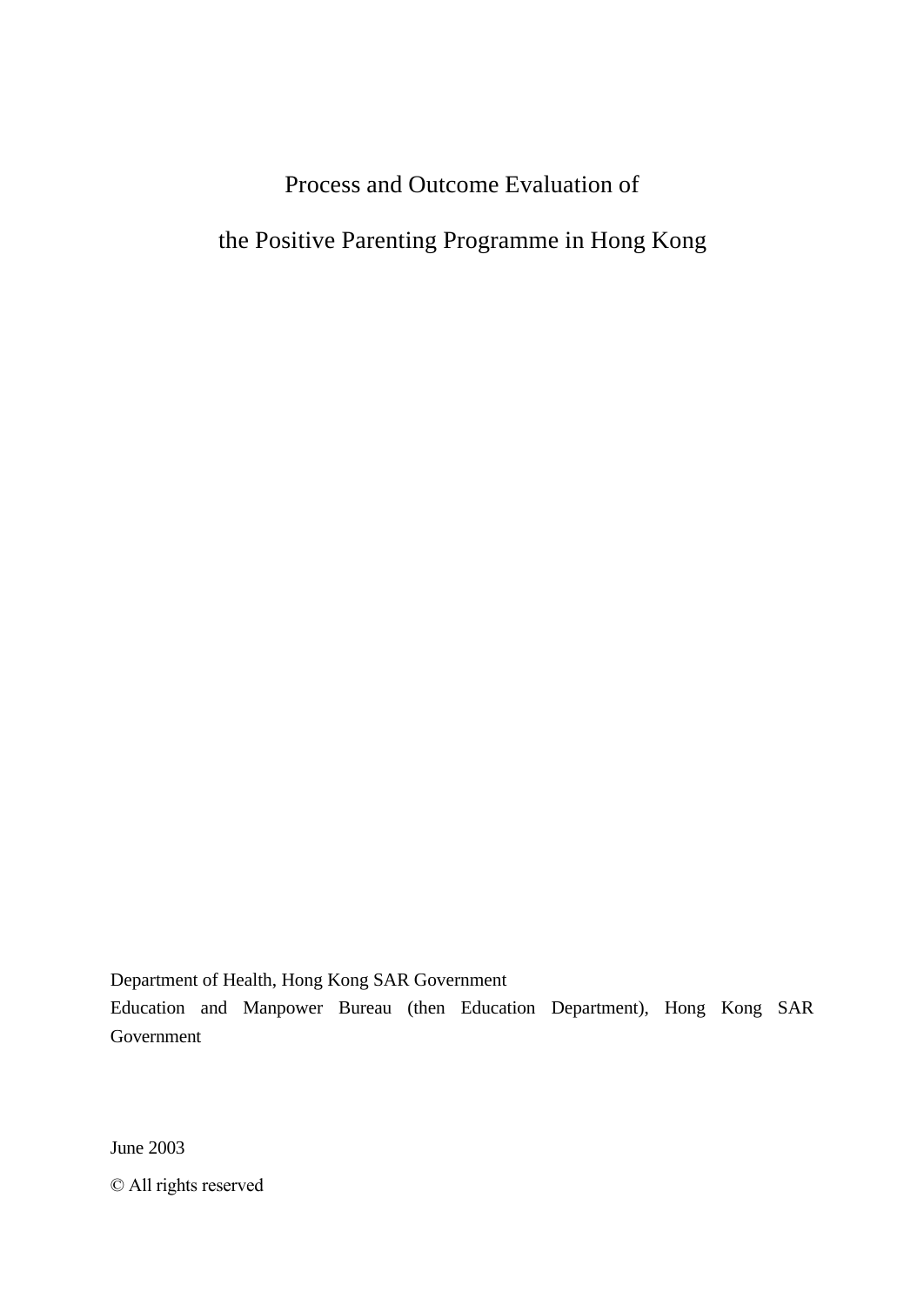# Process and Outcome Evaluation of

the Positive Parenting Programme in Hong Kong

Department of Health, Hong Kong SAR Government

Education and Manpower Bureau (then Education Department), Hong Kong SAR Government

June 2003

© All rights reserved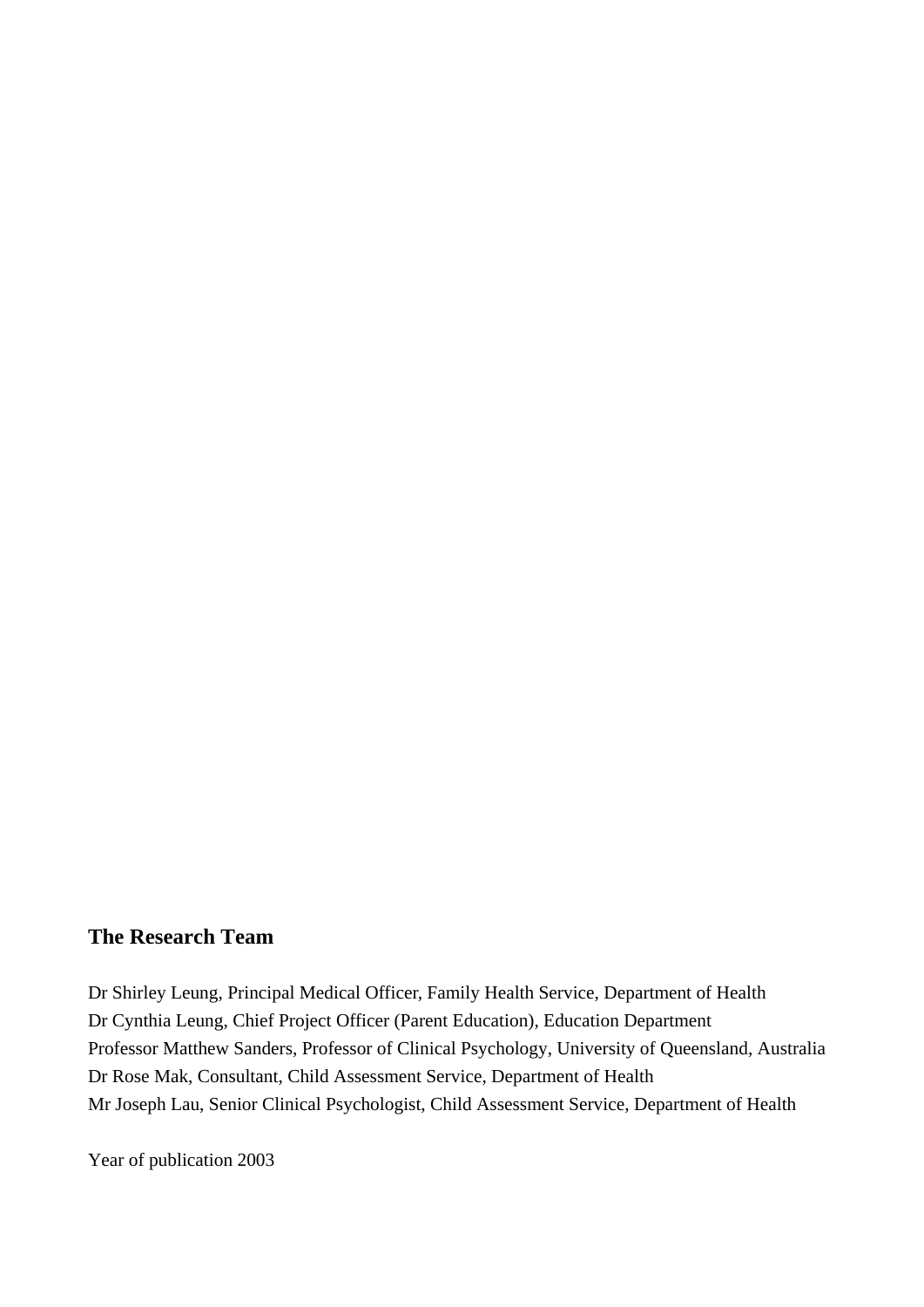## **The Research Team**

Dr Shirley Leung, Principal Medical Officer, Family Health Service, Department of Health Dr Cynthia Leung, Chief Project Officer (Parent Education), Education Department Professor Matthew Sanders, Professor of Clinical Psychology, University of Queensland, Australia Dr Rose Mak, Consultant, Child Assessment Service, Department of Health Mr Joseph Lau, Senior Clinical Psychologist, Child Assessment Service, Department of Health

Year of publication 2003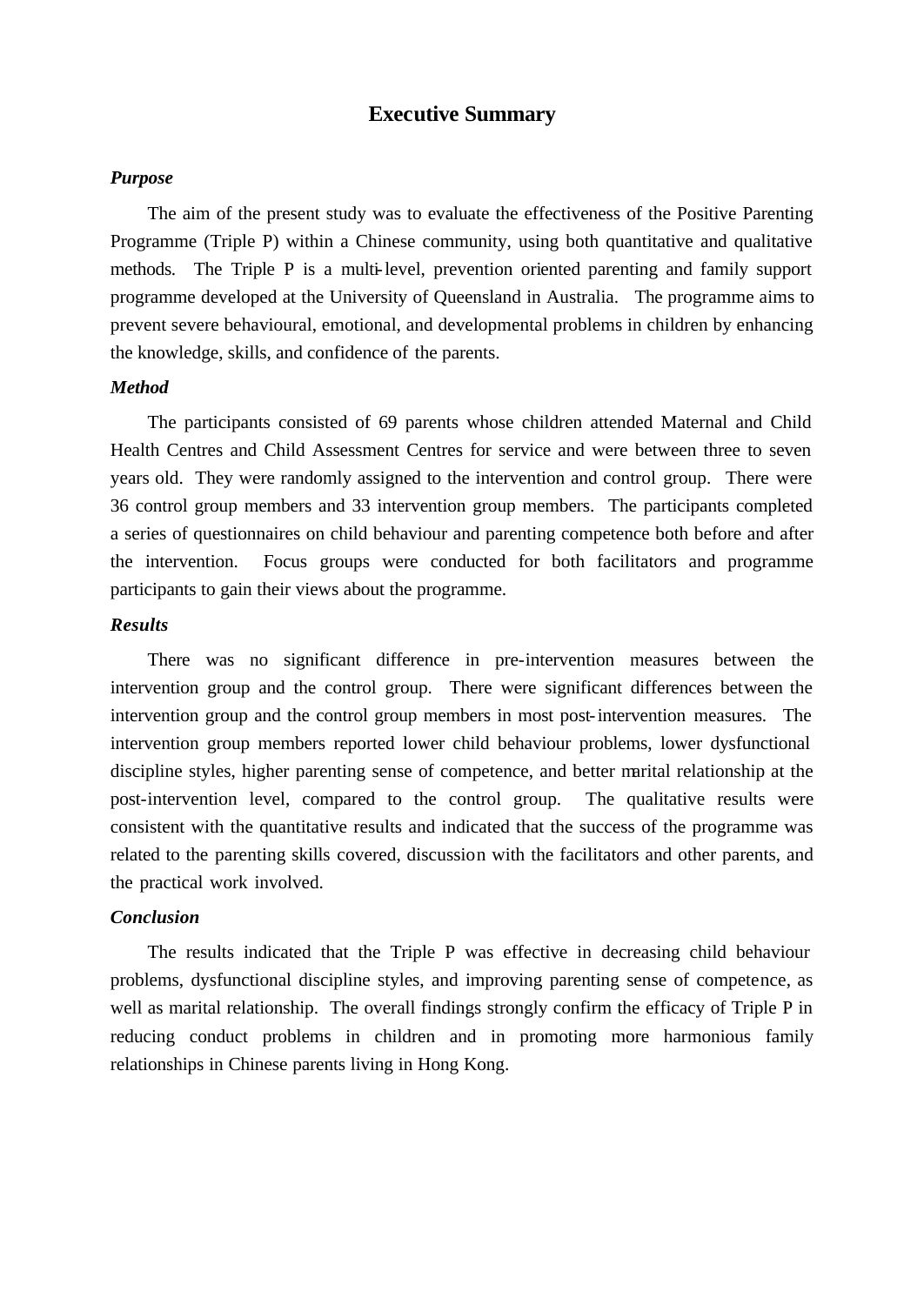## **Executive Summary**

### *Purpose*

The aim of the present study was to evaluate the effectiveness of the Positive Parenting Programme (Triple P) within a Chinese community, using both quantitative and qualitative methods. The Triple P is a multi-level, prevention oriented parenting and family support programme developed at the University of Queensland in Australia. The programme aims to prevent severe behavioural, emotional, and developmental problems in children by enhancing the knowledge, skills, and confidence of the parents.

#### *Method*

The participants consisted of 69 parents whose children attended Maternal and Child Health Centres and Child Assessment Centres for service and were between three to seven years old. They were randomly assigned to the intervention and control group. There were 36 control group members and 33 intervention group members. The participants completed a series of questionnaires on child behaviour and parenting competence both before and after the intervention. Focus groups were conducted for both facilitators and programme participants to gain their views about the programme.

## *Results*

There was no significant difference in pre-intervention measures between the intervention group and the control group. There were significant differences between the intervention group and the control group members in most post-intervention measures. The intervention group members reported lower child behaviour problems, lower dysfunctional discipline styles, higher parenting sense of competence, and better marital relationship at the post-intervention level, compared to the control group. The qualitative results were consistent with the quantitative results and indicated that the success of the programme was related to the parenting skills covered, discussion with the facilitators and other parents, and the practical work involved.

## *Conclusion*

The results indicated that the Triple P was effective in decreasing child behaviour problems, dysfunctional discipline styles, and improving parenting sense of competence, as well as marital relationship. The overall findings strongly confirm the efficacy of Triple P in reducing conduct problems in children and in promoting more harmonious family relationships in Chinese parents living in Hong Kong.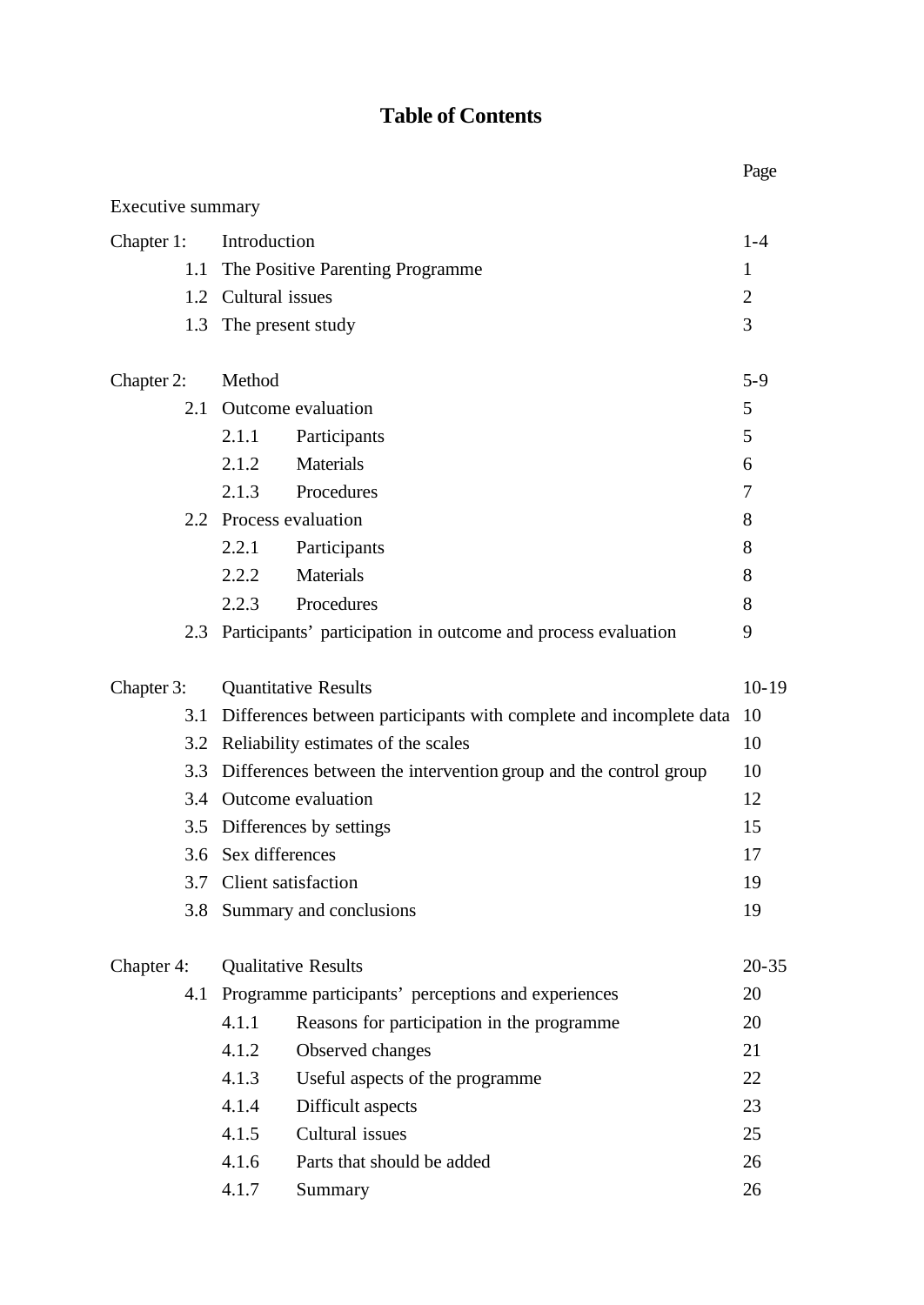# **Table of Contents**

|                   |                     |                                                                    | Page           |  |  |  |
|-------------------|---------------------|--------------------------------------------------------------------|----------------|--|--|--|
| Executive summary |                     |                                                                    |                |  |  |  |
| Chapter 1:        | Introduction        |                                                                    |                |  |  |  |
| 1.1               |                     | The Positive Parenting Programme                                   | 1              |  |  |  |
|                   | 1.2 Cultural issues |                                                                    | $\overline{2}$ |  |  |  |
| 1.3               |                     | The present study                                                  | 3              |  |  |  |
| Chapter 2:        | Method              |                                                                    | $5 - 9$        |  |  |  |
| 2.1               |                     | Outcome evaluation                                                 | 5              |  |  |  |
|                   | 2.1.1               | Participants                                                       | 5              |  |  |  |
|                   | 2.1.2               | Materials                                                          | 6              |  |  |  |
|                   | 2.1.3               | Procedures                                                         | 7              |  |  |  |
|                   |                     | 2.2 Process evaluation                                             | 8              |  |  |  |
|                   | 2.2.1               | Participants                                                       | 8              |  |  |  |
|                   | 2.2.2               | <b>Materials</b>                                                   | 8              |  |  |  |
|                   | 2.2.3               | Procedures                                                         | 8              |  |  |  |
| 2.3               |                     | Participants' participation in outcome and process evaluation      | 9              |  |  |  |
| Chapter 3:        |                     | <b>Quantitative Results</b>                                        | $10-19$        |  |  |  |
| 3.1               |                     | Differences between participants with complete and incomplete data | 10             |  |  |  |
| 3.2               |                     | Reliability estimates of the scales                                | 10             |  |  |  |
| 3.3               |                     | Differences between the intervention group and the control group   | 10             |  |  |  |
|                   |                     | 3.4 Outcome evaluation                                             | 12             |  |  |  |
|                   |                     | 3.5 Differences by settings                                        | 15             |  |  |  |
|                   | 3.6 Sex differences |                                                                    | 17             |  |  |  |
|                   |                     | 3.7 Client satisfaction                                            | 19             |  |  |  |
|                   |                     | 3.8 Summary and conclusions                                        | 19             |  |  |  |
| Chapter 4:        |                     | <b>Qualitative Results</b>                                         | $20 - 35$      |  |  |  |
| 4.1               |                     | Programme participants' perceptions and experiences                | 20             |  |  |  |
|                   | 4.1.1               | Reasons for participation in the programme                         | 20             |  |  |  |
|                   | 4.1.2               | Observed changes                                                   | 21             |  |  |  |
|                   | 4.1.3               | Useful aspects of the programme                                    | 22             |  |  |  |
|                   | 4.1.4               | Difficult aspects                                                  | 23             |  |  |  |
|                   | 4.1.5               | Cultural issues                                                    | 25             |  |  |  |
|                   | 4.1.6               | Parts that should be added                                         | 26             |  |  |  |
|                   | 4.1.7               | Summary                                                            | 26             |  |  |  |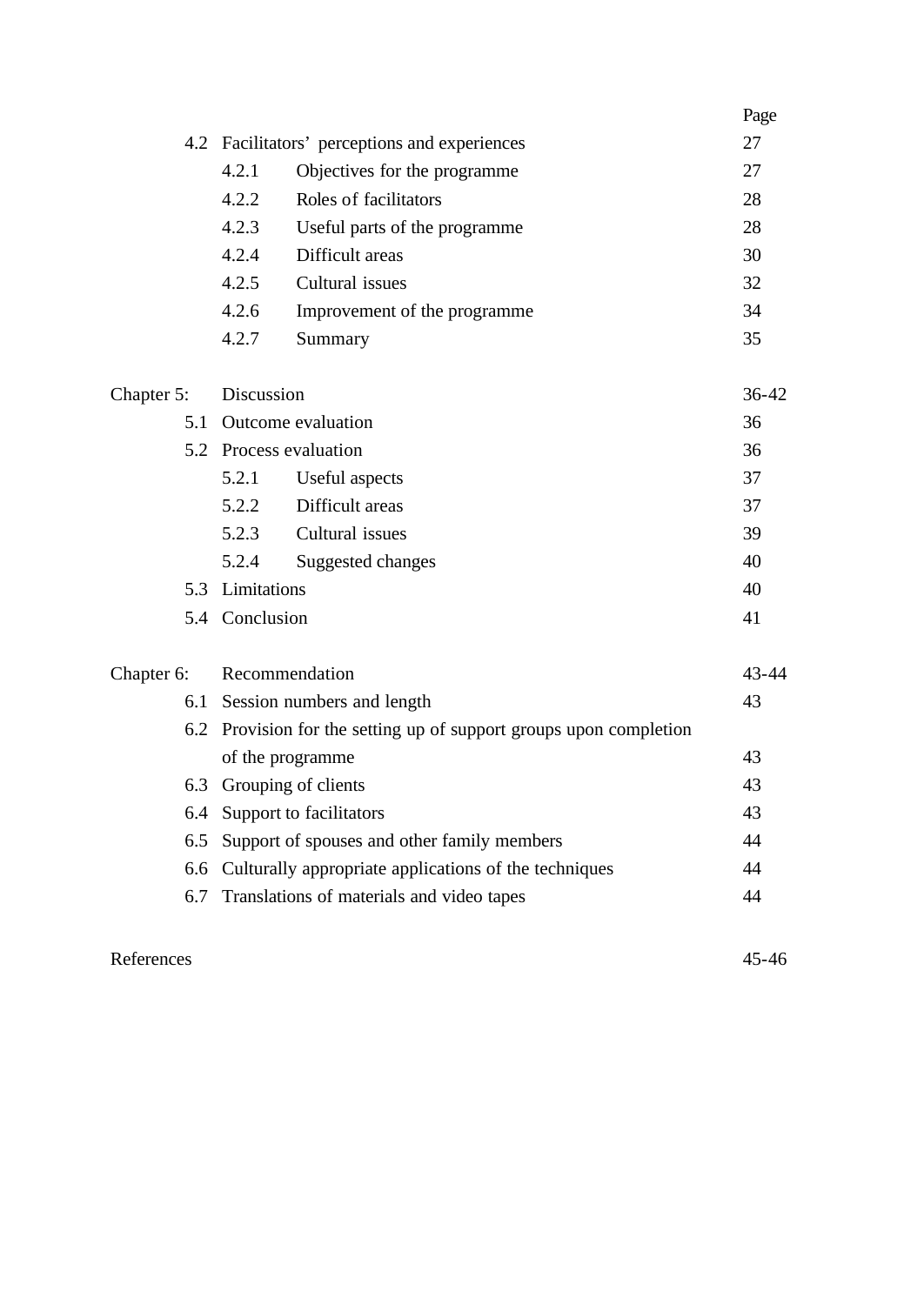|            |     |                                                                    |                                                       | Page      |  |  |
|------------|-----|--------------------------------------------------------------------|-------------------------------------------------------|-----------|--|--|
|            |     |                                                                    | 4.2 Facilitators' perceptions and experiences         | 27        |  |  |
|            |     | 4.2.1                                                              | Objectives for the programme                          | 27        |  |  |
|            |     | 4.2.2                                                              | Roles of facilitators                                 | 28        |  |  |
|            |     | 4.2.3                                                              | Useful parts of the programme                         | 28        |  |  |
|            |     | 4.2.4                                                              | Difficult areas                                       | 30        |  |  |
|            |     | 4.2.5                                                              | Cultural issues                                       | 32        |  |  |
|            |     | 4.2.6                                                              | Improvement of the programme                          | 34        |  |  |
|            |     | 4.2.7                                                              | Summary                                               | 35        |  |  |
| Chapter 5: |     | Discussion                                                         |                                                       | $36 - 42$ |  |  |
|            | 5.1 |                                                                    | Outcome evaluation                                    | 36        |  |  |
|            |     |                                                                    | 5.2 Process evaluation                                | 36        |  |  |
|            |     | 5.2.1                                                              | Useful aspects                                        | 37        |  |  |
|            |     | 5.2.2                                                              | Difficult areas                                       | 37        |  |  |
|            |     | 5.2.3                                                              | Cultural issues                                       | 39        |  |  |
|            |     | 5.2.4                                                              | Suggested changes                                     | 40        |  |  |
|            |     | 5.3 Limitations                                                    |                                                       | 40        |  |  |
|            |     | 5.4 Conclusion                                                     |                                                       |           |  |  |
| Chapter 6: |     |                                                                    | Recommendation                                        | $43 - 44$ |  |  |
|            | 6.1 | Session numbers and length                                         |                                                       |           |  |  |
|            |     | 6.2 Provision for the setting up of support groups upon completion |                                                       |           |  |  |
|            |     |                                                                    | of the programme                                      | 43        |  |  |
|            | 6.3 | Grouping of clients                                                |                                                       |           |  |  |
|            | 6.4 | Support to facilitators                                            |                                                       |           |  |  |
|            | 6.5 |                                                                    | Support of spouses and other family members           | 44        |  |  |
|            | 6.6 |                                                                    | Culturally appropriate applications of the techniques | 44        |  |  |
|            | 6.7 |                                                                    | Translations of materials and video tapes             | 44        |  |  |
|            |     |                                                                    |                                                       |           |  |  |

## References 45-46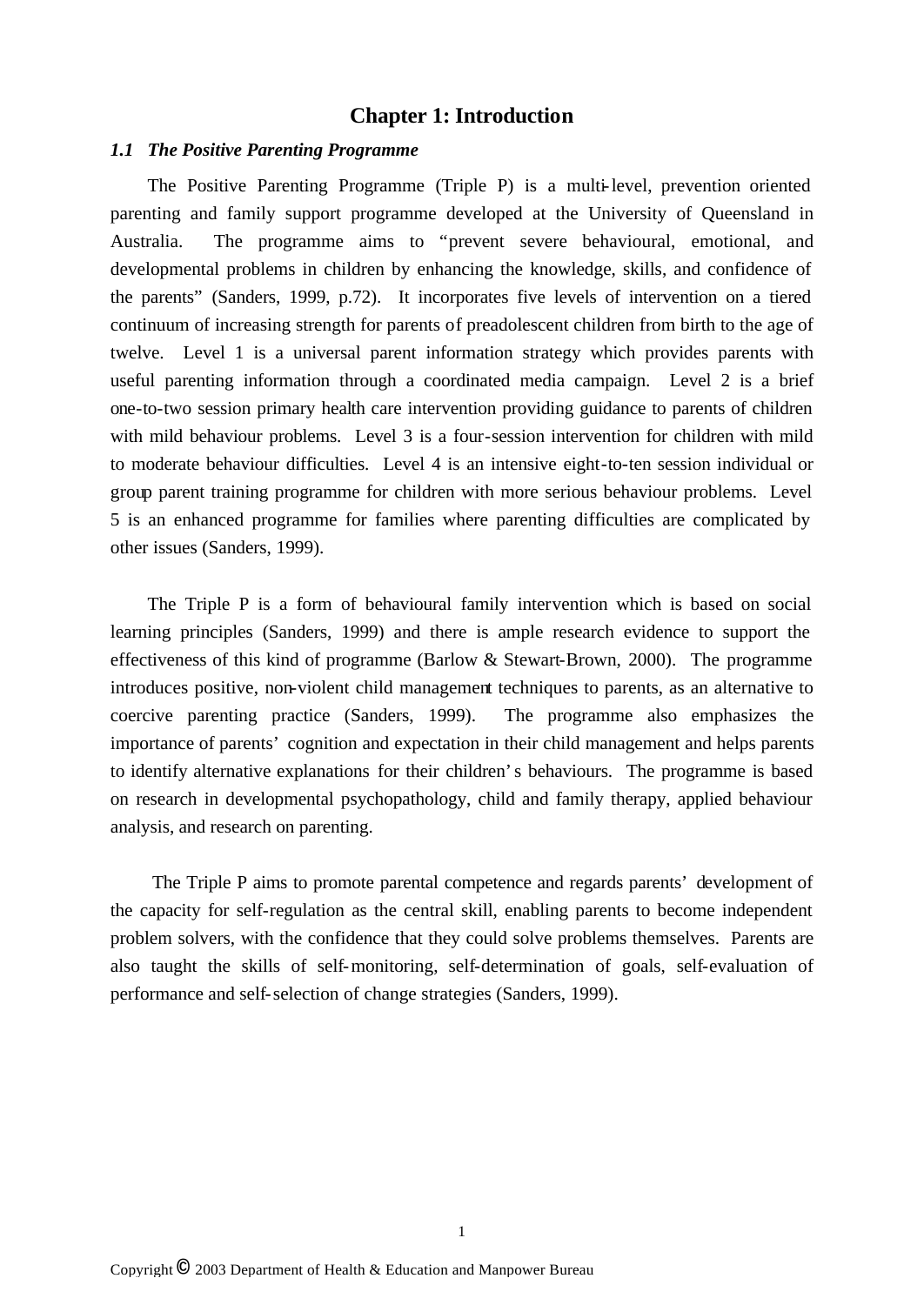## **Chapter 1: Introduction**

#### *1.1 The Positive Parenting Programme*

The Positive Parenting Programme (Triple P) is a multi-level, prevention oriented parenting and family support programme developed at the University of Queensland in Australia. The programme aims to "prevent severe behavioural, emotional, and developmental problems in children by enhancing the knowledge, skills, and confidence of the parents" (Sanders, 1999, p.72). It incorporates five levels of intervention on a tiered continuum of increasing strength for parents of preadolescent children from birth to the age of twelve. Level 1 is a universal parent information strategy which provides parents with useful parenting information through a coordinated media campaign. Level 2 is a brief one-to-two session primary health care intervention providing guidance to parents of children with mild behaviour problems. Level 3 is a four-session intervention for children with mild to moderate behaviour difficulties. Level 4 is an intensive eight-to-ten session individual or group parent training programme for children with more serious behaviour problems. Level 5 is an enhanced programme for families where parenting difficulties are complicated by other issues (Sanders, 1999).

The Triple P is a form of behavioural family intervention which is based on social learning principles (Sanders, 1999) and there is ample research evidence to support the effectiveness of this kind of programme (Barlow & Stewart-Brown, 2000). The programme introduces positive, non-violent child management techniques to parents, as an alternative to coercive parenting practice (Sanders, 1999). The programme also emphasizes the importance of parents' cognition and expectation in their child management and helps parents to identify alternative explanations for their children's behaviours. The programme is based on research in developmental psychopathology, child and family therapy, applied behaviour analysis, and research on parenting.

The Triple P aims to promote parental competence and regards parents' development of the capacity for self-regulation as the central skill, enabling parents to become independent problem solvers, with the confidence that they could solve problems themselves. Parents are also taught the skills of self-monitoring, self-determination of goals, self-evaluation of performance and self-selection of change strategies (Sanders, 1999).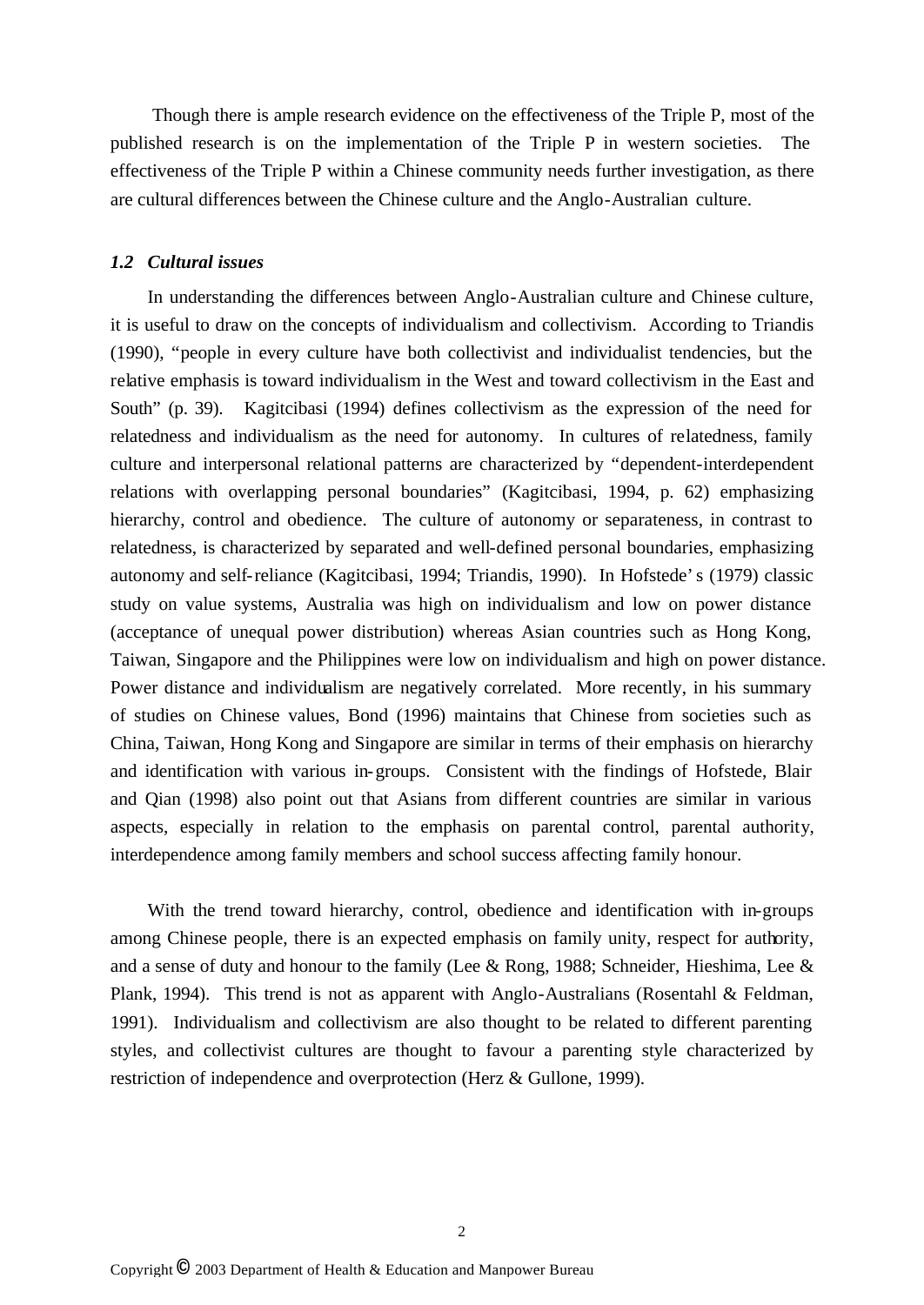Though there is ample research evidence on the effectiveness of the Triple P, most of the published research is on the implementation of the Triple P in western societies. The effectiveness of the Triple P within a Chinese community needs further investigation, as there are cultural differences between the Chinese culture and the Anglo-Australian culture.

## *1.2 Cultural issues*

In understanding the differences between Anglo-Australian culture and Chinese culture, it is useful to draw on the concepts of individualism and collectivism. According to Triandis (1990), "people in every culture have both collectivist and individualist tendencies, but the relative emphasis is toward individualism in the West and toward collectivism in the East and South" (p. 39). Kagitcibasi (1994) defines collectivism as the expression of the need for relatedness and individualism as the need for autonomy. In cultures of relatedness, family culture and interpersonal relational patterns are characterized by "dependent-interdependent relations with overlapping personal boundaries" (Kagitcibasi, 1994, p. 62) emphasizing hierarchy, control and obedience. The culture of autonomy or separateness, in contrast to relatedness, is characterized by separated and well-defined personal boundaries, emphasizing autonomy and self-reliance (Kagitcibasi, 1994; Triandis, 1990). In Hofstede's (1979) classic study on value systems, Australia was high on individualism and low on power distance (acceptance of unequal power distribution) whereas Asian countries such as Hong Kong, Taiwan, Singapore and the Philippines were low on individualism and high on power distance. Power distance and individualism are negatively correlated. More recently, in his summary of studies on Chinese values, Bond (1996) maintains that Chinese from societies such as China, Taiwan, Hong Kong and Singapore are similar in terms of their emphasis on hierarchy and identification with various in-groups. Consistent with the findings of Hofstede, Blair and Qian (1998) also point out that Asians from different countries are similar in various aspects, especially in relation to the emphasis on parental control, parental authority, interdependence among family members and school success affecting family honour.

With the trend toward hierarchy, control, obedience and identification with in-groups among Chinese people, there is an expected emphasis on family unity, respect for authority, and a sense of duty and honour to the family (Lee & Rong, 1988; Schneider, Hieshima, Lee & Plank, 1994). This trend is not as apparent with Anglo-Australians (Rosentahl & Feldman, 1991). Individualism and collectivism are also thought to be related to different parenting styles, and collectivist cultures are thought to favour a parenting style characterized by restriction of independence and overprotection (Herz & Gullone, 1999).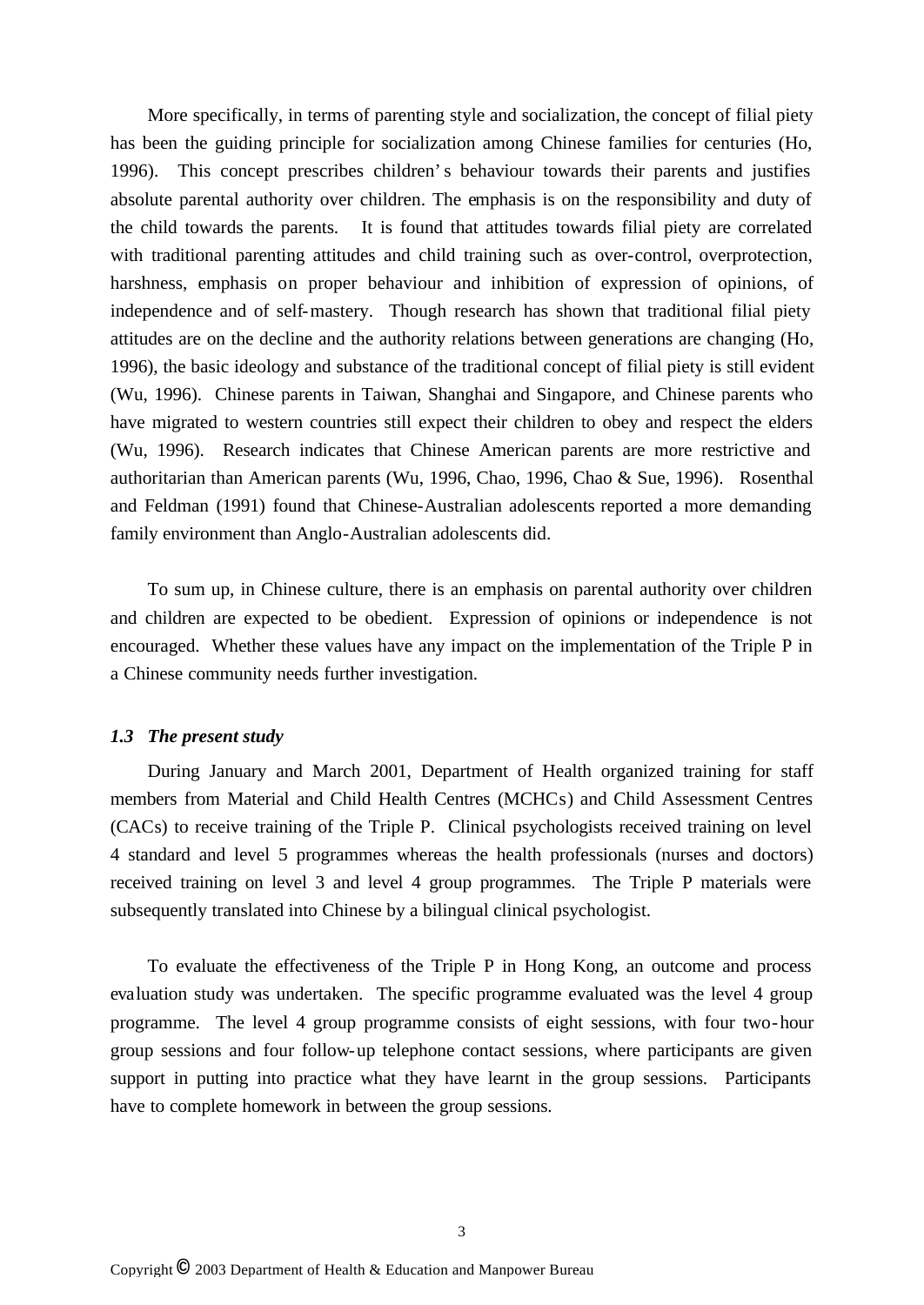More specifically, in terms of parenting style and socialization, the concept of filial piety has been the guiding principle for socialization among Chinese families for centuries (Ho, 1996). This concept prescribes children's behaviour towards their parents and justifies absolute parental authority over children. The emphasis is on the responsibility and duty of the child towards the parents. It is found that attitudes towards filial piety are correlated with traditional parenting attitudes and child training such as over-control, overprotection, harshness, emphasis on proper behaviour and inhibition of expression of opinions, of independence and of self-mastery. Though research has shown that traditional filial piety attitudes are on the decline and the authority relations between generations are changing (Ho, 1996), the basic ideology and substance of the traditional concept of filial piety is still evident (Wu, 1996). Chinese parents in Taiwan, Shanghai and Singapore, and Chinese parents who have migrated to western countries still expect their children to obey and respect the elders (Wu, 1996). Research indicates that Chinese American parents are more restrictive and authoritarian than American parents (Wu, 1996, Chao, 1996, Chao & Sue, 1996). Rosenthal and Feldman (1991) found that Chinese-Australian adolescents reported a more demanding family environment than Anglo-Australian adolescents did.

To sum up, in Chinese culture, there is an emphasis on parental authority over children and children are expected to be obedient. Expression of opinions or independence is not encouraged. Whether these values have any impact on the implementation of the Triple P in a Chinese community needs further investigation.

### *1.3 The present study*

During January and March 2001, Department of Health organized training for staff members from Material and Child Health Centres (MCHCs) and Child Assessment Centres (CACs) to receive training of the Triple P. Clinical psychologists received training on level 4 standard and level 5 programmes whereas the health professionals (nurses and doctors) received training on level 3 and level 4 group programmes. The Triple P materials were subsequently translated into Chinese by a bilingual clinical psychologist.

To evaluate the effectiveness of the Triple P in Hong Kong, an outcome and process evaluation study was undertaken. The specific programme evaluated was the level 4 group programme. The level 4 group programme consists of eight sessions, with four two-hour group sessions and four follow-up telephone contact sessions, where participants are given support in putting into practice what they have learnt in the group sessions. Participants have to complete homework in between the group sessions.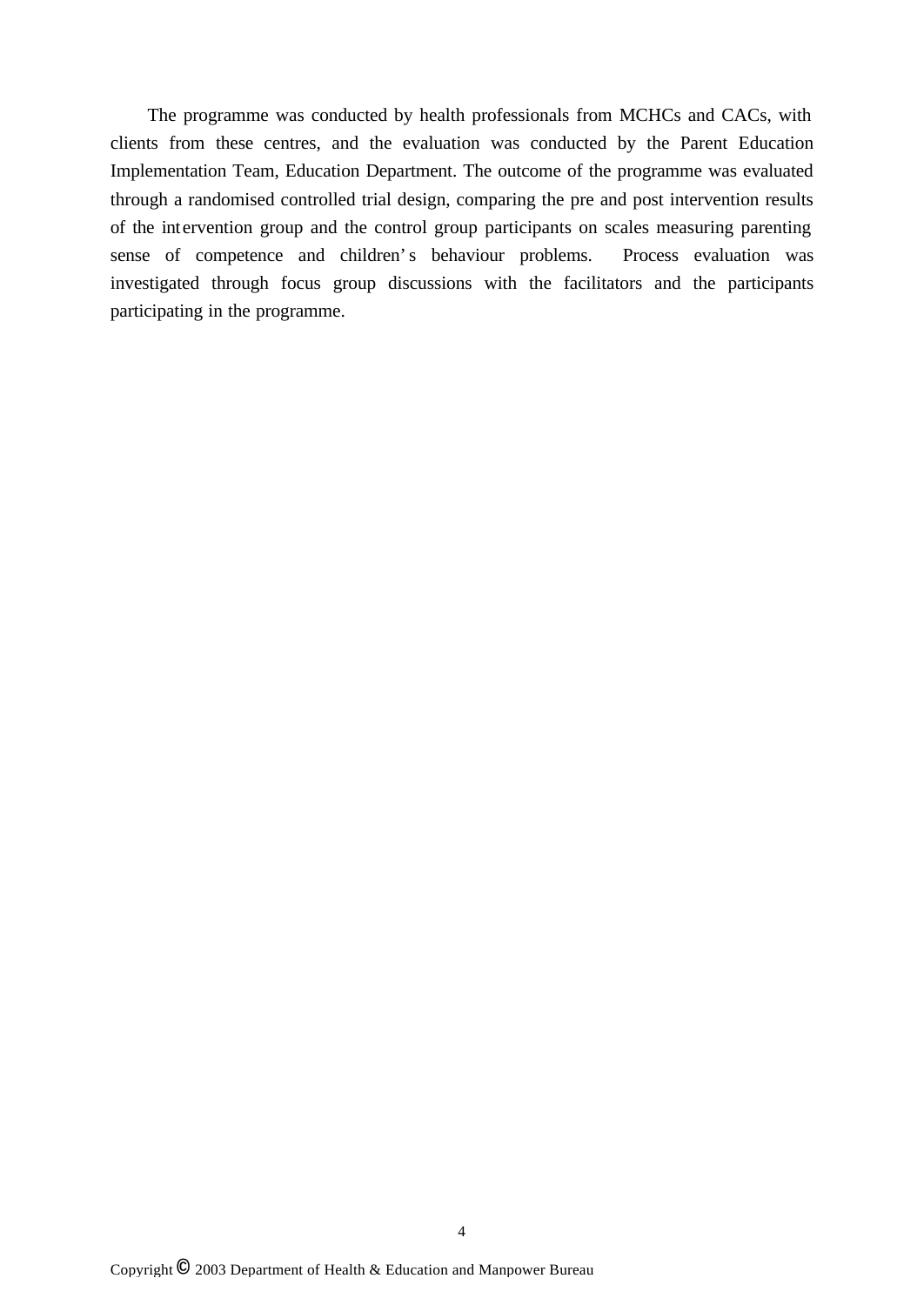The programme was conducted by health professionals from MCHCs and CACs, with clients from these centres, and the evaluation was conducted by the Parent Education Implementation Team, Education Department. The outcome of the programme was evaluated through a randomised controlled trial design, comparing the pre and post intervention results of the intervention group and the control group participants on scales measuring parenting sense of competence and children's behaviour problems. Process evaluation was investigated through focus group discussions with the facilitators and the participants participating in the programme.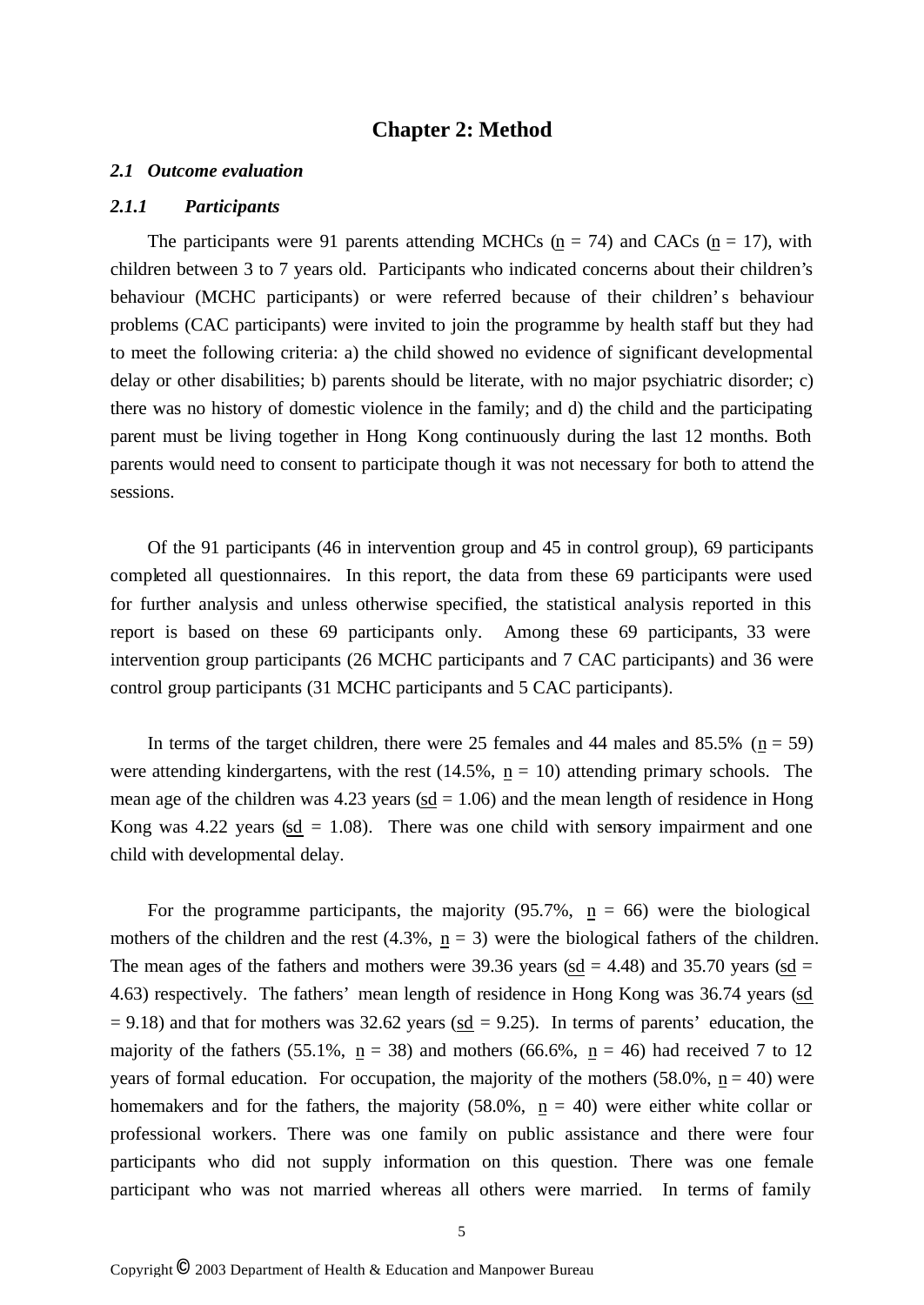## **Chapter 2: Method**

#### *2.1 Outcome evaluation*

#### *2.1.1 Participants*

The participants were 91 parents attending MCHCs ( $n = 74$ ) and CACs ( $n = 17$ ), with children between 3 to 7 years old. Participants who indicated concerns about their children's behaviour (MCHC participants) or were referred because of their children's behaviour problems (CAC participants) were invited to join the programme by health staff but they had to meet the following criteria: a) the child showed no evidence of significant developmental delay or other disabilities; b) parents should be literate, with no major psychiatric disorder; c) there was no history of domestic violence in the family; and d) the child and the participating parent must be living together in Hong Kong continuously during the last 12 months. Both parents would need to consent to participate though it was not necessary for both to attend the sessions.

Of the 91 participants (46 in intervention group and 45 in control group), 69 participants completed all questionnaires. In this report, the data from these 69 participants were used for further analysis and unless otherwise specified, the statistical analysis reported in this report is based on these 69 participants only. Among these 69 participants, 33 were intervention group participants (26 MCHC participants and 7 CAC participants) and 36 were control group participants (31 MCHC participants and 5 CAC participants).

In terms of the target children, there were 25 females and 44 males and 85.5% ( $n = 59$ ) were attending kindergartens, with the rest  $(14.5\% , n = 10)$  attending primary schools. The mean age of the children was  $4.23$  years (sd = 1.06) and the mean length of residence in Hong Kong was 4.22 years (sd  $= 1.08$ ). There was one child with sensory impairment and one child with developmental delay.

For the programme participants, the majority  $(95.7\% , n = 66)$  were the biological mothers of the children and the rest (4.3%,  $\underline{n} = 3$ ) were the biological fathers of the children. The mean ages of the fathers and mothers were 39.36 years (sd = 4.48) and 35.70 years (sd = 4.63) respectively. The fathers' mean length of residence in Hong Kong was 36.74 years (sd  $= 9.18$ ) and that for mothers was 32.62 years ( $\underline{sd} = 9.25$ ). In terms of parents' education, the majority of the fathers (55.1%,  $n = 38$ ) and mothers (66.6%,  $n = 46$ ) had received 7 to 12 years of formal education. For occupation, the majority of the mothers  $(58.0\% , n = 40)$  were homemakers and for the fathers, the majority (58.0%,  $n = 40$ ) were either white collar or professional workers. There was one family on public assistance and there were four participants who did not supply information on this question. There was one female participant who was not married whereas all others were married. In terms of family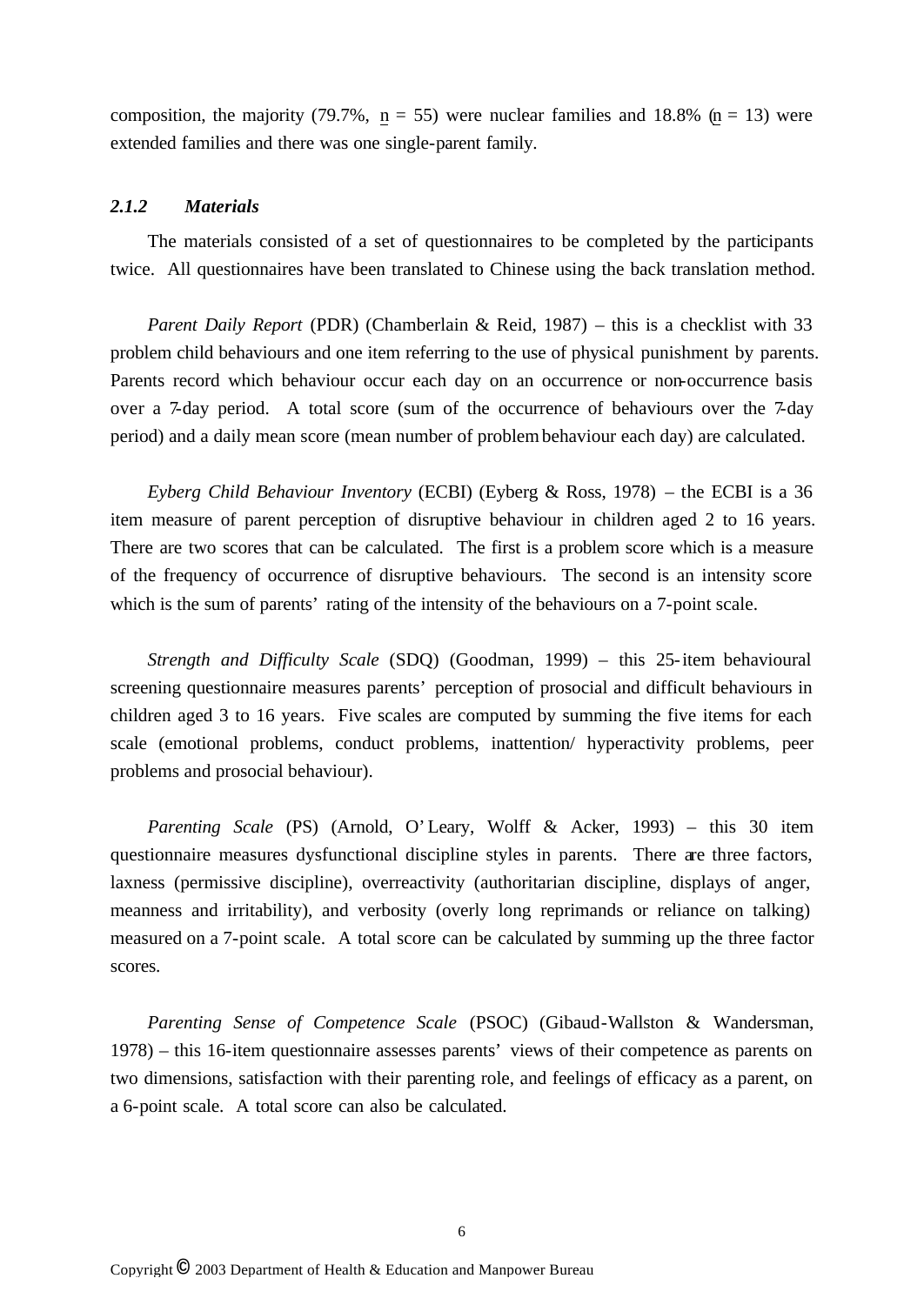composition, the majority (79.7%,  $n = 55$ ) were nuclear families and 18.8% ( $n = 13$ ) were extended families and there was one single-parent family.

### *2.1.2 Materials*

The materials consisted of a set of questionnaires to be completed by the participants twice. All questionnaires have been translated to Chinese using the back translation method.

*Parent Daily Report* (PDR) (Chamberlain & Reid, 1987) – this is a checklist with 33 problem child behaviours and one item referring to the use of physical punishment by parents. Parents record which behaviour occur each day on an occurrence or non-occurrence basis over a 7-day period. A total score (sum of the occurrence of behaviours over the 7-day period) and a daily mean score (mean number of problem behaviour each day) are calculated.

*Eyberg Child Behaviour Inventory* (ECBI) (Eyberg & Ross, 1978) – the ECBI is a 36 item measure of parent perception of disruptive behaviour in children aged 2 to 16 years. There are two scores that can be calculated. The first is a problem score which is a measure of the frequency of occurrence of disruptive behaviours. The second is an intensity score which is the sum of parents' rating of the intensity of the behaviours on a 7-point scale.

*Strength and Difficulty Scale* (SDQ) (Goodman, 1999) – this 25-item behavioural screening questionnaire measures parents' perception of prosocial and difficult behaviours in children aged 3 to 16 years. Five scales are computed by summing the five items for each scale (emotional problems, conduct problems, inattention/ hyperactivity problems, peer problems and prosocial behaviour).

*Parenting Scale* (PS) (Arnold, O'Leary, Wolff & Acker, 1993) – this 30 item questionnaire measures dysfunctional discipline styles in parents. There are three factors, laxness (permissive discipline), overreactivity (authoritarian discipline, displays of anger, meanness and irritability), and verbosity (overly long reprimands or reliance on talking) measured on a 7-point scale. A total score can be calculated by summing up the three factor scores.

*Parenting Sense of Competence Scale* (PSOC) (Gibaud-Wallston & Wandersman, 1978) – this 16-item questionnaire assesses parents' views of their competence as parents on two dimensions, satisfaction with their parenting role, and feelings of efficacy as a parent, on a 6-point scale. A total score can also be calculated.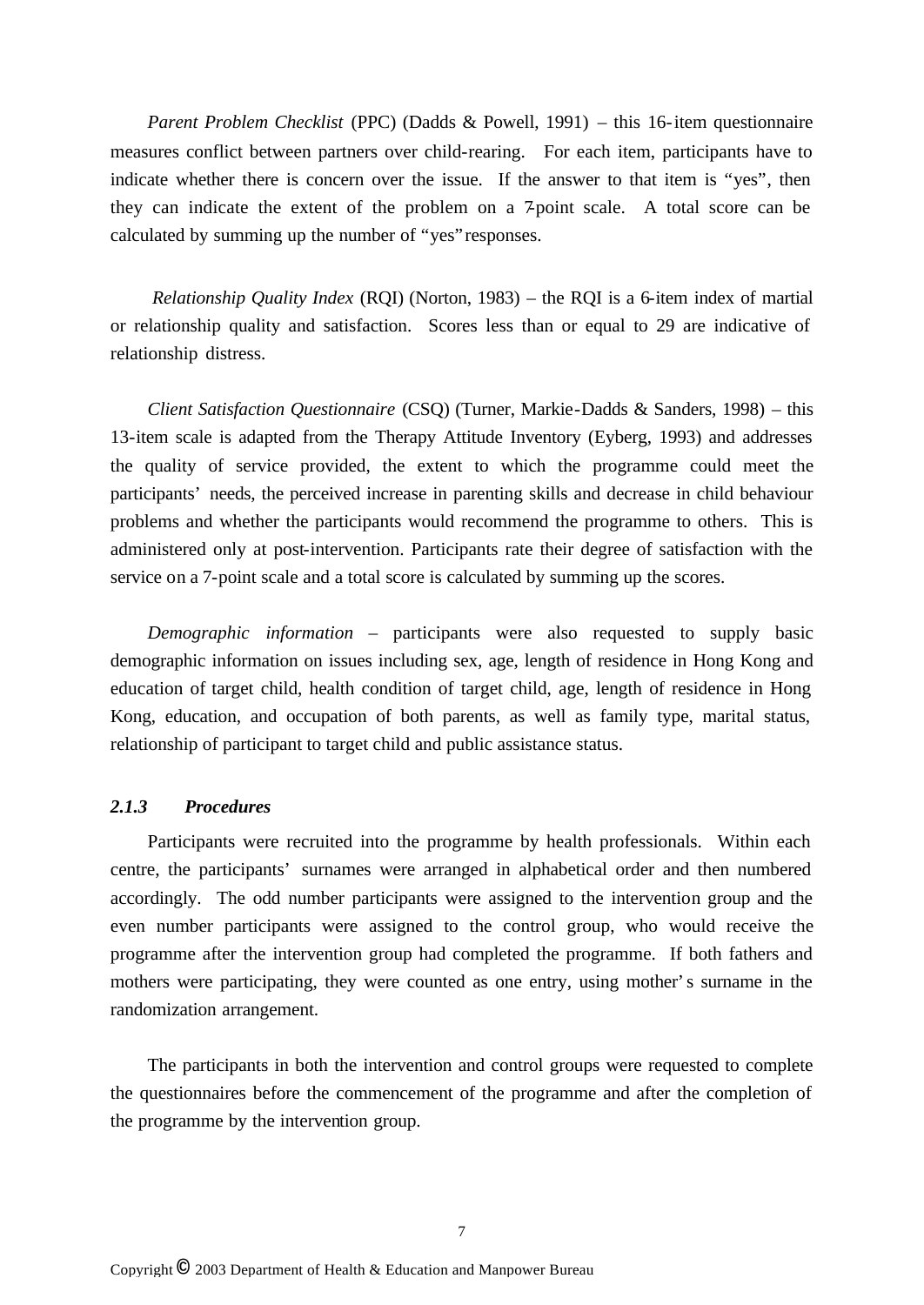*Parent Problem Checklist* (PPC) (Dadds & Powell, 1991) – this 16-item questionnaire measures conflict between partners over child-rearing. For each item, participants have to indicate whether there is concern over the issue. If the answer to that item is "yes", then they can indicate the extent of the problem on a 7-point scale. A total score can be calculated by summing up the number of "yes" responses.

*Relationship Quality Index* (RQI) (Norton, 1983) – the RQI is a 6-item index of martial or relationship quality and satisfaction. Scores less than or equal to 29 are indicative of relationship distress.

*Client Satisfaction Questionnaire* (CSQ) (Turner, Markie-Dadds & Sanders, 1998) – this 13-item scale is adapted from the Therapy Attitude Inventory (Eyberg, 1993) and addresses the quality of service provided, the extent to which the programme could meet the participants' needs, the perceived increase in parenting skills and decrease in child behaviour problems and whether the participants would recommend the programme to others. This is administered only at post-intervention. Participants rate their degree of satisfaction with the service on a 7-point scale and a total score is calculated by summing up the scores.

*Demographic information* – participants were also requested to supply basic demographic information on issues including sex, age, length of residence in Hong Kong and education of target child, health condition of target child, age, length of residence in Hong Kong, education, and occupation of both parents, as well as family type, marital status, relationship of participant to target child and public assistance status.

## *2.1.3 Procedures*

Participants were recruited into the programme by health professionals. Within each centre, the participants' surnames were arranged in alphabetical order and then numbered accordingly. The odd number participants were assigned to the intervention group and the even number participants were assigned to the control group, who would receive the programme after the intervention group had completed the programme. If both fathers and mothers were participating, they were counted as one entry, using mother's surname in the randomization arrangement.

The participants in both the intervention and control groups were requested to complete the questionnaires before the commencement of the programme and after the completion of the programme by the intervention group.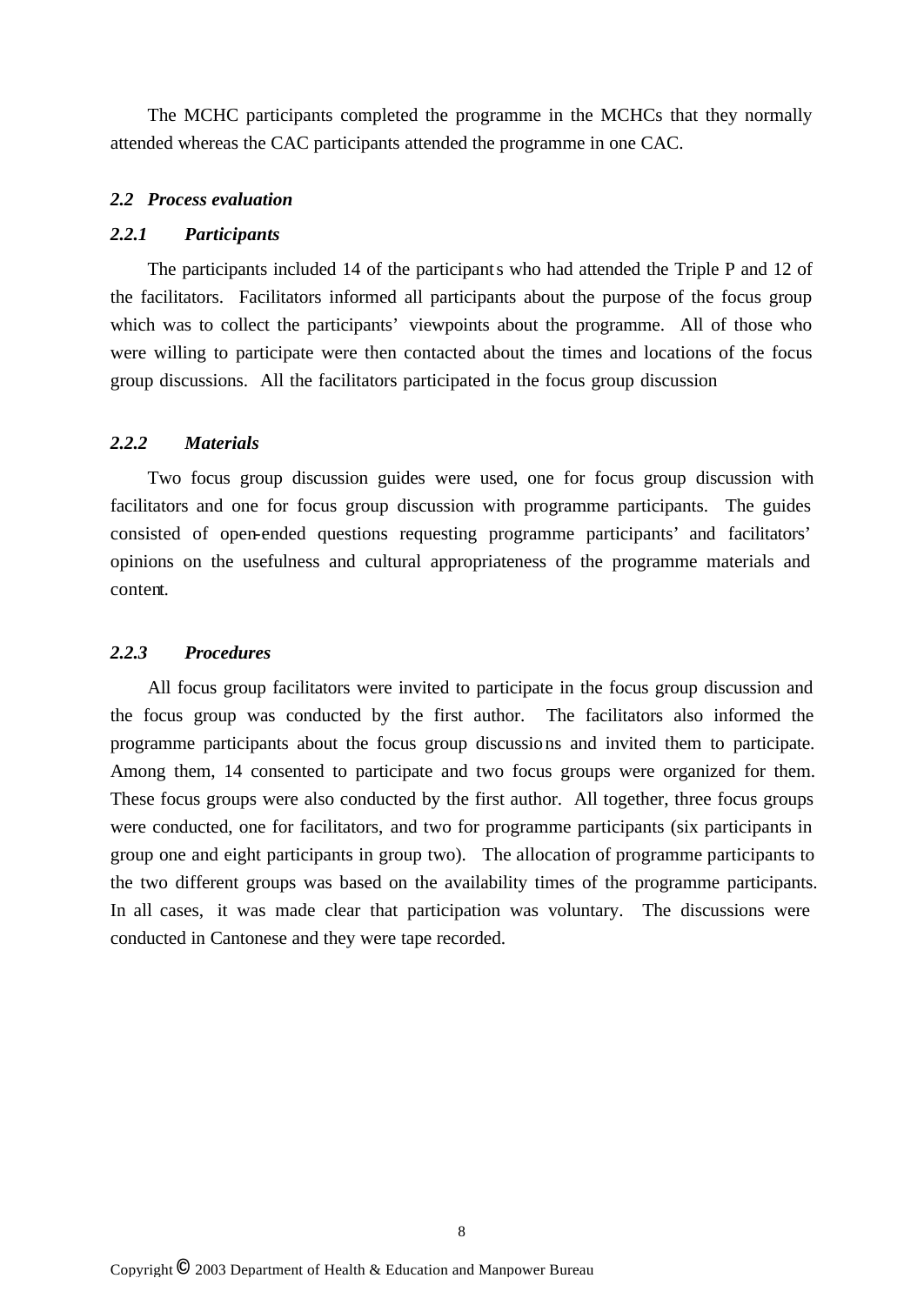The MCHC participants completed the programme in the MCHCs that they normally attended whereas the CAC participants attended the programme in one CAC.

### *2.2 Process evaluation*

## *2.2.1 Participants*

The participants included 14 of the participants who had attended the Triple P and 12 of the facilitators. Facilitators informed all participants about the purpose of the focus group which was to collect the participants' viewpoints about the programme. All of those who were willing to participate were then contacted about the times and locations of the focus group discussions. All the facilitators participated in the focus group discussion

## *2.2.2 Materials*

Two focus group discussion guides were used, one for focus group discussion with facilitators and one for focus group discussion with programme participants. The guides consisted of open-ended questions requesting programme participants' and facilitators' opinions on the usefulness and cultural appropriateness of the programme materials and content.

## *2.2.3 Procedures*

All focus group facilitators were invited to participate in the focus group discussion and the focus group was conducted by the first author. The facilitators also informed the programme participants about the focus group discussions and invited them to participate. Among them, 14 consented to participate and two focus groups were organized for them. These focus groups were also conducted by the first author. All together, three focus groups were conducted, one for facilitators, and two for programme participants (six participants in group one and eight participants in group two). The allocation of programme participants to the two different groups was based on the availability times of the programme participants. In all cases, it was made clear that participation was voluntary. The discussions were conducted in Cantonese and they were tape recorded.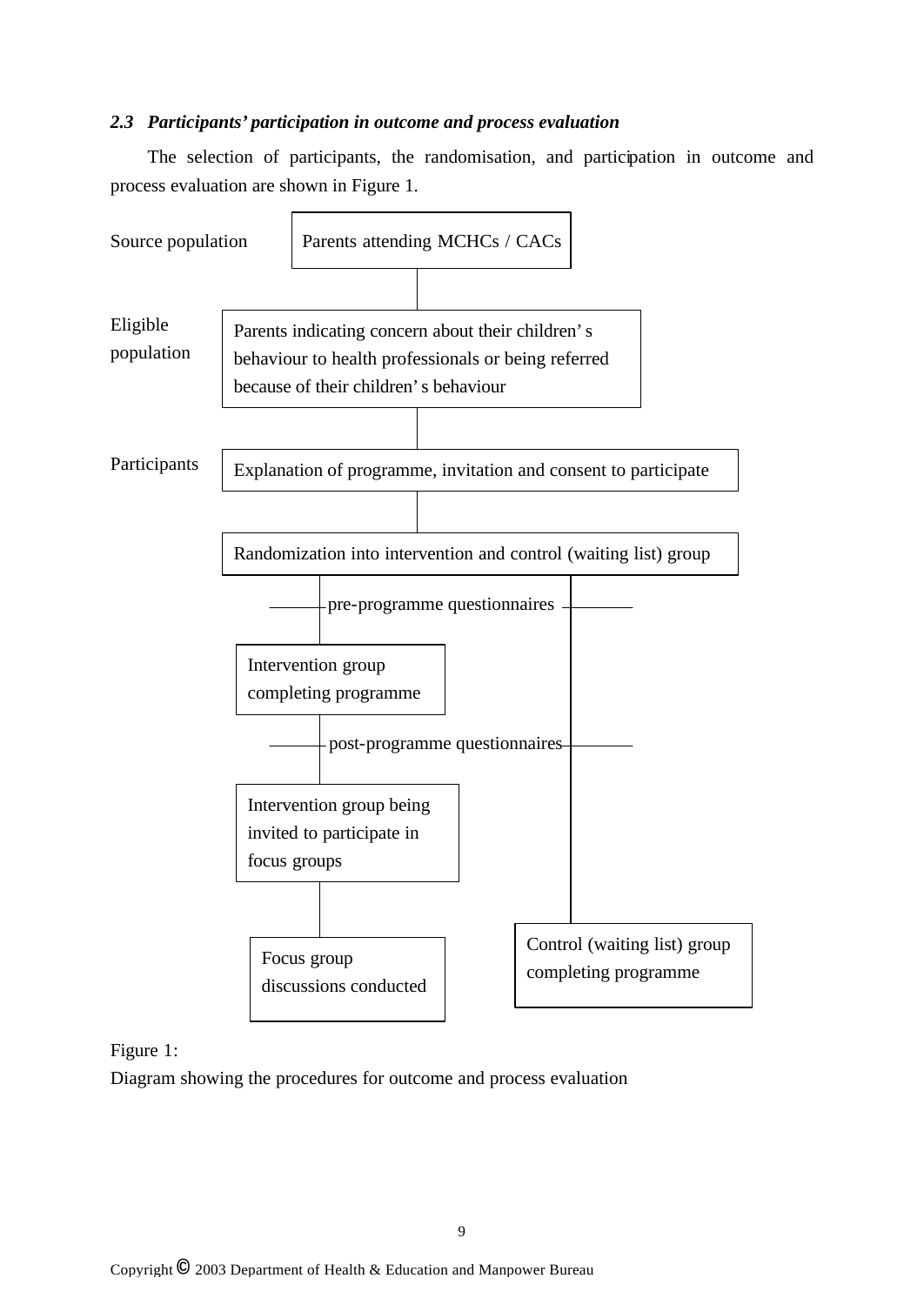## *2.3 Participants' participation in outcome and process evaluation*

The selection of participants, the randomisation, and participation in outcome and process evaluation are shown in Figure 1.



Figure 1:

Diagram showing the procedures for outcome and process evaluation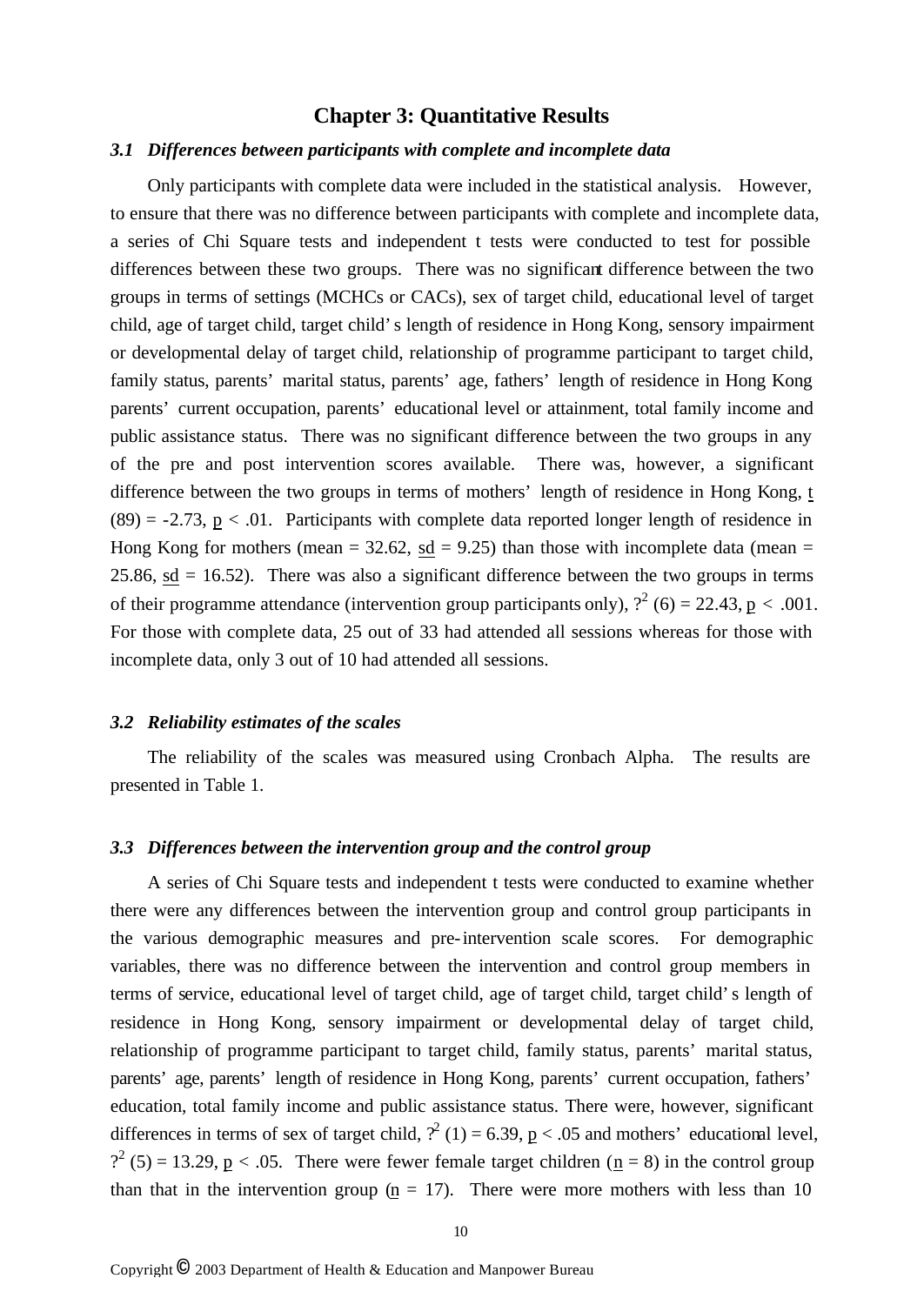## **Chapter 3: Quantitative Results**

#### *3.1 Differences between participants with complete and incomplete data*

Only participants with complete data were included in the statistical analysis. However, to ensure that there was no difference between participants with complete and incomplete data, a series of Chi Square tests and independent t tests were conducted to test for possible differences between these two groups. There was no significant difference between the two groups in terms of settings (MCHCs or CACs), sex of target child, educational level of target child, age of target child, target child's length of residence in Hong Kong, sensory impairment or developmental delay of target child, relationship of programme participant to target child, family status, parents' marital status, parents' age, fathers' length of residence in Hong Kong parents' current occupation, parents' educational level or attainment, total family income and public assistance status. There was no significant difference between the two groups in any of the pre and post intervention scores available. There was, however, a significant difference between the two groups in terms of mothers' length of residence in Hong Kong, t  $(89) = -2.73$ ,  $p < .01$ . Participants with complete data reported longer length of residence in Hong Kong for mothers (mean  $= 32.62$ , sd  $= 9.25$ ) than those with incomplete data (mean  $=$ 25.86,  $sd = 16.52$ ). There was also a significant difference between the two groups in terms of their programme attendance (intervention group participants only),  $?^{2}$  (6) = 22.43, p < .001. For those with complete data, 25 out of 33 had attended all sessions whereas for those with incomplete data, only 3 out of 10 had attended all sessions.

#### *3.2 Reliability estimates of the scales*

The reliability of the scales was measured using Cronbach Alpha. The results are presented in Table 1.

#### *3.3 Differences between the intervention group and the control group*

A series of Chi Square tests and independent t tests were conducted to examine whether there were any differences between the intervention group and control group participants in the various demographic measures and pre-intervention scale scores. For demographic variables, there was no difference between the intervention and control group members in terms of service, educational level of target child, age of target child, target child's length of residence in Hong Kong, sensory impairment or developmental delay of target child, relationship of programme participant to target child, family status, parents' marital status, parents' age, parents' length of residence in Hong Kong, parents' current occupation, fathers' education, total family income and public assistance status. There were, however, significant differences in terms of sex of target child,  $\binom{2}{1} = 6.39$ ,  $\underline{p} < .05$  and mothers' educational level,  $?^{2}$  (5) = 13.29, <u>p</u> < .05. There were fewer female target children ( $\underline{n}$  = 8) in the control group than that in the intervention group  $(p = 17)$ . There were more mothers with less than 10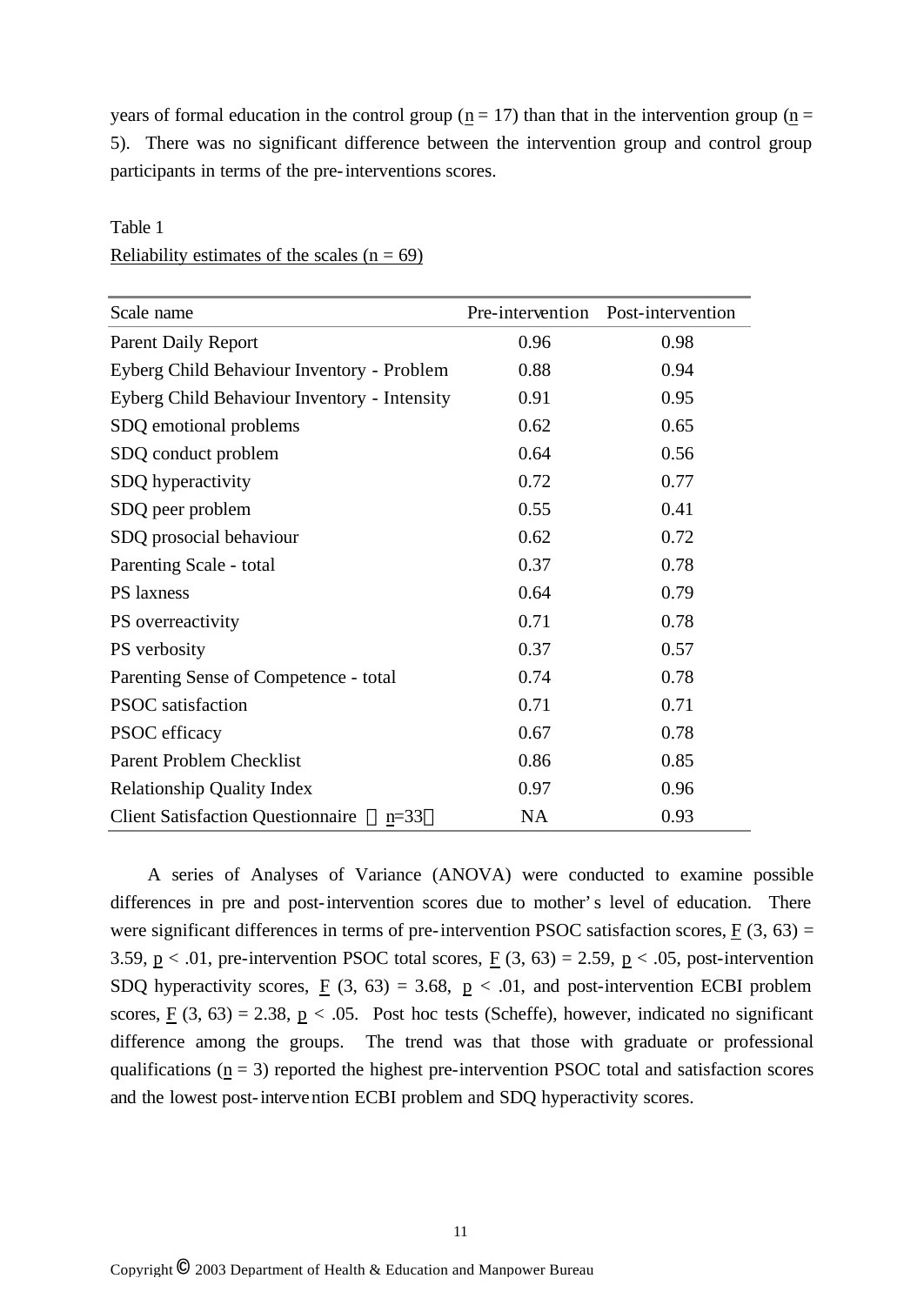years of formal education in the control group ( $n = 17$ ) than that in the intervention group ( $n =$ 5). There was no significant difference between the intervention group and control group participants in terms of the pre-interventions scores.

| Scale name                                         | Pre-intervention | Post-intervention |
|----------------------------------------------------|------------------|-------------------|
| <b>Parent Daily Report</b>                         | 0.96             | 0.98              |
| Eyberg Child Behaviour Inventory - Problem         | 0.88             | 0.94              |
| Eyberg Child Behaviour Inventory - Intensity       | 0.91             | 0.95              |
| SDQ emotional problems                             | 0.62             | 0.65              |
| SDQ conduct problem                                | 0.64             | 0.56              |
| SDQ hyperactivity                                  | 0.72             | 0.77              |
| SDQ peer problem                                   | 0.55             | 0.41              |
| SDQ prosocial behaviour                            | 0.62             | 0.72              |
| Parenting Scale - total                            | 0.37             | 0.78              |
| <b>PS</b> laxness                                  | 0.64             | 0.79              |
| PS overreactivity                                  | 0.71             | 0.78              |
| PS verbosity                                       | 0.37             | 0.57              |
| Parenting Sense of Competence - total              | 0.74             | 0.78              |
| <b>PSOC</b> satisfaction                           | 0.71             | 0.71              |
| PSOC efficacy                                      | 0.67             | 0.78              |
| <b>Parent Problem Checklist</b>                    | 0.86             | 0.85              |
| <b>Relationship Quality Index</b>                  | 0.97             | 0.96              |
| <b>Client Satisfaction Questionnaire</b><br>$n=33$ | <b>NA</b>        | 0.93              |

## Table 1 Reliability estimates of the scales  $(n = 69)$

A series of Analyses of Variance (ANOVA) were conducted to examine possible differences in pre and post-intervention scores due to mother's level of education. There were significant differences in terms of pre-intervention PSOC satisfaction scores,  $F(3, 63) =$ 3.59,  $p < .01$ , pre-intervention PSOC total scores,  $F(3, 63) = 2.59$ ,  $p < .05$ , post-intervention SDQ hyperactivity scores,  $\underline{F}$  (3, 63) = 3.68,  $\underline{p}$  < .01, and post-intervention ECBI problem scores,  $\underline{F}(3, 63) = 2.38$ ,  $\underline{p} < .05$ . Post hoc tests (Scheffe), however, indicated no significant difference among the groups. The trend was that those with graduate or professional qualifications  $(n = 3)$  reported the highest pre-intervention PSOC total and satisfaction scores and the lowest post-intervention ECBI problem and SDQ hyperactivity scores.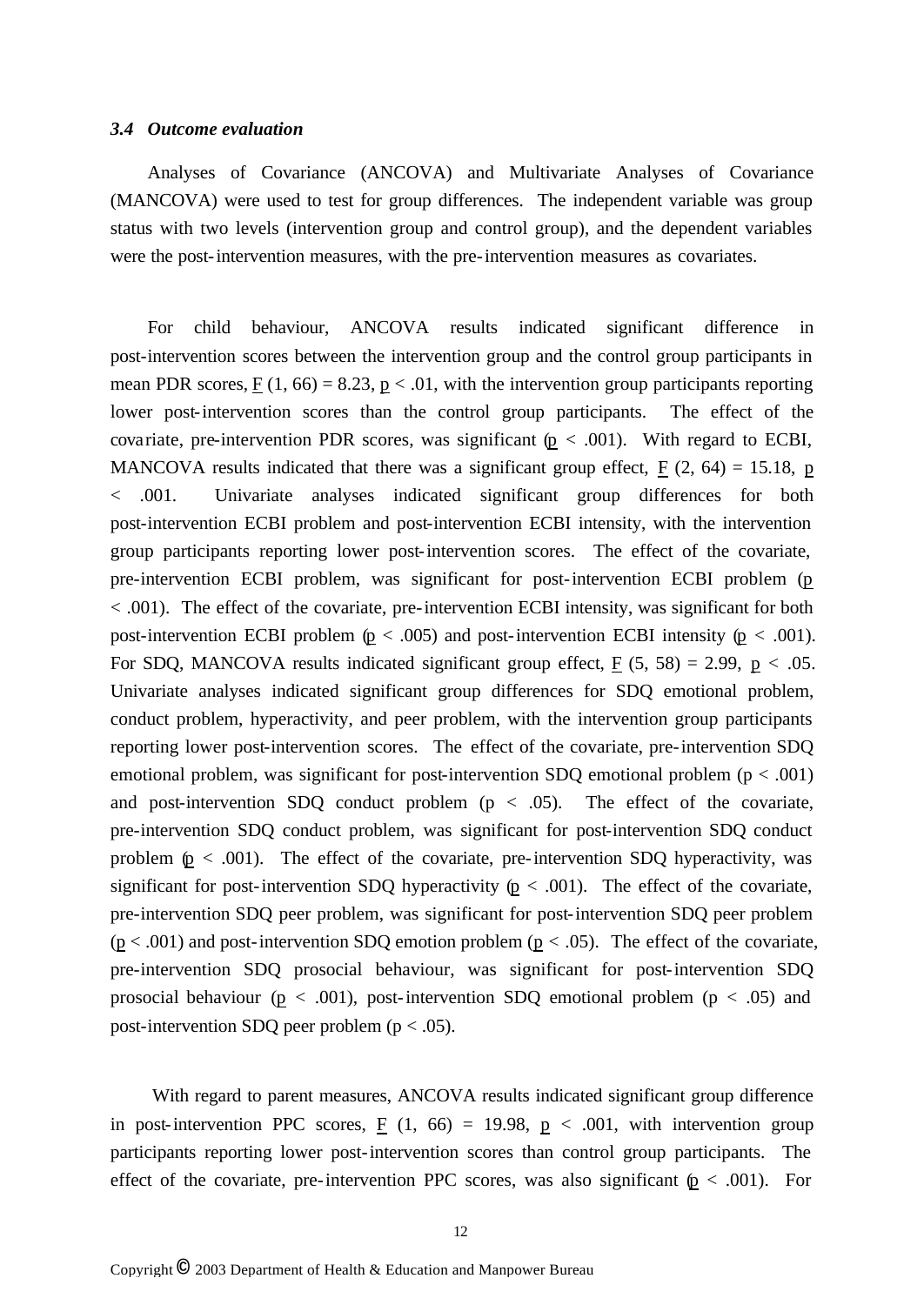#### *3.4 Outcome evaluation*

Analyses of Covariance (ANCOVA) and Multivariate Analyses of Covariance (MANCOVA) were used to test for group differences. The independent variable was group status with two levels (intervention group and control group), and the dependent variables were the post-intervention measures, with the pre-intervention measures as covariates.

For child behaviour, ANCOVA results indicated significant difference in post-intervention scores between the intervention group and the control group participants in mean PDR scores,  $F(1, 66) = 8.23$ ,  $p < .01$ , with the intervention group participants reporting lower post-intervention scores than the control group participants. The effect of the covariate, pre-intervention PDR scores, was significant  $(p < .001)$ . With regard to ECBI, MANCOVA results indicated that there was a significant group effect,  $F(2, 64) = 15.18$ , p < .001. Univariate analyses indicated significant group differences for both post-intervention ECBI problem and post-intervention ECBI intensity, with the intervention group participants reporting lower post-intervention scores. The effect of the covariate, pre-intervention ECBI problem, was significant for post-intervention ECBI problem (p < .001). The effect of the covariate, pre-intervention ECBI intensity, was significant for both post-intervention ECBI problem  $(p < .005)$  and post-intervention ECBI intensity  $(p < .001)$ . For SDQ, MANCOVA results indicated significant group effect,  $F(5, 58) = 2.99$ ,  $p < .05$ . Univariate analyses indicated significant group differences for SDQ emotional problem, conduct problem, hyperactivity, and peer problem, with the intervention group participants reporting lower post-intervention scores. The effect of the covariate, pre-intervention SDQ emotional problem, was significant for post-intervention SDQ emotional problem ( $p < .001$ ) and post-intervention SDQ conduct problem  $(p < .05)$ . The effect of the covariate, pre-intervention SDQ conduct problem, was significant for post-intervention SDQ conduct problem  $(p < .001)$ . The effect of the covariate, pre-intervention SDQ hyperactivity, was significant for post-intervention SDQ hyperactivity ( $p < .001$ ). The effect of the covariate, pre-intervention SDQ peer problem, was significant for post-intervention SDQ peer problem  $(p < .001)$  and post-intervention SDQ emotion problem  $(p < .05)$ . The effect of the covariate, pre-intervention SDQ prosocial behaviour, was significant for post-intervention SDQ prosocial behaviour ( $p < .001$ ), post-intervention SDQ emotional problem ( $p < .05$ ) and post-intervention SDQ peer problem ( $p < .05$ ).

With regard to parent measures, ANCOVA results indicated significant group difference in post-intervention PPC scores,  $\underline{F}$  (1, 66) = 19.98,  $\underline{p}$  < .001, with intervention group participants reporting lower post-intervention scores than control group participants. The effect of the covariate, pre-intervention PPC scores, was also significant  $(p < .001)$ . For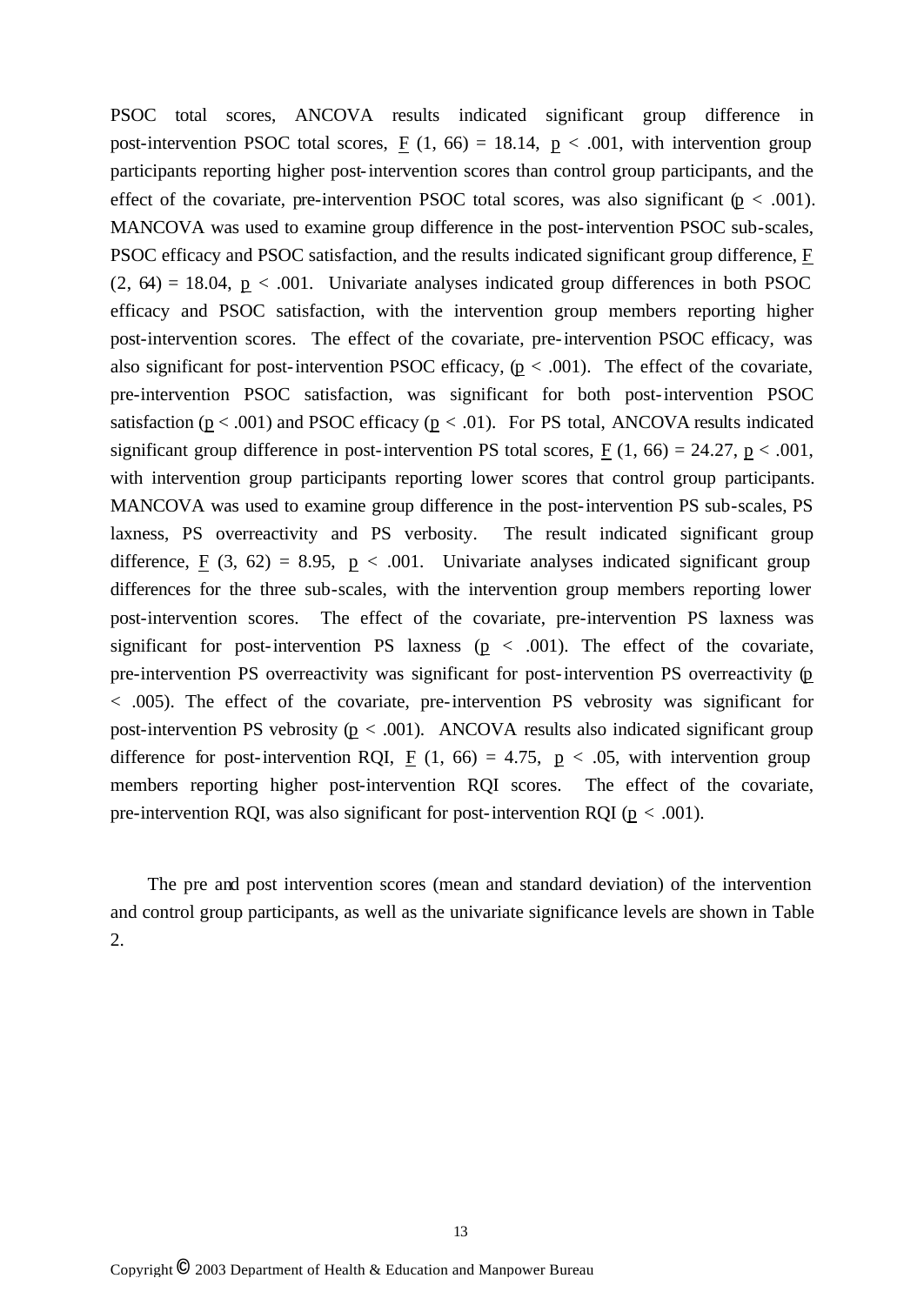PSOC total scores, ANCOVA results indicated significant group difference in post-intervention PSOC total scores,  $\underline{F}$  (1, 66) = 18.14,  $\underline{p}$  < .001, with intervention group participants reporting higher post-intervention scores than control group participants, and the effect of the covariate, pre-intervention PSOC total scores, was also significant ( $p < .001$ ). MANCOVA was used to examine group difference in the post-intervention PSOC sub-scales, PSOC efficacy and PSOC satisfaction, and the results indicated significant group difference, F  $(2, 64) = 18.04$ ,  $p < .001$ . Univariate analyses indicated group differences in both PSOC efficacy and PSOC satisfaction, with the intervention group members reporting higher post-intervention scores. The effect of the covariate, pre-intervention PSOC efficacy, was also significant for post-intervention PSOC efficacy,  $(p < .001)$ . The effect of the covariate, pre-intervention PSOC satisfaction, was significant for both post-intervention PSOC satisfaction ( $p < .001$ ) and PSOC efficacy ( $p < .01$ ). For PS total, ANCOVA results indicated significant group difference in post-intervention PS total scores,  $F(1, 66) = 24.27$ ,  $p < .001$ , with intervention group participants reporting lower scores that control group participants. MANCOVA was used to examine group difference in the post-intervention PS sub-scales, PS laxness, PS overreactivity and PS verbosity. The result indicated significant group difference, F  $(3, 62) = 8.95$ , p < .001. Univariate analyses indicated significant group differences for the three sub-scales, with the intervention group members reporting lower post-intervention scores. The effect of the covariate, pre-intervention PS laxness was significant for post-intervention PS laxness ( $p < .001$ ). The effect of the covariate, pre-intervention PS overreactivity was significant for post-intervention PS overreactivity (p < .005). The effect of the covariate, pre-intervention PS vebrosity was significant for post-intervention PS vebrosity ( $p < .001$ ). ANCOVA results also indicated significant group difference for post-intervention RQI, F  $(1, 66) = 4.75$ , p < .05, with intervention group members reporting higher post-intervention RQI scores. The effect of the covariate, pre-intervention RQI, was also significant for post-intervention RQI ( $p < .001$ ).

The pre and post intervention scores (mean and standard deviation) of the intervention and control group participants, as well as the univariate significance levels are shown in Table 2.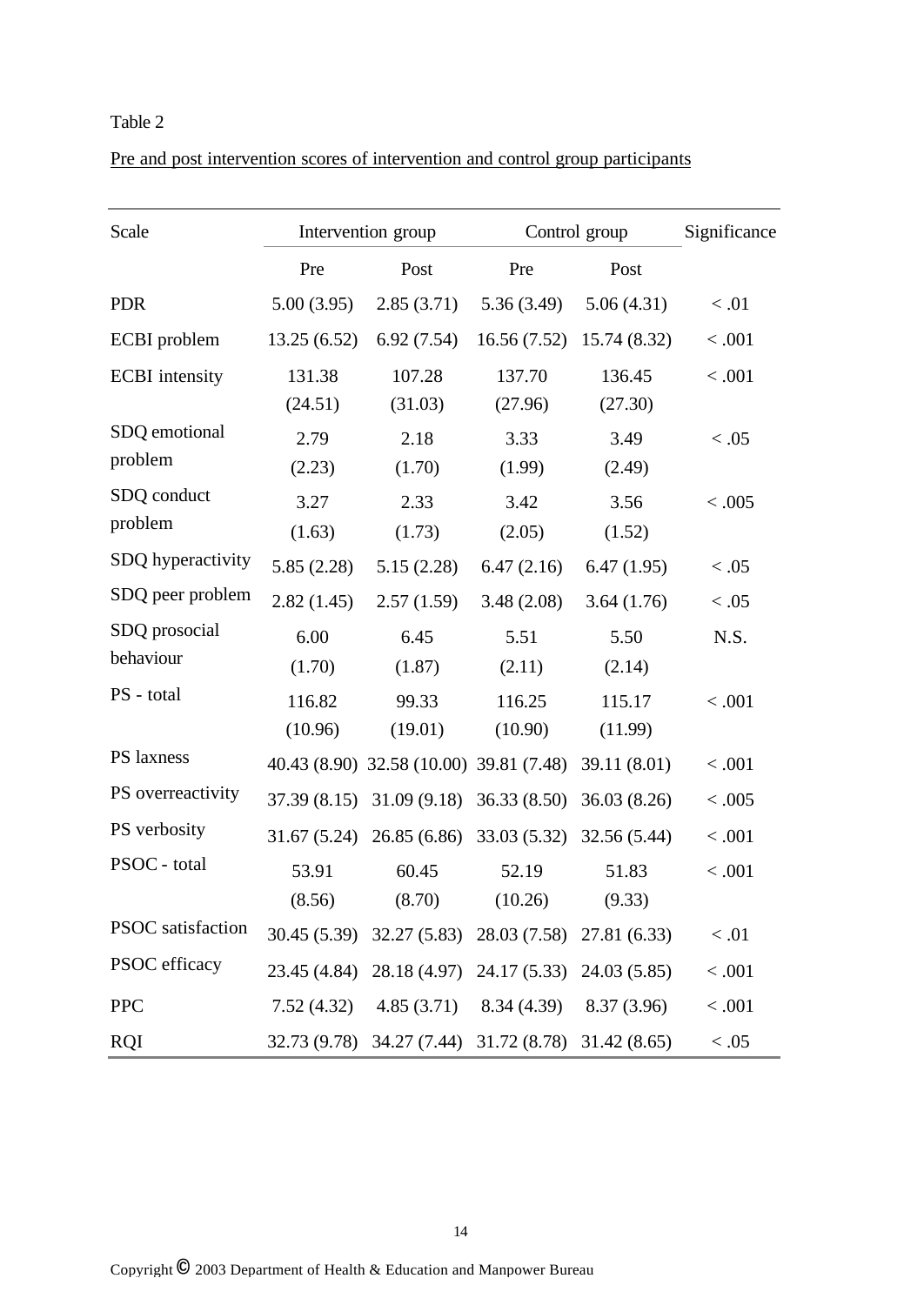## Table 2

| Pre and post intervention scores of intervention and control group participants |
|---------------------------------------------------------------------------------|
|---------------------------------------------------------------------------------|

| Scale                      |                   | Intervention group                                   | Control group     | Significance      |         |
|----------------------------|-------------------|------------------------------------------------------|-------------------|-------------------|---------|
|                            | Pre               | Post                                                 | Pre               | Post              |         |
| <b>PDR</b>                 | 5.00(3.95)        | 2.85(3.71)                                           | 5.36(3.49)        | 5.06(4.31)        | < 0.01  |
| <b>ECBI</b> problem        | 13.25(6.52)       | 6.92(7.54)                                           | 16.56(7.52)       | 15.74 (8.32)      | < .001  |
| <b>ECBI</b> intensity      | 131.38<br>(24.51) | 107.28<br>(31.03)                                    | 137.70<br>(27.96) | 136.45<br>(27.30) | < .001  |
| SDQ emotional<br>problem   | 2.79<br>(2.23)    | 2.18<br>(1.70)                                       | 3.33<br>(1.99)    | 3.49<br>(2.49)    | < 0.05  |
| SDQ conduct<br>problem     | 3.27<br>(1.63)    | 2.33<br>(1.73)                                       | 3.42<br>(2.05)    | 3.56<br>(1.52)    | < 0.005 |
| SDQ hyperactivity          | 5.85(2.28)        | 5.15(2.28)                                           | 6.47(2.16)        | 6.47(1.95)        | < 0.05  |
| SDQ peer problem           | 2.82(1.45)        | 2.57(1.59)                                           | 3.48(2.08)        | 3.64(1.76)        | < 0.05  |
| SDQ prosocial<br>behaviour | 6.00<br>(1.70)    | 6.45<br>(1.87)                                       | 5.51<br>(2.11)    | 5.50<br>(2.14)    | N.S.    |
| PS - total                 | 116.82<br>(10.96) | 99.33<br>(19.01)                                     | 116.25<br>(10.90) | 115.17<br>(11.99) | < 0.001 |
| PS laxness                 |                   | 40.43 (8.90) 32.58 (10.00) 39.81 (7.48) 39.11 (8.01) |                   |                   | < 0.001 |
| PS overreactivity          |                   | 37.39 (8.15) 31.09 (9.18) 36.33 (8.50) 36.03 (8.26)  |                   |                   | < 0.005 |
| PS verbosity               |                   | 31.67 (5.24) 26.85 (6.86) 33.03 (5.32) 32.56 (5.44)  |                   |                   | < .001  |
| PSOC - total               | 53.91<br>(8.56)   | 60.45<br>(8.70)                                      | 52.19<br>(10.26)  | 51.83<br>(9.33)   | < .001  |
| PSOC satisfaction          |                   | 30.45 (5.39) 32.27 (5.83) 28.03 (7.58) 27.81 (6.33)  |                   |                   | < 0.01  |
| PSOC efficacy              |                   | 23.45 (4.84) 28.18 (4.97) 24.17 (5.33) 24.03 (5.85)  |                   |                   | < .001  |
| <b>PPC</b>                 |                   | 7.52 (4.32) $4.85(3.71)$ $8.34(4.39)$ $8.37(3.96)$   |                   |                   | < .001  |
| <b>RQI</b>                 |                   | 32.73 (9.78) 34.27 (7.44) 31.72 (8.78) 31.42 (8.65)  |                   |                   | $<.05$  |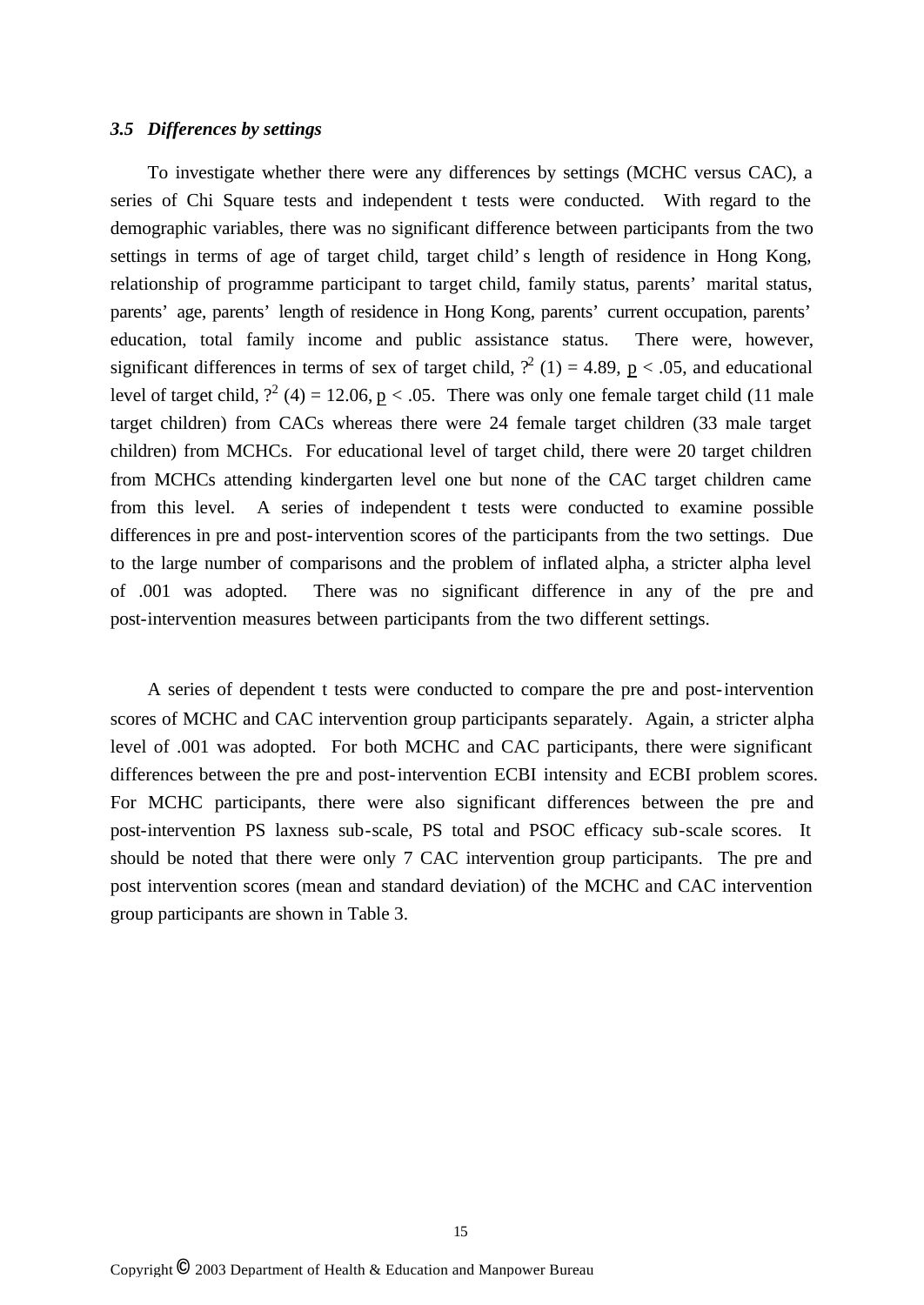#### *3.5 Differences by settings*

To investigate whether there were any differences by settings (MCHC versus CAC), a series of Chi Square tests and independent t tests were conducted. With regard to the demographic variables, there was no significant difference between participants from the two settings in terms of age of target child, target child's length of residence in Hong Kong, relationship of programme participant to target child, family status, parents' marital status, parents' age, parents' length of residence in Hong Kong, parents' current occupation, parents' education, total family income and public assistance status. There were, however, significant differences in terms of sex of target child,  $\binom{2}{1} = 4.89$ ,  $p < .05$ , and educational level of target child,  $?^2$  (4) = 12.06,  $p < .05$ . There was only one female target child (11 male target children) from CACs whereas there were 24 female target children (33 male target children) from MCHCs. For educational level of target child, there were 20 target children from MCHCs attending kindergarten level one but none of the CAC target children came from this level. A series of independent t tests were conducted to examine possible differences in pre and post-intervention scores of the participants from the two settings. Due to the large number of comparisons and the problem of inflated alpha, a stricter alpha level of .001 was adopted. There was no significant difference in any of the pre and post-intervention measures between participants from the two different settings.

A series of dependent t tests were conducted to compare the pre and post-intervention scores of MCHC and CAC intervention group participants separately. Again, a stricter alpha level of .001 was adopted. For both MCHC and CAC participants, there were significant differences between the pre and post-intervention ECBI intensity and ECBI problem scores. For MCHC participants, there were also significant differences between the pre and post-intervention PS laxness sub-scale, PS total and PSOC efficacy sub-scale scores. It should be noted that there were only 7 CAC intervention group participants. The pre and post intervention scores (mean and standard deviation) of the MCHC and CAC intervention group participants are shown in Table 3.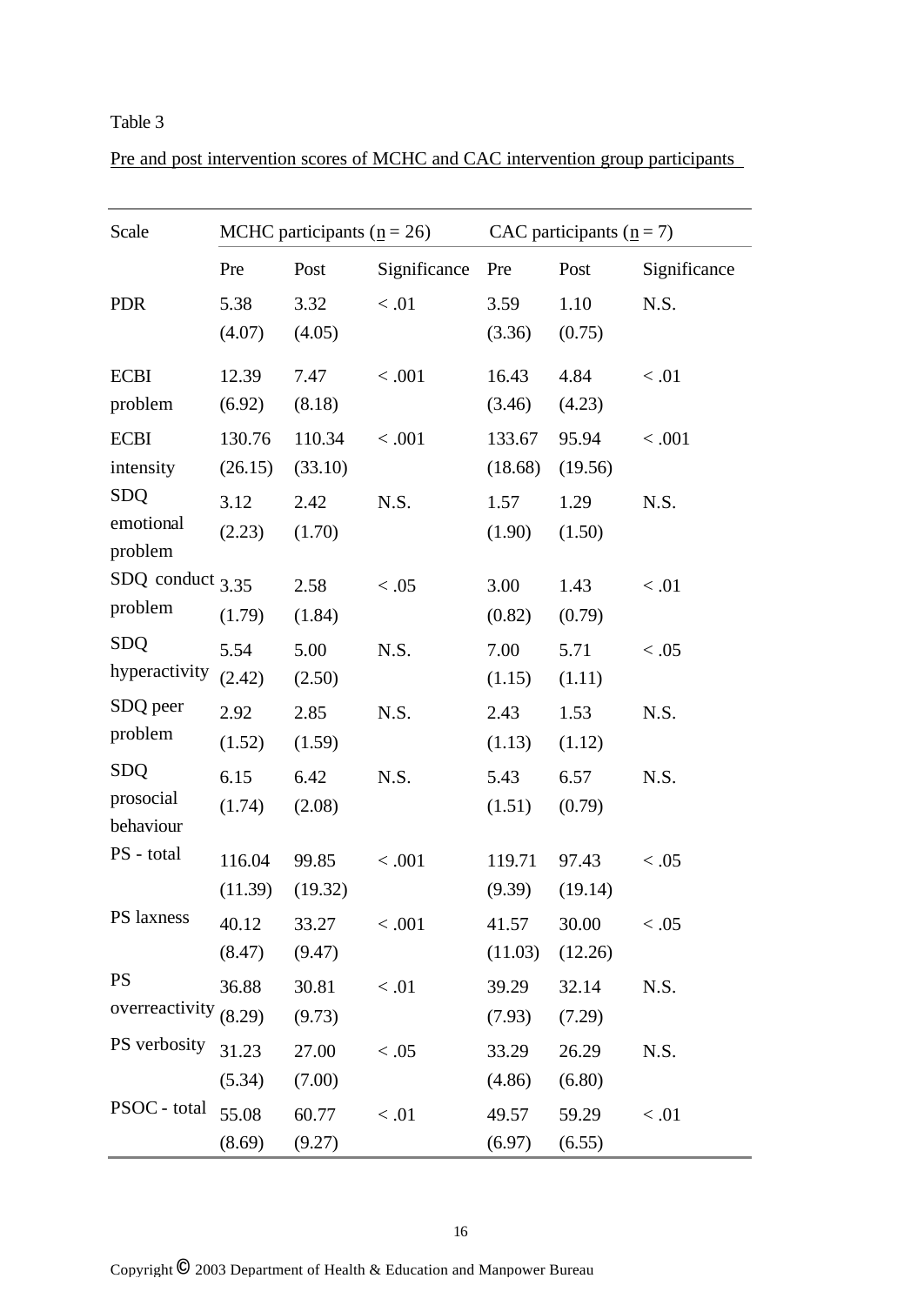## Table 3

| Scale                         | MCHC participants ( $\underline{n}$ = 26) |         |              | CAC participants ( $n = 7$ ) |         |              |
|-------------------------------|-------------------------------------------|---------|--------------|------------------------------|---------|--------------|
|                               | Pre                                       | Post    | Significance | Pre                          | Post    | Significance |
| <b>PDR</b>                    | 5.38                                      | 3.32    | < 0.01       | 3.59                         | 1.10    | N.S.         |
|                               | (4.07)                                    | (4.05)  |              | (3.36)                       | (0.75)  |              |
| <b>ECBI</b>                   | 12.39                                     | 7.47    | < .001       | 16.43                        | 4.84    | < 0.01       |
| problem                       | (6.92)                                    | (8.18)  |              | (3.46)                       | (4.23)  |              |
| <b>ECBI</b>                   | 130.76                                    | 110.34  | < .001       | 133.67                       | 95.94   | < .001       |
| intensity                     | (26.15)                                   | (33.10) |              | (18.68)                      | (19.56) |              |
| <b>SDQ</b>                    | 3.12                                      | 2.42    | N.S.         | 1.57                         | 1.29    | N.S.         |
| emotional                     | (2.23)                                    | (1.70)  |              | (1.90)                       | (1.50)  |              |
| problem                       |                                           |         |              |                              |         |              |
| SDQ conduct $3.35$<br>problem |                                           | 2.58    | < 0.05       | 3.00                         | 1.43    | < 0.01       |
|                               | (1.79)                                    | (1.84)  |              | (0.82)                       | (0.79)  |              |
| <b>SDQ</b>                    | 5.54                                      | 5.00    | N.S.         | 7.00                         | 5.71    | < 0.05       |
| hyperactivity                 | (2.42)                                    | (2.50)  |              | (1.15)                       | (1.11)  |              |
| SDQ peer                      | 2.92                                      | 2.85    | N.S.         | 2.43                         | 1.53    | N.S.         |
| problem                       | (1.52)                                    | (1.59)  |              | (1.13)                       | (1.12)  |              |
| <b>SDQ</b>                    | 6.15                                      | 6.42    | N.S.         | 5.43                         | 6.57    | N.S.         |
| prosocial                     | (1.74)                                    | (2.08)  |              | (1.51)                       | (0.79)  |              |
| behaviour                     |                                           |         |              |                              |         |              |
| PS - total                    | 116.04                                    | 99.85   | < .001       | 119.71                       | 97.43   | < 0.05       |
|                               | (11.39)                                   | (19.32) |              | (9.39)                       | (19.14) |              |
| PS laxness                    | 40.12                                     | 33.27   | < .001       | 41.57                        | 30.00   | < 0.05       |
|                               | (8.47)                                    | (9.47)  |              | (11.03)                      | (12.26) |              |
| <b>PS</b>                     | 36.88                                     | 30.81   | < 0.01       | 39.29                        | 32.14   | N.S.         |
| overreactivity $(8.29)$       |                                           | (9.73)  |              | (7.93)                       | (7.29)  |              |
| PS verbosity                  | 31.23                                     | 27.00   | < 0.05       | 33.29                        | 26.29   | N.S.         |
|                               | (5.34)                                    | (7.00)  |              | (4.86)                       | (6.80)  |              |
| PSOC - total                  | 55.08                                     | 60.77   | < 0.01       | 49.57                        | 59.29   | < 0.01       |
|                               | (8.69)                                    | (9.27)  |              | (6.97)                       | (6.55)  |              |

Pre and post intervention scores of MCHC and CAC intervention group participants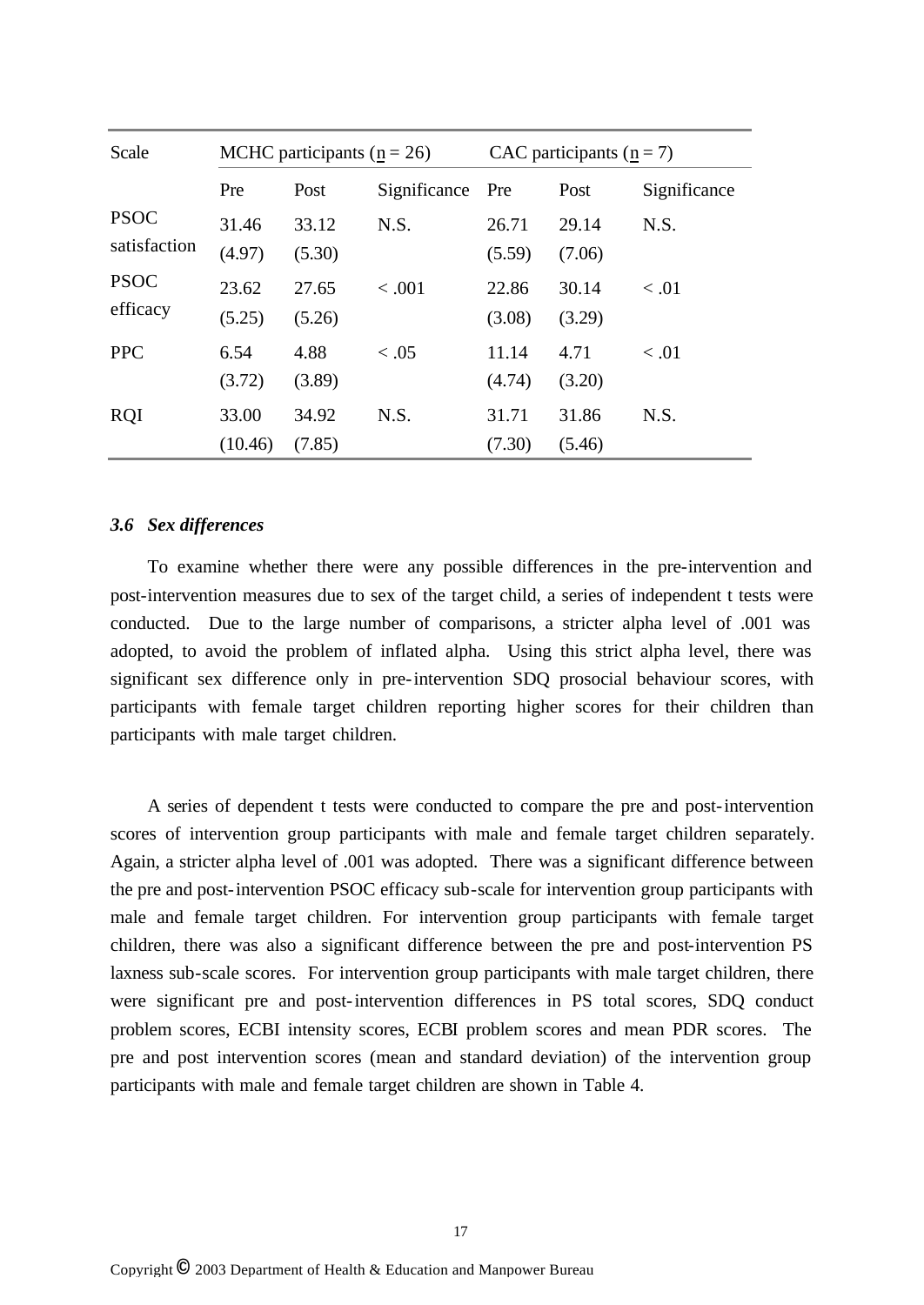| Scale        | MCHC participants ( $\mathbf{n} = 26$ ) |        |              | CAC participants ( $n = 7$ ) |        |              |
|--------------|-----------------------------------------|--------|--------------|------------------------------|--------|--------------|
|              | Pre                                     | Post   | Significance | Pre                          | Post   | Significance |
| <b>PSOC</b>  | 31.46                                   | 33.12  | N.S.         | 26.71                        | 29.14  | N.S.         |
| satisfaction | (4.97)                                  | (5.30) |              | (5.59)                       | (7.06) |              |
| <b>PSOC</b>  | 23.62                                   | 27.65  | < .001       | 22.86                        | 30.14  | < 0.01       |
| efficacy     | (5.25)                                  | (5.26) |              | (3.08)                       | (3.29) |              |
| <b>PPC</b>   | 6.54                                    | 4.88   | < 0.05       | 11.14                        | 4.71   | < 0.01       |
|              | (3.72)                                  | (3.89) |              | (4.74)                       | (3.20) |              |
| <b>RQI</b>   | 33.00                                   | 34.92  | N.S.         | 31.71                        | 31.86  | N.S.         |
|              | (10.46)                                 | (7.85) |              | (7.30)                       | (5.46) |              |

### *3.6 Sex differences*

To examine whether there were any possible differences in the pre-intervention and post-intervention measures due to sex of the target child, a series of independent t tests were conducted. Due to the large number of comparisons, a stricter alpha level of .001 was adopted, to avoid the problem of inflated alpha. Using this strict alpha level, there was significant sex difference only in pre-intervention SDQ prosocial behaviour scores, with participants with female target children reporting higher scores for their children than participants with male target children.

A series of dependent t tests were conducted to compare the pre and post-intervention scores of intervention group participants with male and female target children separately. Again, a stricter alpha level of .001 was adopted. There was a significant difference between the pre and post-intervention PSOC efficacy sub-scale for intervention group participants with male and female target children. For intervention group participants with female target children, there was also a significant difference between the pre and post-intervention PS laxness sub-scale scores. For intervention group participants with male target children, there were significant pre and post-intervention differences in PS total scores, SDQ conduct problem scores, ECBI intensity scores, ECBI problem scores and mean PDR scores. The pre and post intervention scores (mean and standard deviation) of the intervention group participants with male and female target children are shown in Table 4.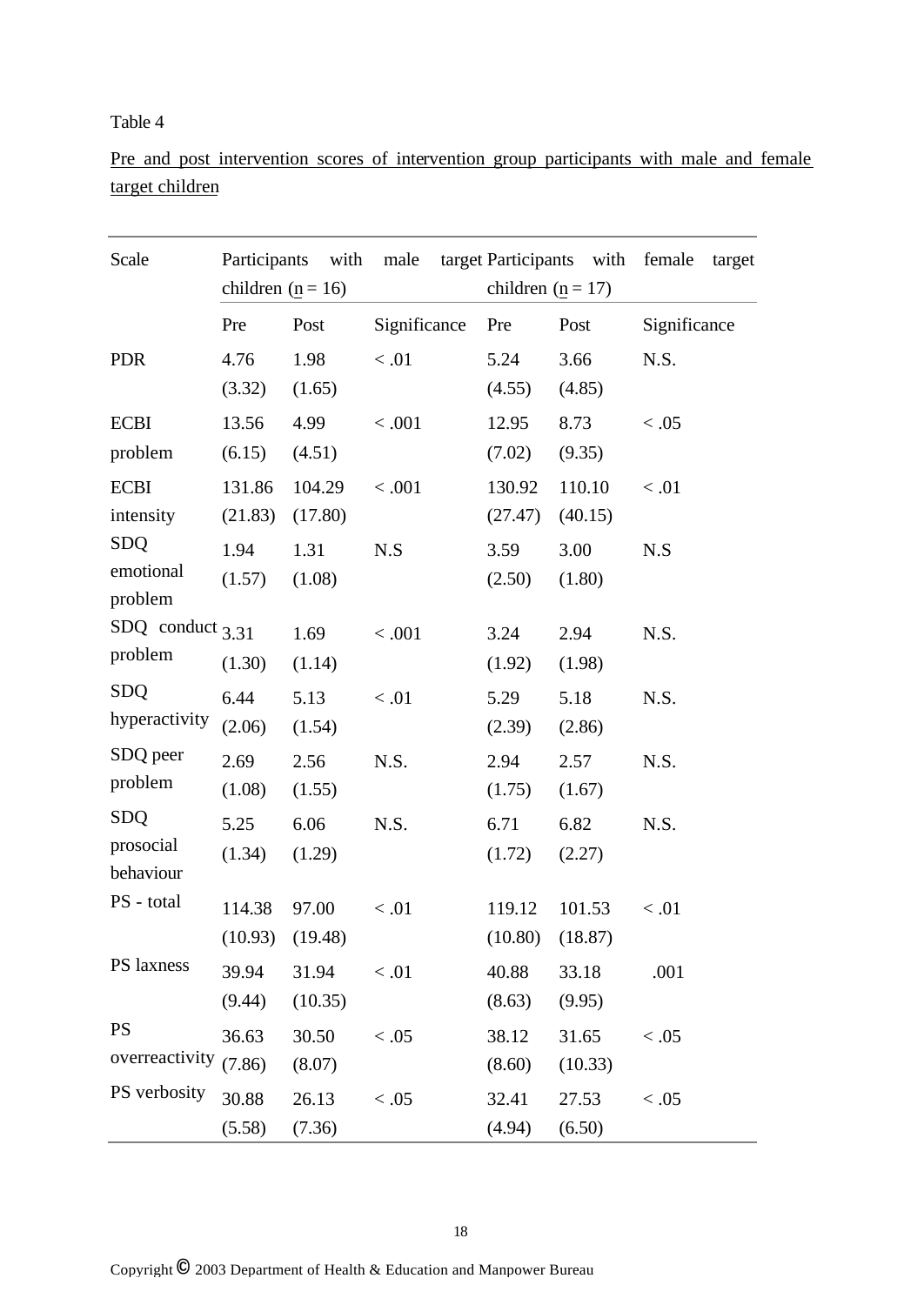## Table 4

Pre and post intervention scores of intervention group participants with male and female target children

| Scale                                | children ( $\underline{n} = 16$ ) | Participants with | male         | children ( $\underline{n} = 17$ ) | target Participants with | female<br>target |
|--------------------------------------|-----------------------------------|-------------------|--------------|-----------------------------------|--------------------------|------------------|
|                                      | Pre                               | Post              | Significance | Pre                               | Post                     | Significance     |
| <b>PDR</b>                           | 4.76<br>(3.32)                    | 1.98<br>(1.65)    | < 0.01       | 5.24<br>(4.55)                    | 3.66<br>(4.85)           | N.S.             |
| <b>ECBI</b><br>problem               | 13.56<br>(6.15)                   | 4.99<br>(4.51)    | < .001       | 12.95<br>(7.02)                   | 8.73<br>(9.35)           | < 0.05           |
| <b>ECBI</b><br>intensity             | 131.86<br>(21.83)                 | 104.29<br>(17.80) | < .001       | 130.92<br>(27.47)                 | 110.10<br>(40.15)        | < 0.01           |
| <b>SDQ</b><br>emotional<br>problem   | 1.94<br>(1.57)                    | 1.31<br>(1.08)    | N.S          | 3.59<br>(2.50)                    | 3.00<br>(1.80)           | N.S              |
| SDQ conduct $3.31$<br>problem        | (1.30)                            | 1.69<br>(1.14)    | < .001       | 3.24<br>(1.92)                    | 2.94<br>(1.98)           | N.S.             |
| <b>SDQ</b><br>hyperactivity          | 6.44<br>(2.06)                    | 5.13<br>(1.54)    | < 0.01       | 5.29<br>(2.39)                    | 5.18<br>(2.86)           | N.S.             |
| SDQ peer<br>problem                  | 2.69<br>(1.08)                    | 2.56<br>(1.55)    | N.S.         | 2.94<br>(1.75)                    | 2.57<br>(1.67)           | N.S.             |
| <b>SDQ</b><br>prosocial<br>behaviour | 5.25<br>(1.34)                    | 6.06<br>(1.29)    | N.S.         | 6.71<br>(1.72)                    | 6.82<br>(2.27)           | N.S.             |
| PS - total                           | 114.38<br>(10.93)                 | 97.00<br>(19.48)  | < 0.01       | 119.12<br>(10.80)                 | 101.53<br>(18.87)        | < 0.01           |
| PS laxness                           | 39.94<br>(9.44)                   | 31.94<br>(10.35)  | $<.01$       | 40.88<br>(8.63)                   | 33.18<br>(9.95)          | .001             |
| <b>PS</b><br>overreactivity          | 36.63<br>(7.86)                   | 30.50<br>(8.07)   | < 0.05       | 38.12<br>(8.60)                   | 31.65<br>(10.33)         | < 0.05           |
| PS verbosity                         | 30.88<br>(5.58)                   | 26.13<br>(7.36)   | < 0.05       | 32.41<br>(4.94)                   | 27.53<br>(6.50)          | < 0.05           |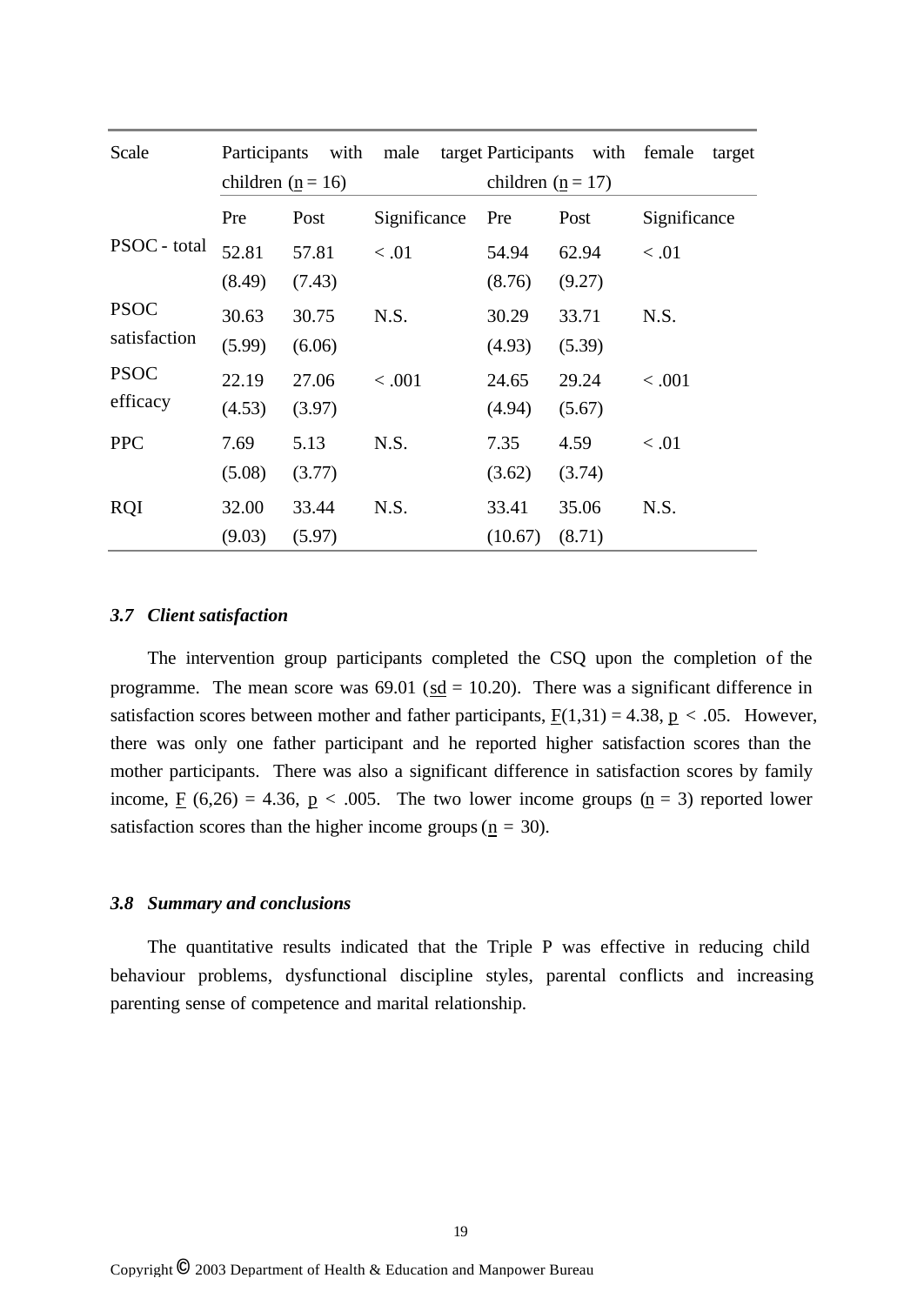| Scale        | Participants        | with   | male         |                                   | target Participants with female | target       |
|--------------|---------------------|--------|--------------|-----------------------------------|---------------------------------|--------------|
|              | children $(n = 16)$ |        |              | children ( $\underline{n} = 17$ ) |                                 |              |
|              | Pre                 | Post   | Significance | Pre                               | Post                            | Significance |
| PSOC - total | 52.81               | 57.81  | < 0.01       | 54.94                             | 62.94                           | < 0.01       |
|              | (8.49)              | (7.43) |              | (8.76)                            | (9.27)                          |              |
| <b>PSOC</b>  | 30.63               | 30.75  | N.S.         | 30.29                             | 33.71                           | N.S.         |
| satisfaction | (5.99)              | (6.06) |              | (4.93)                            | (5.39)                          |              |
| <b>PSOC</b>  | 22.19               | 27.06  | < 0.001      | 24.65                             | 29.24                           | < .001       |
| efficacy     | (4.53)              | (3.97) |              | (4.94)                            | (5.67)                          |              |
| <b>PPC</b>   | 7.69                | 5.13   | N.S.         | 7.35                              | 4.59                            | < 0.01       |
|              | (5.08)              | (3.77) |              | (3.62)                            | (3.74)                          |              |
| <b>RQI</b>   | 32.00               | 33.44  | N.S.         | 33.41                             | 35.06                           | N.S.         |
|              | (9.03)              | (5.97) |              | (10.67)                           | (8.71)                          |              |

### *3.7 Client satisfaction*

The intervention group participants completed the CSQ upon the completion of the programme. The mean score was  $69.01$  ( $\underline{sd} = 10.20$ ). There was a significant difference in satisfaction scores between mother and father participants,  $F(1,31) = 4.38$ ,  $p < .05$ . However, there was only one father participant and he reported higher satisfaction scores than the mother participants. There was also a significant difference in satisfaction scores by family income,  $\underline{F}$  (6,26) = 4.36,  $\underline{p}$  < .005. The two lower income groups ( $\underline{n}$  = 3) reported lower satisfaction scores than the higher income groups ( $\mathbf{n} = 30$ ).

#### *3.8 Summary and conclusions*

The quantitative results indicated that the Triple P was effective in reducing child behaviour problems, dysfunctional discipline styles, parental conflicts and increasing parenting sense of competence and marital relationship.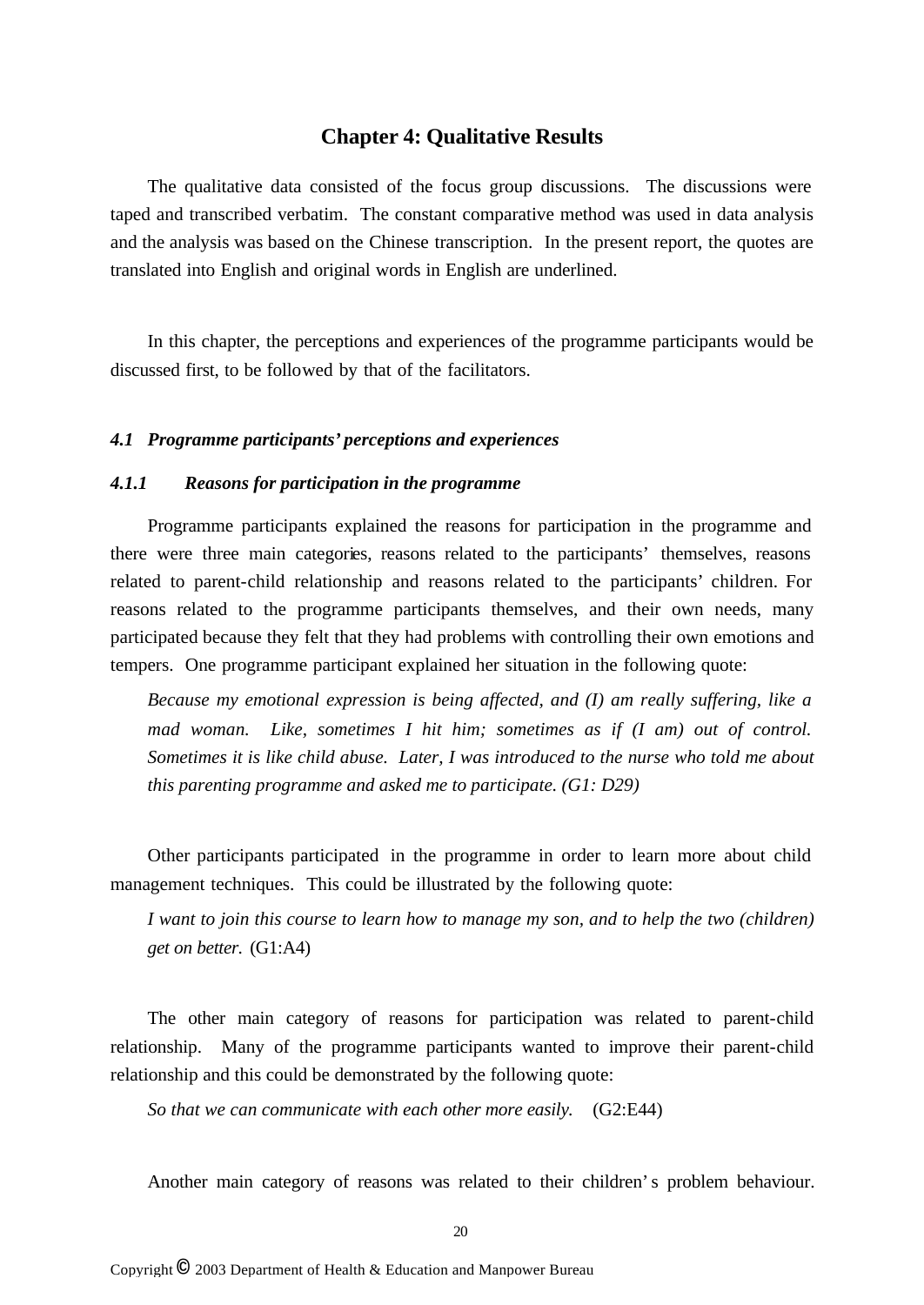## **Chapter 4: Qualitative Results**

The qualitative data consisted of the focus group discussions. The discussions were taped and transcribed verbatim. The constant comparative method was used in data analysis and the analysis was based on the Chinese transcription. In the present report, the quotes are translated into English and original words in English are underlined.

In this chapter, the perceptions and experiences of the programme participants would be discussed first, to be followed by that of the facilitators.

#### *4.1 Programme participants' perceptions and experiences*

## *4.1.1 Reasons for participation in the programme*

Programme participants explained the reasons for participation in the programme and there were three main categories, reasons related to the participants' themselves, reasons related to parent-child relationship and reasons related to the participants' children. For reasons related to the programme participants themselves, and their own needs, many participated because they felt that they had problems with controlling their own emotions and tempers. One programme participant explained her situation in the following quote:

*Because my emotional expression is being affected, and (I) am really suffering, like a mad woman. Like, sometimes I hit him; sometimes as if (I am) out of control. Sometimes it is like child abuse. Later, I was introduced to the nurse who told me about this parenting programme and asked me to participate. (G1: D29)*

Other participants participated in the programme in order to learn more about child management techniques. This could be illustrated by the following quote:

*I want to join this course to learn how to manage my son, and to help the two (children) get on better.* (G1:A4)

The other main category of reasons for participation was related to parent-child relationship. Many of the programme participants wanted to improve their parent-child relationship and this could be demonstrated by the following quote:

*So that we can communicate with each other more easily.* (G2:E44)

Another main category of reasons was related to their children's problem behaviour.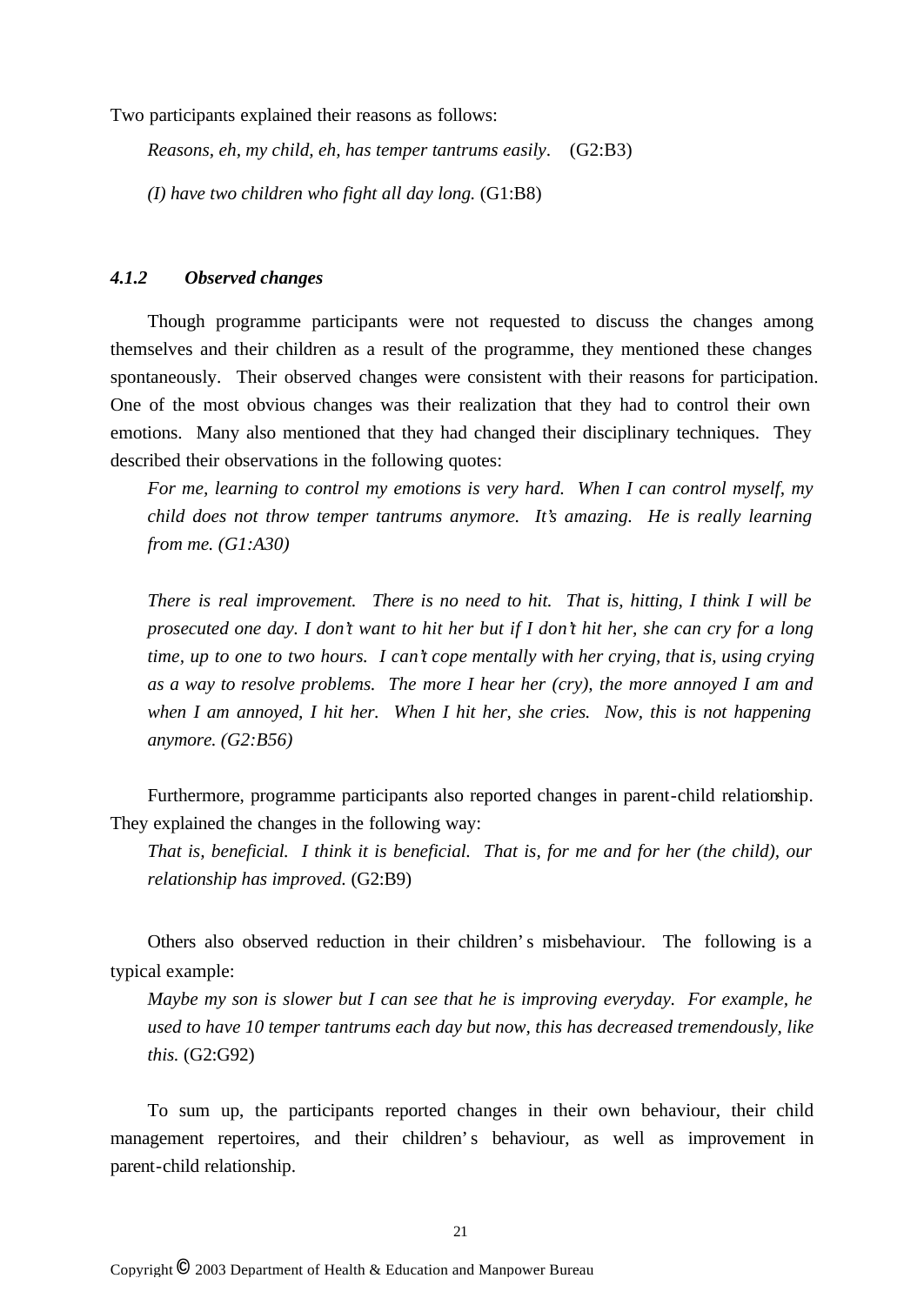Two participants explained their reasons as follows:

*Reasons, eh, my child, eh, has temper tantrums easily*. (G2:B3)

*(I) have two children who fight all day long.* (G1:B8)

#### *4.1.2 Observed changes*

Though programme participants were not requested to discuss the changes among themselves and their children as a result of the programme, they mentioned these changes spontaneously. Their observed changes were consistent with their reasons for participation. One of the most obvious changes was their realization that they had to control their own emotions. Many also mentioned that they had changed their disciplinary techniques. They described their observations in the following quotes:

*For me, learning to control my emotions is very hard. When I can control myself, my child does not throw temper tantrums anymore. It's amazing. He is really learning from me. (G1:A30)*

*There is real improvement. There is no need to hit. That is, hitting, I think I will be prosecuted one day. I don't want to hit her but if I don't hit her, she can cry for a long time, up to one to two hours. I can't cope mentally with her crying, that is, using crying as a way to resolve problems. The more I hear her (cry), the more annoyed I am and when I am annoyed, I hit her. When I hit her, she cries. Now, this is not happening anymore. (G2:B56)*

Furthermore, programme participants also reported changes in parent-child relationship. They explained the changes in the following way:

*That is, beneficial. I think it is beneficial. That is, for me and for her (the child), our relationship has improved.* (G2:B9)

Others also observed reduction in their children's misbehaviour. The following is a typical example:

*Maybe my son is slower but I can see that he is improving everyday. For example, he used to have 10 temper tantrums each day but now, this has decreased tremendously, like this.* (G2:G92)

To sum up, the participants reported changes in their own behaviour, their child management repertoires, and their children's behaviour, as well as improvement in parent-child relationship.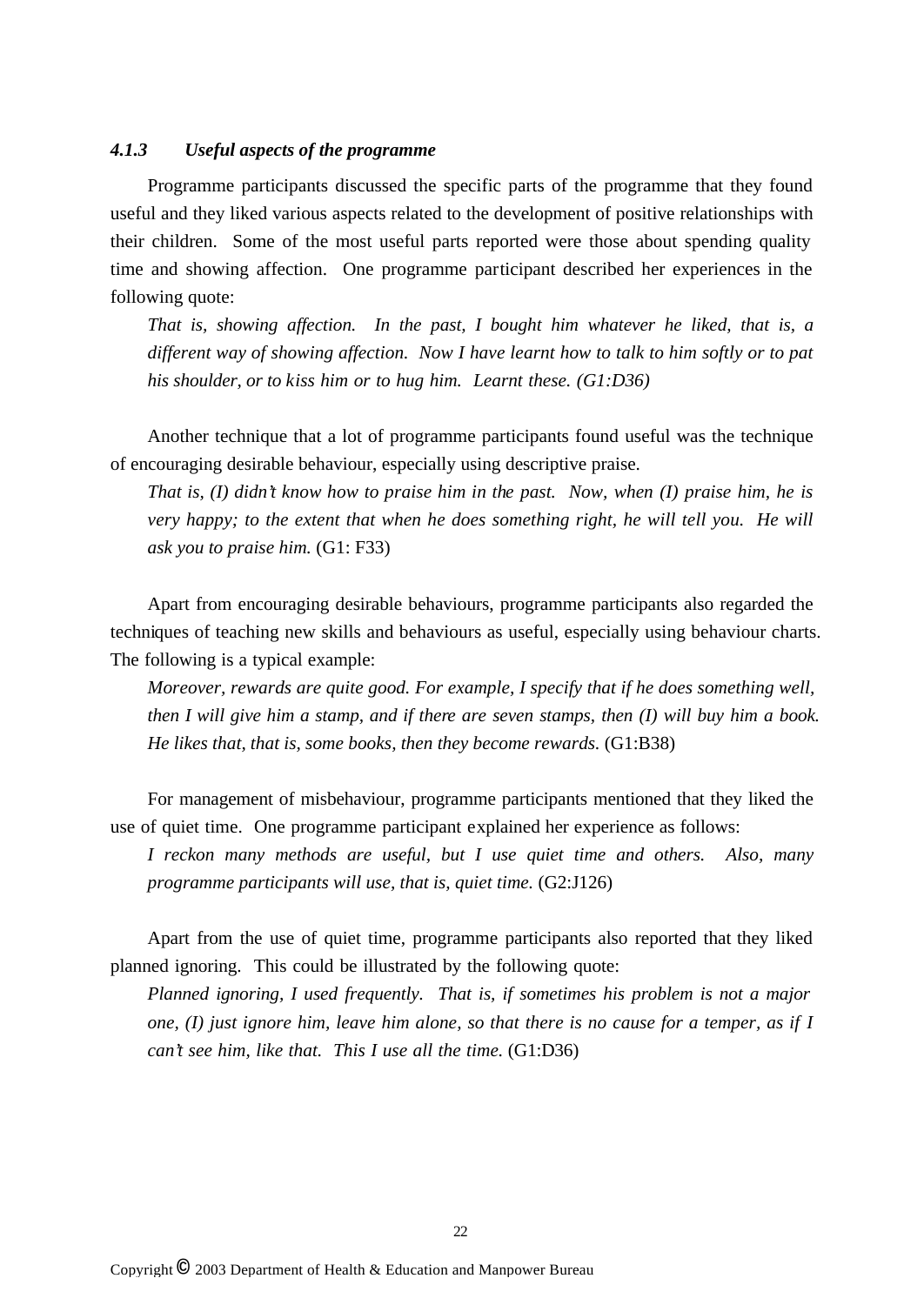## *4.1.3 Useful aspects of the programme*

Programme participants discussed the specific parts of the programme that they found useful and they liked various aspects related to the development of positive relationships with their children. Some of the most useful parts reported were those about spending quality time and showing affection. One programme participant described her experiences in the following quote:

*That is, showing affection. In the past, I bought him whatever he liked, that is, a different way of showing affection. Now I have learnt how to talk to him softly or to pat his shoulder, or to kiss him or to hug him. Learnt these. (G1:D36)*

Another technique that a lot of programme participants found useful was the technique of encouraging desirable behaviour, especially using descriptive praise.

*That is, (I) didn't know how to praise him in the past. Now, when (I) praise him, he is very happy; to the extent that when he does something right, he will tell you. He will ask you to praise him.* (G1: F33)

Apart from encouraging desirable behaviours, programme participants also regarded the techniques of teaching new skills and behaviours as useful, especially using behaviour charts. The following is a typical example:

*Moreover, rewards are quite good. For example, I specify that if he does something well, then I will give him a stamp, and if there are seven stamps, then (I) will buy him a book. He likes that, that is, some books, then they become rewards.* (G1:B38)

For management of misbehaviour, programme participants mentioned that they liked the use of quiet time. One programme participant explained her experience as follows:

*I reckon many methods are useful, but I use quiet time and others. Also, many programme participants will use, that is, quiet time.*  $(G2:J126)$ 

Apart from the use of quiet time, programme participants also reported that they liked planned ignoring. This could be illustrated by the following quote:

*Planned ignoring, I used frequently. That is, if sometimes his problem is not a major one, (I) just ignore him, leave him alone, so that there is no cause for a temper, as if I can't see him, like that. This I use all the time.* (G1:D36)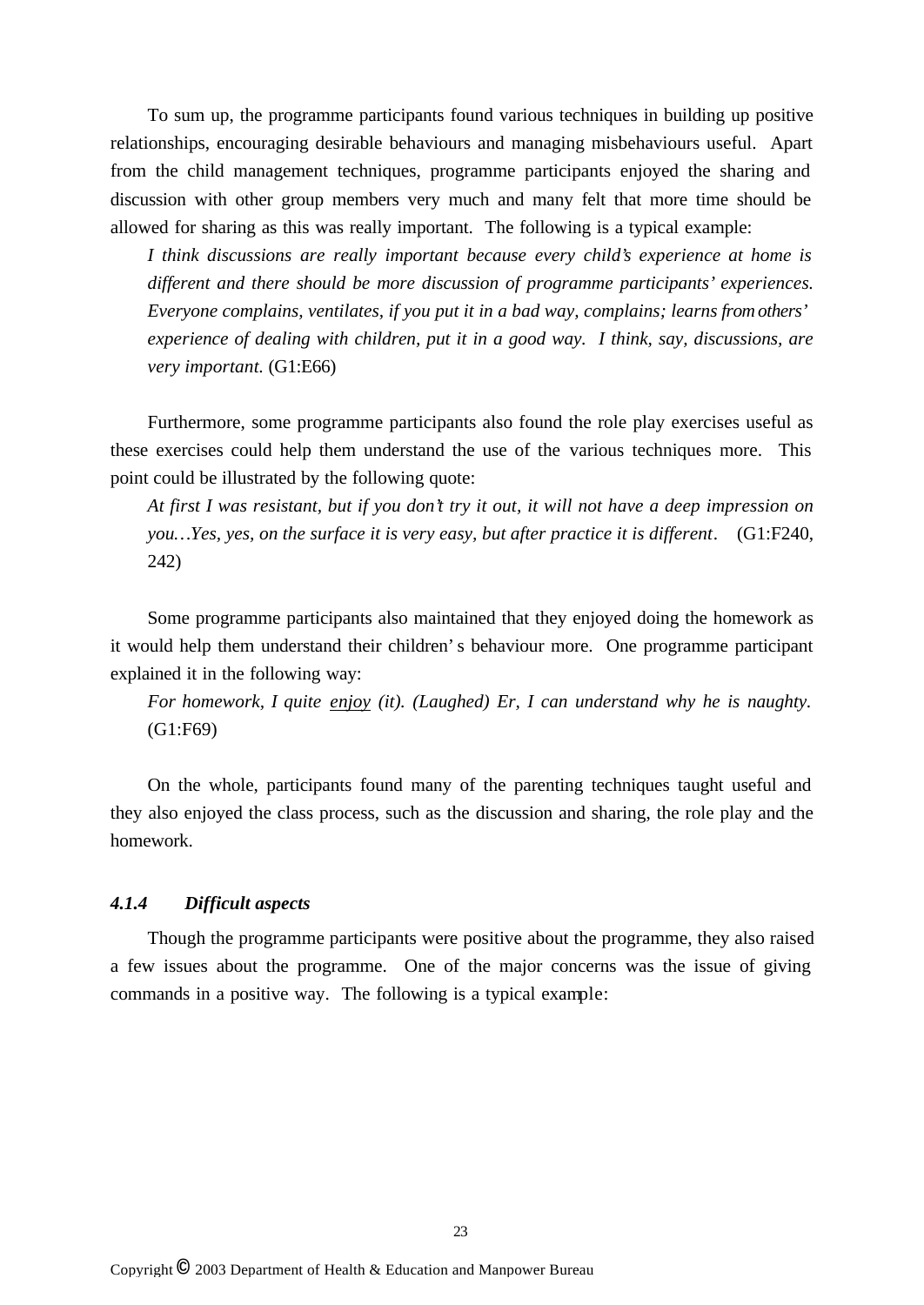To sum up, the programme participants found various techniques in building up positive relationships, encouraging desirable behaviours and managing misbehaviours useful. Apart from the child management techniques, programme participants enjoyed the sharing and discussion with other group members very much and many felt that more time should be allowed for sharing as this was really important. The following is a typical example:

*I think discussions are really important because every child's experience at home is different and there should be more discussion of programme participants' experiences. Everyone complains, ventilates, if you put it in a bad way, complains; learns from others' experience of dealing with children, put it in a good way. I think, say, discussions, are very important.* (G1:E66)

Furthermore, some programme participants also found the role play exercises useful as these exercises could help them understand the use of the various techniques more. This point could be illustrated by the following quote:

*At first I was resistant, but if you don't try it out, it will not have a deep impression on you… Yes, yes, on the surface it is very easy, but after practice it is different.* (G1:F240, 242)

Some programme participants also maintained that they enjoyed doing the homework as it would help them understand their children's behaviour more. One programme participant explained it in the following way:

*For homework, I quite enjoy (it). (Laughed) Er, I can understand why he is naughty.* (G1:F69)

On the whole, participants found many of the parenting techniques taught useful and they also enjoyed the class process, such as the discussion and sharing, the role play and the homework.

## *4.1.4 Difficult aspects*

Though the programme participants were positive about the programme, they also raised a few issues about the programme. One of the major concerns was the issue of giving commands in a positive way. The following is a typical example: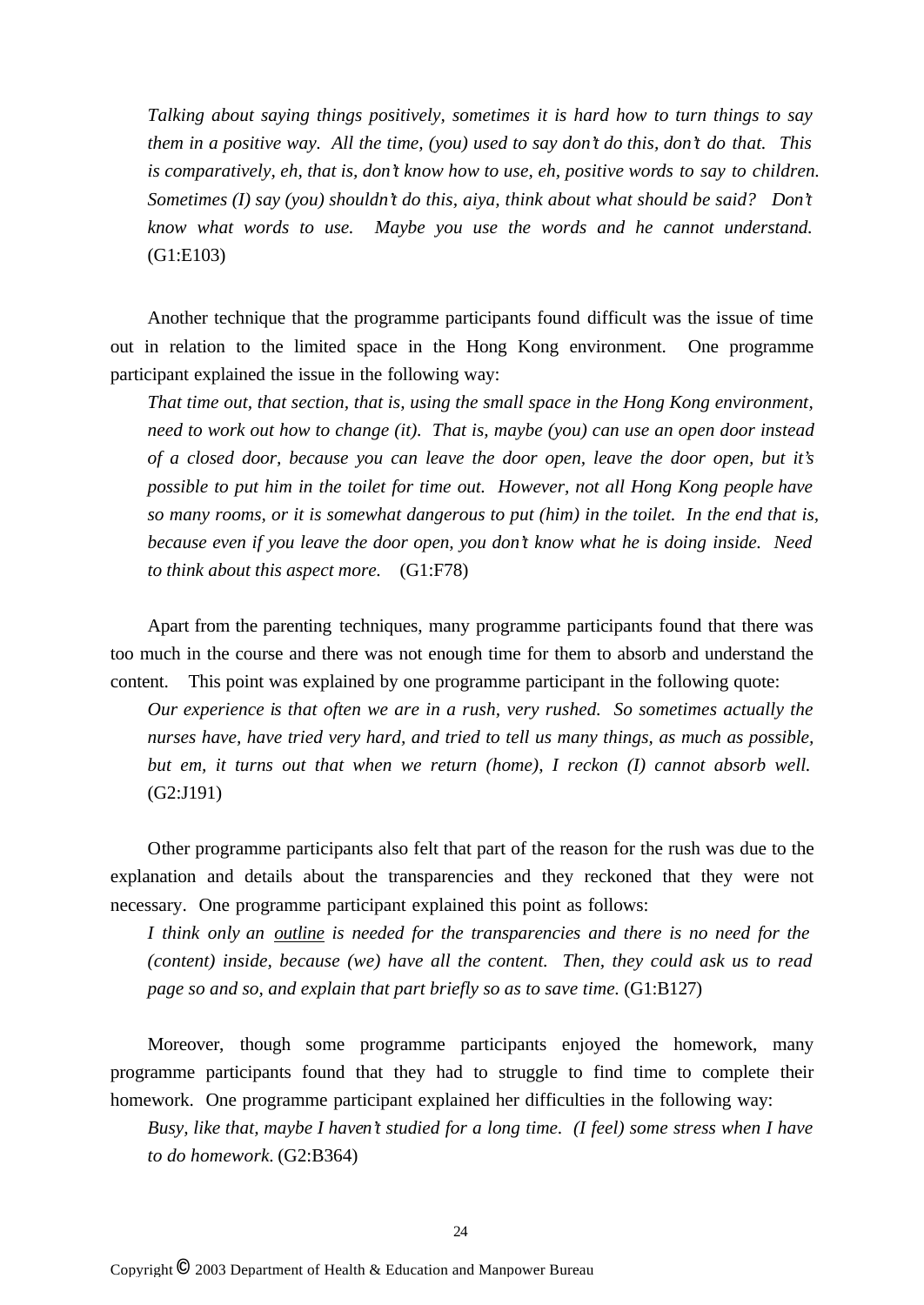*Talking about saying things positively, sometimes it is hard how to turn things to say them in a positive way. All the time, (you) used to say don't do this, don't do that. This is comparatively, eh, that is, don't know how to use, eh, positive words to say to children. Sometimes (I) say (you) shouldn't do this, aiya, think about what should be said? Don't know what words to use. Maybe you use the words and he cannot understand.* (G1:E103)

Another technique that the programme participants found difficult was the issue of time out in relation to the limited space in the Hong Kong environment. One programme participant explained the issue in the following way:

*That time out, that section, that is, using the small space in the Hong Kong environment, need to work out how to change (it). That is, maybe (you) can use an open door instead of a closed door, because you can leave the door open, leave the door open, but it's possible to put him in the toilet for time out. However, not all Hong Kong people have so many rooms, or it is somewhat dangerous to put (him) in the toilet. In the end that is, because even if you leave the door open, you don't know what he is doing inside. Need to think about this aspect more.* (G1:F78)

Apart from the parenting techniques, many programme participants found that there was too much in the course and there was not enough time for them to absorb and understand the content. This point was explained by one programme participant in the following quote:

*Our experience is that often we are in a rush, very rushed. So sometimes actually the nurses have, have tried very hard, and tried to tell us many things, as much as possible, but em, it turns out that when we return (home), I reckon (I) cannot absorb well.*  (G2:J191)

Other programme participants also felt that part of the reason for the rush was due to the explanation and details about the transparencies and they reckoned that they were not necessary. One programme participant explained this point as follows:

*I think only an outline is needed for the transparencies and there is no need for the (content) inside, because (we) have all the content. Then, they could ask us to read page so and so, and explain that part briefly so as to save time.* (G1:B127)

Moreover, though some programme participants enjoyed the homework, many programme participants found that they had to struggle to find time to complete their homework. One programme participant explained her difficulties in the following way:

*Busy, like that, maybe I haven't studied for a long time. (I feel) some stress when I have to do homework.* (G2:B364)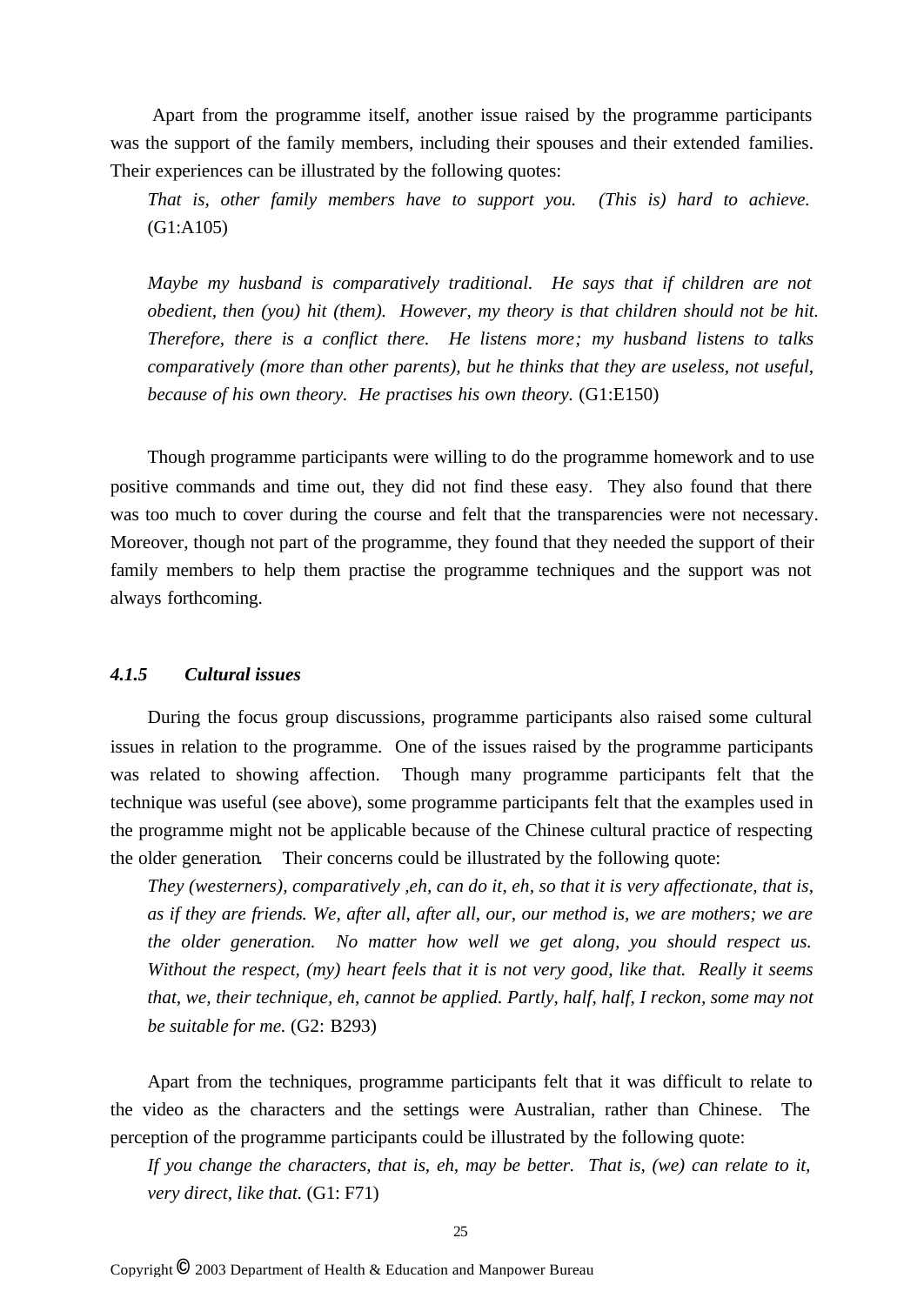Apart from the programme itself, another issue raised by the programme participants was the support of the family members, including their spouses and their extended families. Their experiences can be illustrated by the following quotes:

*That is, other family members have to support you. (This is) hard to achieve.*  (G1:A105)

*Maybe my husband is comparatively traditional. He says that if children are not obedient, then (you) hit (them). However, my theory is that children should not be hit. Therefore, there is a conflict there. He listens more; my husband listens to talks comparatively (more than other parents), but he thinks that they are useless, not useful, because of his own theory. He practises his own theory.* (G1:E150)

Though programme participants were willing to do the programme homework and to use positive commands and time out, they did not find these easy. They also found that there was too much to cover during the course and felt that the transparencies were not necessary. Moreover, though not part of the programme, they found that they needed the support of their family members to help them practise the programme techniques and the support was not always forthcoming.

## *4.1.5 Cultural issues*

During the focus group discussions, programme participants also raised some cultural issues in relation to the programme. One of the issues raised by the programme participants was related to showing affection. Though many programme participants felt that the technique was useful (see above), some programme participants felt that the examples used in the programme might not be applicable because of the Chinese cultural practice of respecting the older generation. Their concerns could be illustrated by the following quote:

*They (westerners), comparatively ,eh, can do it, eh, so that it is very affectionate, that is, as if they are friends. We, after all, after all, our, our method is, we are mothers; we are the older generation. No matter how well we get along, you should respect us. Without the respect, (my) heart feels that it is not very good, like that. Really it seems that, we, their technique, eh, cannot be applied. Partly, half, half, I reckon, some may not be suitable for me.* (G2: B293)

Apart from the techniques, programme participants felt that it was difficult to relate to the video as the characters and the settings were Australian, rather than Chinese. The perception of the programme participants could be illustrated by the following quote:

*If you change the characters, that is, eh, may be better. That is, (we) can relate to it, very direct, like that.* (G1: F71)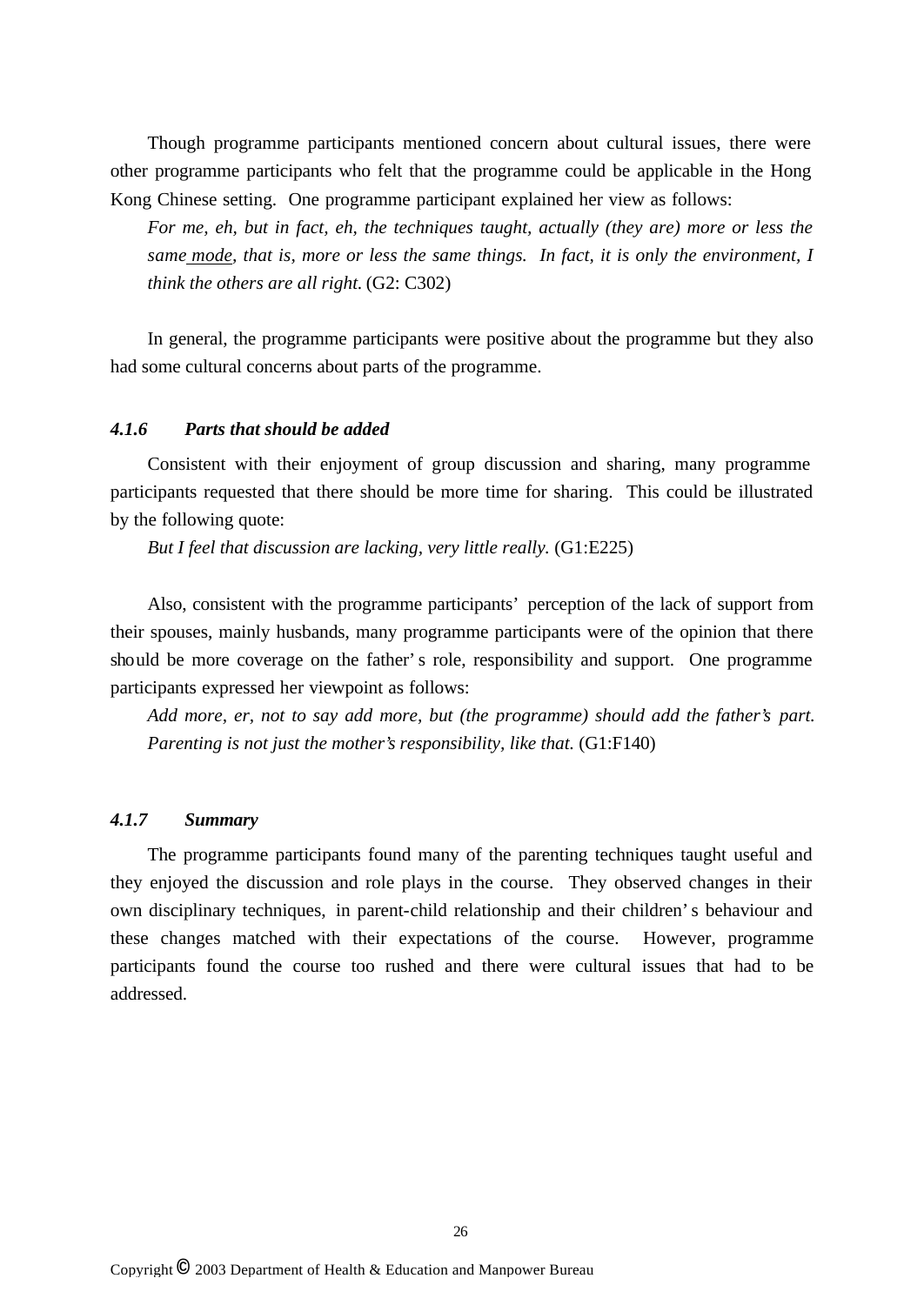Though programme participants mentioned concern about cultural issues, there were other programme participants who felt that the programme could be applicable in the Hong Kong Chinese setting. One programme participant explained her view as follows:

*For me, eh, but in fact, eh, the techniques taught, actually (they are) more or less the same mode, that is, more or less the same things. In fact, it is only the environment, I think the others are all right.* (G2: C302)

In general, the programme participants were positive about the programme but they also had some cultural concerns about parts of the programme.

## *4.1.6 Parts that should be added*

Consistent with their enjoyment of group discussion and sharing, many programme participants requested that there should be more time for sharing. This could be illustrated by the following quote:

*But I feel that discussion are lacking, very little really.* (G1:E225)

Also, consistent with the programme participants' perception of the lack of support from their spouses, mainly husbands, many programme participants were of the opinion that there should be more coverage on the father's role, responsibility and support. One programme participants expressed her viewpoint as follows:

*Add more, er, not to say add more, but (the programme) should add the father's part. Parenting is not just the mother's responsibility, like that.*  $(G1:F140)$ 

#### *4.1.7 Summary*

The programme participants found many of the parenting techniques taught useful and they enjoyed the discussion and role plays in the course. They observed changes in their own disciplinary techniques, in parent-child relationship and their children's behaviour and these changes matched with their expectations of the course. However, programme participants found the course too rushed and there were cultural issues that had to be addressed.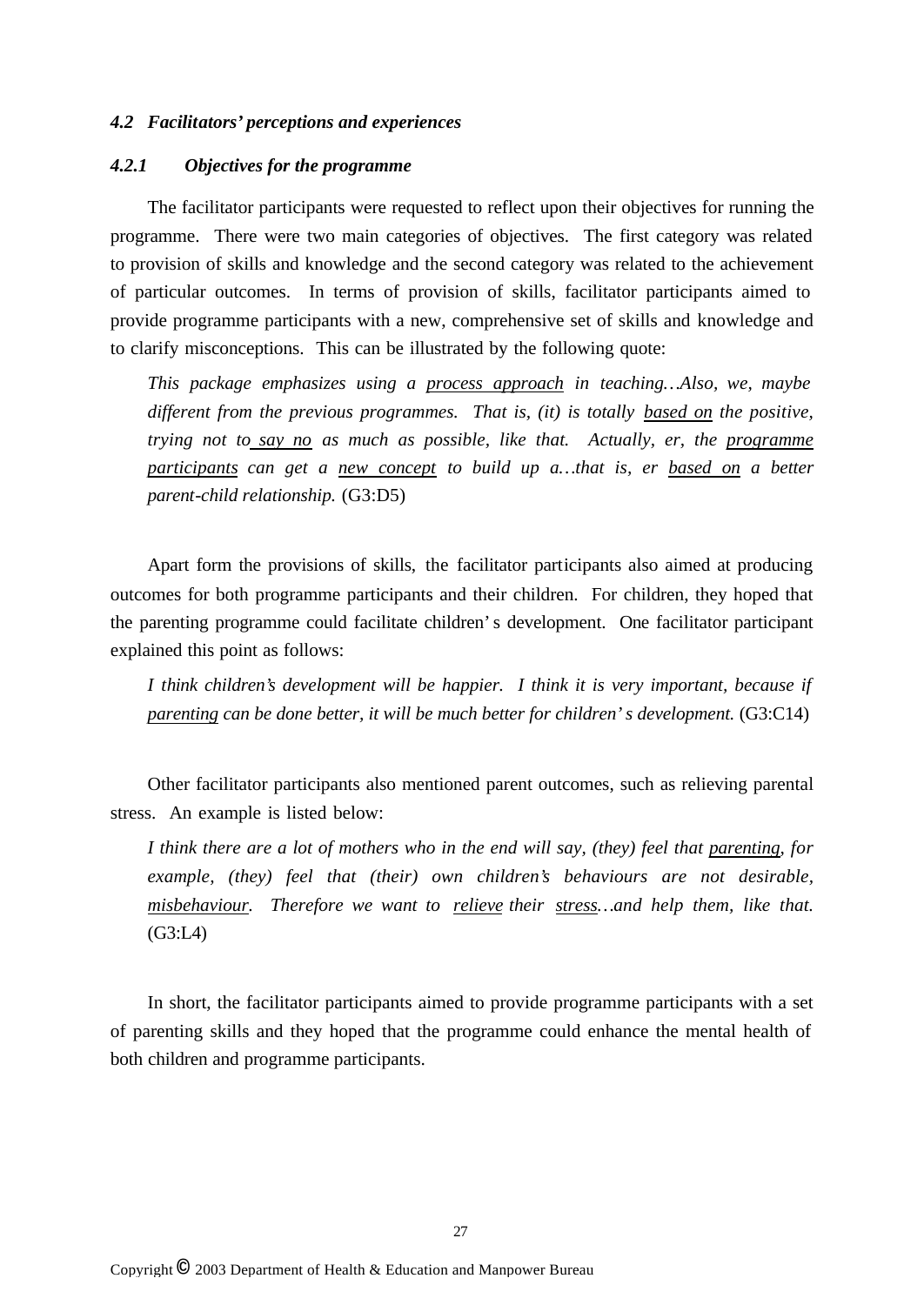### *4.2 Facilitators' perceptions and experiences*

## *4.2.1 Objectives for the programme*

The facilitator participants were requested to reflect upon their objectives for running the programme. There were two main categories of objectives. The first category was related to provision of skills and knowledge and the second category was related to the achievement of particular outcomes. In terms of provision of skills, facilitator participants aimed to provide programme participants with a new, comprehensive set of skills and knowledge and to clarify misconceptions. This can be illustrated by the following quote:

*This package emphasizes using a process approach in teaching… Also, we, maybe different from the previous programmes. That is, (it) is totally based on the positive, trying not to say no as much as possible, like that. Actually, er, the programme participants can get a new concept to build up a… that is, er based on a better parent-child relationship.* (G3:D5)

Apart form the provisions of skills, the facilitator participants also aimed at producing outcomes for both programme participants and their children. For children, they hoped that the parenting programme could facilitate children's development. One facilitator participant explained this point as follows:

*I think children's development will be happier. I think it is very important, because if parenting can be done better, it will be much better for children's development.* (G3:C14)

Other facilitator participants also mentioned parent outcomes, such as relieving parental stress. An example is listed below:

*I think there are a lot of mothers who in the end will say, (they) feel that parenting, for example, (they) feel that (their) own children's behaviours are not desirable, misbehaviour. Therefore we want to relieve their stress… and help them, like that.* (G3:L4)

In short, the facilitator participants aimed to provide programme participants with a set of parenting skills and they hoped that the programme could enhance the mental health of both children and programme participants.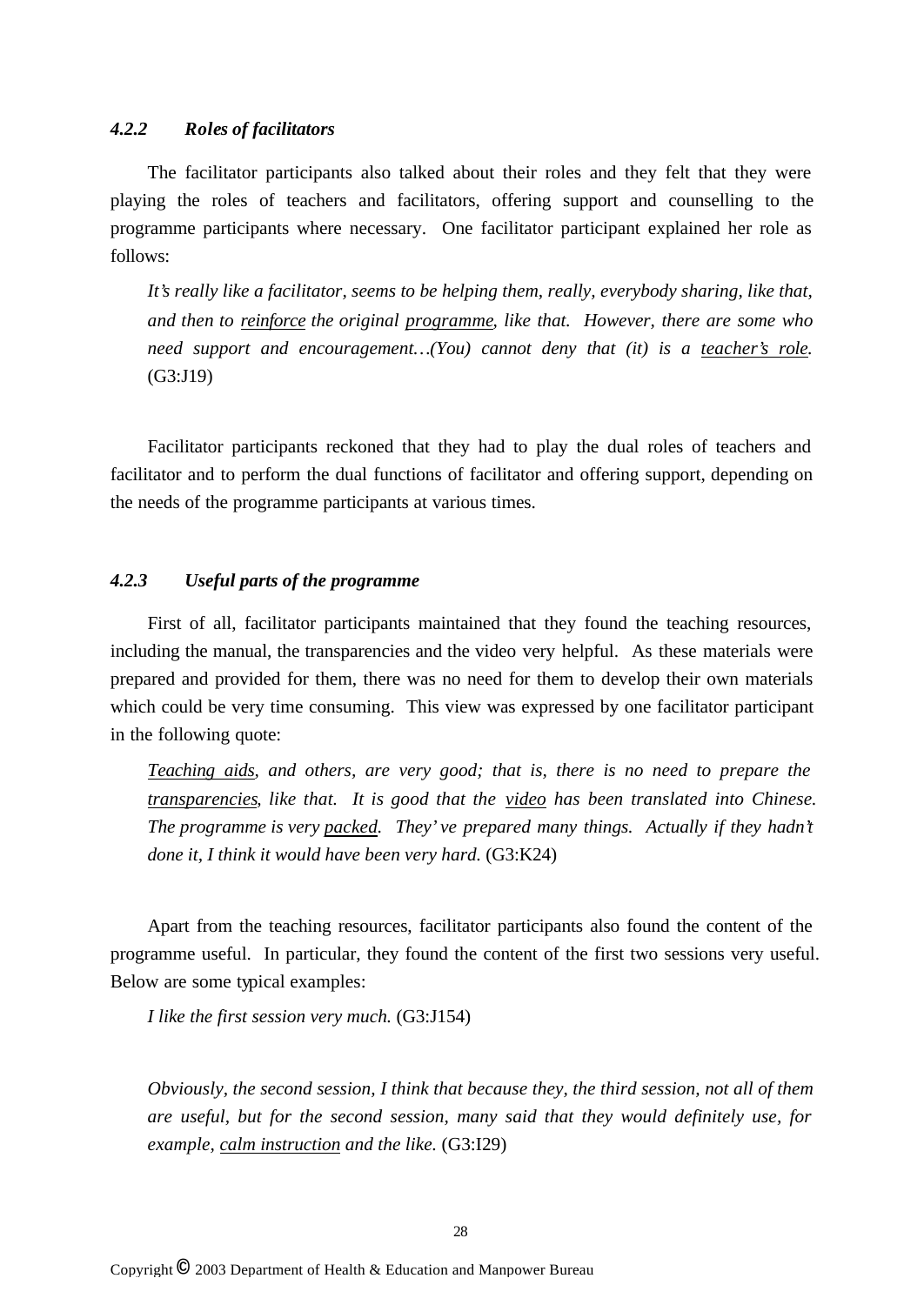## *4.2.2 Roles of facilitators*

The facilitator participants also talked about their roles and they felt that they were playing the roles of teachers and facilitators, offering support and counselling to the programme participants where necessary. One facilitator participant explained her role as follows:

*It's really like a facilitator, seems to be helping them, really, everybody sharing, like that, and then to reinforce the original programme, like that. However, there are some who need support and encouragement… (You) cannot deny that (it) is a teacher's role.*  (G3:J19)

Facilitator participants reckoned that they had to play the dual roles of teachers and facilitator and to perform the dual functions of facilitator and offering support, depending on the needs of the programme participants at various times.

### *4.2.3 Useful parts of the programme*

First of all, facilitator participants maintained that they found the teaching resources, including the manual, the transparencies and the video very helpful. As these materials were prepared and provided for them, there was no need for them to develop their own materials which could be very time consuming. This view was expressed by one facilitator participant in the following quote:

*Teaching aids, and others, are very good; that is, there is no need to prepare the transparencies, like that. It is good that the video has been translated into Chinese. The programme is very packed. They've prepared many things. Actually if they hadn't done it, I think it would have been very hard.* (G3:K24)

Apart from the teaching resources, facilitator participants also found the content of the programme useful. In particular, they found the content of the first two sessions very useful. Below are some typical examples:

*I like the first session very much.* (G3:J154)

*Obviously, the second session, I think that because they, the third session, not all of them are useful, but for the second session, many said that they would definitely use, for example, calm instruction and the like.* (G3:I29)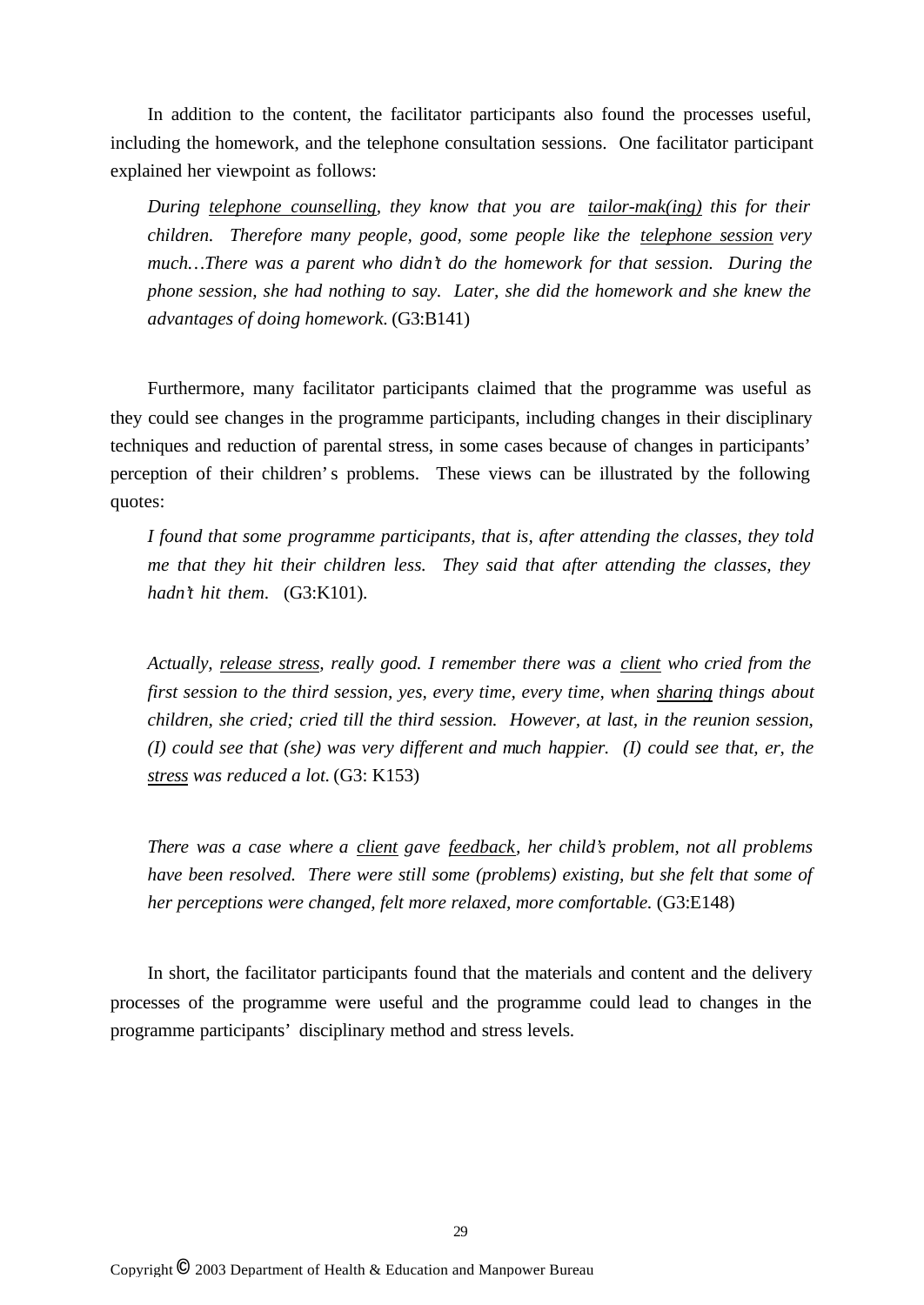In addition to the content, the facilitator participants also found the processes useful, including the homework, and the telephone consultation sessions. One facilitator participant explained her viewpoint as follows:

*During telephone counselling, they know that you are tailor-mak(ing) this for their children. Therefore many people, good, some people like the telephone session very much… There was a parent who didn't do the homework for that session. During the phone session, she had nothing to say. Later, she did the homework and she knew the advantages of doing homework.* (G3:B141)

Furthermore, many facilitator participants claimed that the programme was useful as they could see changes in the programme participants, including changes in their disciplinary techniques and reduction of parental stress, in some cases because of changes in participants' perception of their children's problems. These views can be illustrated by the following quotes:

*I found that some programme participants, that is, after attending the classes, they told me that they hit their children less. They said that after attending the classes, they hadn't hit them.* (G3:K101).

*Actually, release stress, really good. I remember there was a client who cried from the first session to the third session, yes, every time, every time, when sharing things about children, she cried; cried till the third session. However, at last, in the reunion session, (I) could see that (she) was very different and much happier. (I) could see that, er, the stress was reduced a lot.* (G3: K153)

*There was a case where a client gave feedback, her child's problem, not all problems have been resolved. There were still some (problems) existing, but she felt that some of her perceptions were changed, felt more relaxed, more comfortable.* (G3:E148)

In short, the facilitator participants found that the materials and content and the delivery processes of the programme were useful and the programme could lead to changes in the programme participants' disciplinary method and stress levels.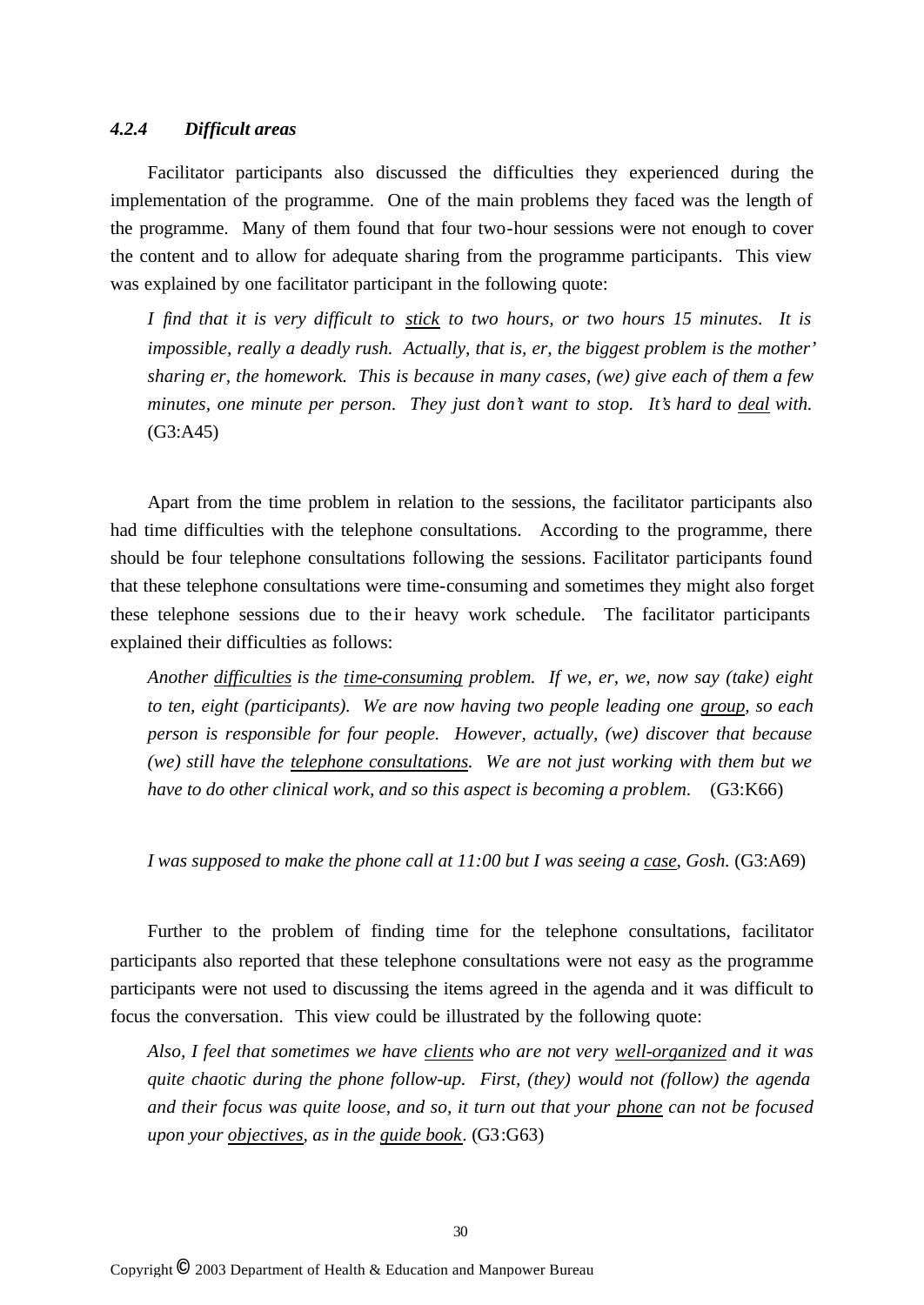## *4.2.4 Difficult areas*

Facilitator participants also discussed the difficulties they experienced during the implementation of the programme. One of the main problems they faced was the length of the programme. Many of them found that four two-hour sessions were not enough to cover the content and to allow for adequate sharing from the programme participants. This view was explained by one facilitator participant in the following quote:

*I find that it is very difficult to stick to two hours, or two hours 15 minutes. It is impossible, really a deadly rush. Actually, that is, er, the biggest problem is the mother' sharing er, the homework. This is because in many cases, (we) give each of them a few minutes, one minute per person. They just don't want to stop. It's hard to deal with.* (G3:A45)

Apart from the time problem in relation to the sessions, the facilitator participants also had time difficulties with the telephone consultations. According to the programme, there should be four telephone consultations following the sessions. Facilitator participants found that these telephone consultations were time-consuming and sometimes they might also forget these telephone sessions due to the ir heavy work schedule. The facilitator participants explained their difficulties as follows:

*Another difficulties is the time-consuming problem. If we, er, we, now say (take) eight to ten, eight (participants). We are now having two people leading one group, so each person is responsible for four people. However, actually, (we) discover that because (we) still have the telephone consultations. We are not just working with them but we have to do other clinical work, and so this aspect is becoming a problem.* (G3:K66)

*I was supposed to make the phone call at 11:00 but I was seeing a case, Gosh.* (G3:A69)

Further to the problem of finding time for the telephone consultations, facilitator participants also reported that these telephone consultations were not easy as the programme participants were not used to discussing the items agreed in the agenda and it was difficult to focus the conversation. This view could be illustrated by the following quote:

*Also, I feel that sometimes we have clients who are not very well-organized and it was quite chaotic during the phone follow-up. First, (they) would not (follow) the agenda and their focus was quite loose, and so, it turn out that your phone can not be focused upon your objectives, as in the guide book.* (G3:G63)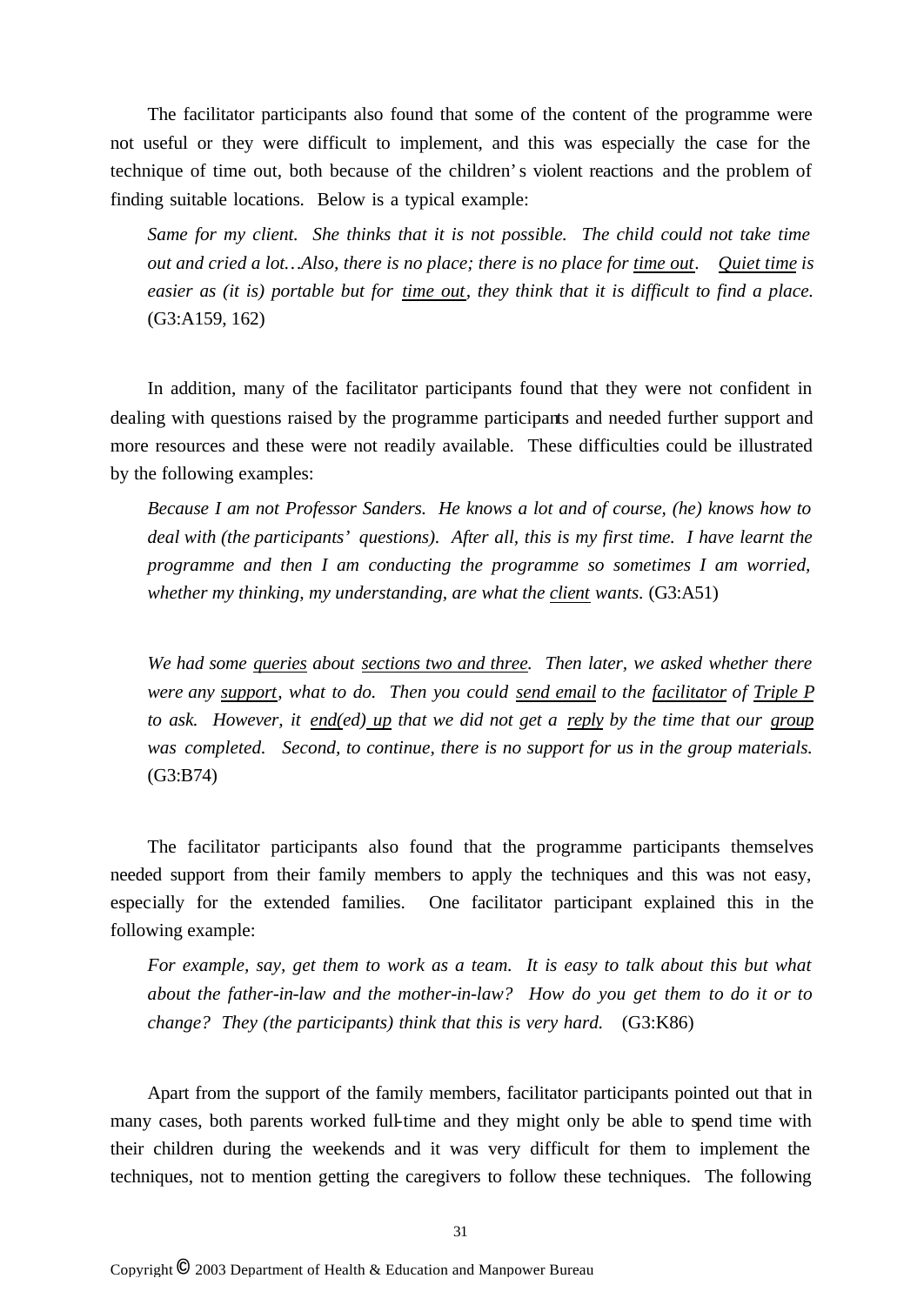The facilitator participants also found that some of the content of the programme were not useful or they were difficult to implement, and this was especially the case for the technique of time out, both because of the children's violent reactions and the problem of finding suitable locations. Below is a typical example:

*Same for my client. She thinks that it is not possible. The child could not take time out and cried a lot… Also, there is no place; there is no place for time out. Quiet time is easier as (it is) portable but for time out, they think that it is difficult to find a place.* (G3:A159, 162)

In addition, many of the facilitator participants found that they were not confident in dealing with questions raised by the programme participants and needed further support and more resources and these were not readily available. These difficulties could be illustrated by the following examples:

*Because I am not Professor Sanders. He knows a lot and of course, (he) knows how to deal with (the participants' questions). After all, this is my first time. I have learnt the programme and then I am conducting the programme so sometimes I am worried, whether my thinking, my understanding, are what the client wants.* (G3:A51)

*We had some queries about sections two and three. Then later, we asked whether there were any support, what to do. Then you could send email to the facilitator of Triple P to ask. However, it end(ed) up that we did not get a reply by the time that our group was completed. Second, to continue, there is no support for us in the group materials.* (G3:B74)

The facilitator participants also found that the programme participants themselves needed support from their family members to apply the techniques and this was not easy, especially for the extended families. One facilitator participant explained this in the following example:

*For example, say, get them to work as a team. It is easy to talk about this but what about the father-in-law and the mother-in-law? How do you get them to do it or to change? They (the participants) think that this is very hard.* (G3:K86)

Apart from the support of the family members, facilitator participants pointed out that in many cases, both parents worked full-time and they might only be able to spend time with their children during the weekends and it was very difficult for them to implement the techniques, not to mention getting the caregivers to follow these techniques. The following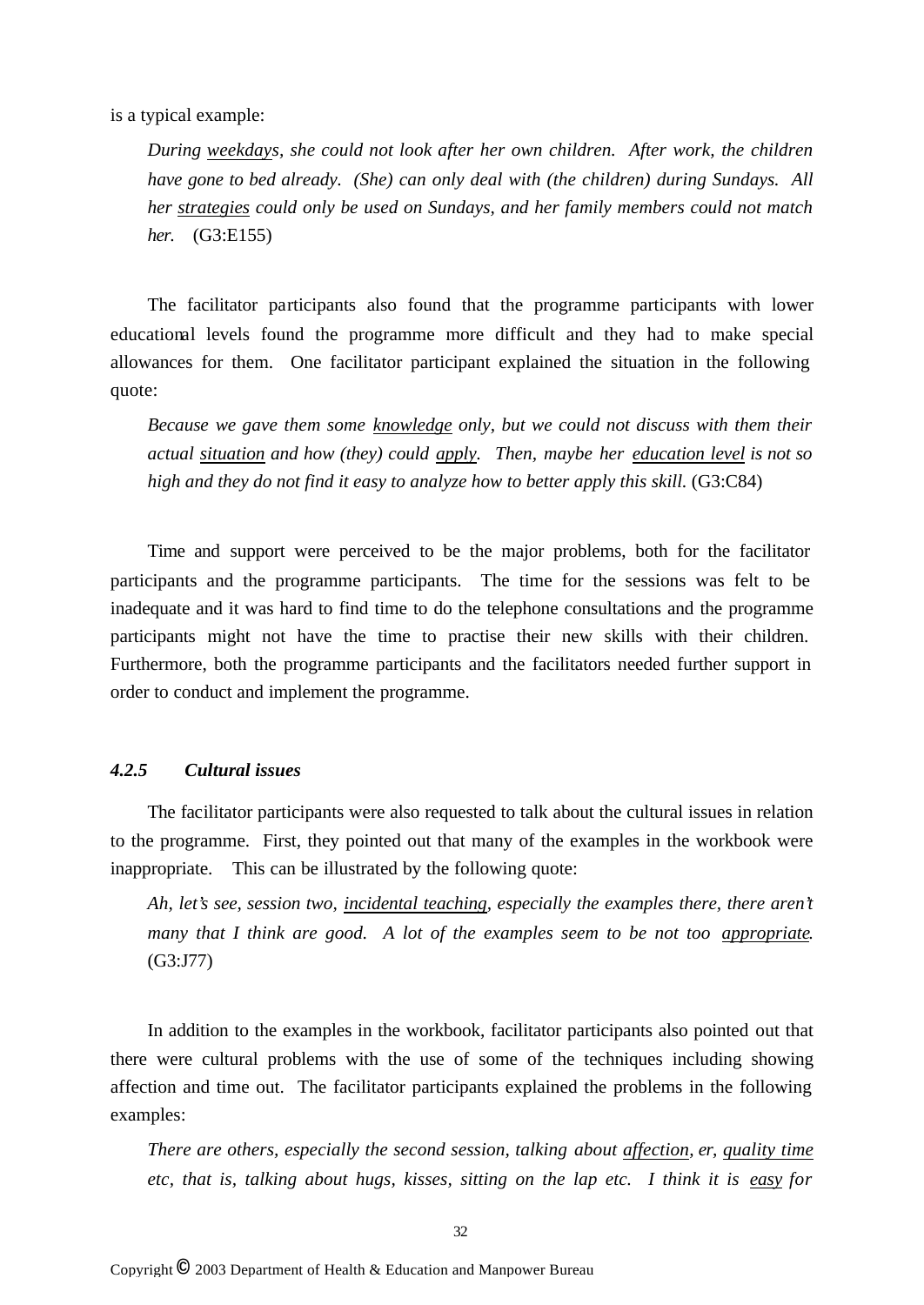is a typical example:

*During weekdays, she could not look after her own children. After work, the children have gone to bed already. (She) can only deal with (the children) during Sundays. All her strategies could only be used on Sundays, and her family members could not match her.* (G3:E155)

The facilitator participants also found that the programme participants with lower educational levels found the programme more difficult and they had to make special allowances for them. One facilitator participant explained the situation in the following quote:

*Because we gave them some knowledge only, but we could not discuss with them their actual situation and how (they) could apply. Then, maybe her education level is not so high and they do not find it easy to analyze how to better apply this skill.* (G3:C84)

Time and support were perceived to be the major problems, both for the facilitator participants and the programme participants. The time for the sessions was felt to be inadequate and it was hard to find time to do the telephone consultations and the programme participants might not have the time to practise their new skills with their children. Furthermore, both the programme participants and the facilitators needed further support in order to conduct and implement the programme.

### *4.2.5 Cultural issues*

The facilitator participants were also requested to talk about the cultural issues in relation to the programme. First, they pointed out that many of the examples in the workbook were inappropriate. This can be illustrated by the following quote:

*Ah, let's see, session two, incidental teaching, especially the examples there, there aren't many that I think are good. A lot of the examples seem to be not too appropriate.* (G3:J77)

In addition to the examples in the workbook, facilitator participants also pointed out that there were cultural problems with the use of some of the techniques including showing affection and time out. The facilitator participants explained the problems in the following examples:

*There are others, especially the second session, talking about affection, er, quality time etc, that is, talking about hugs, kisses, sitting on the lap etc. I think it is easy for*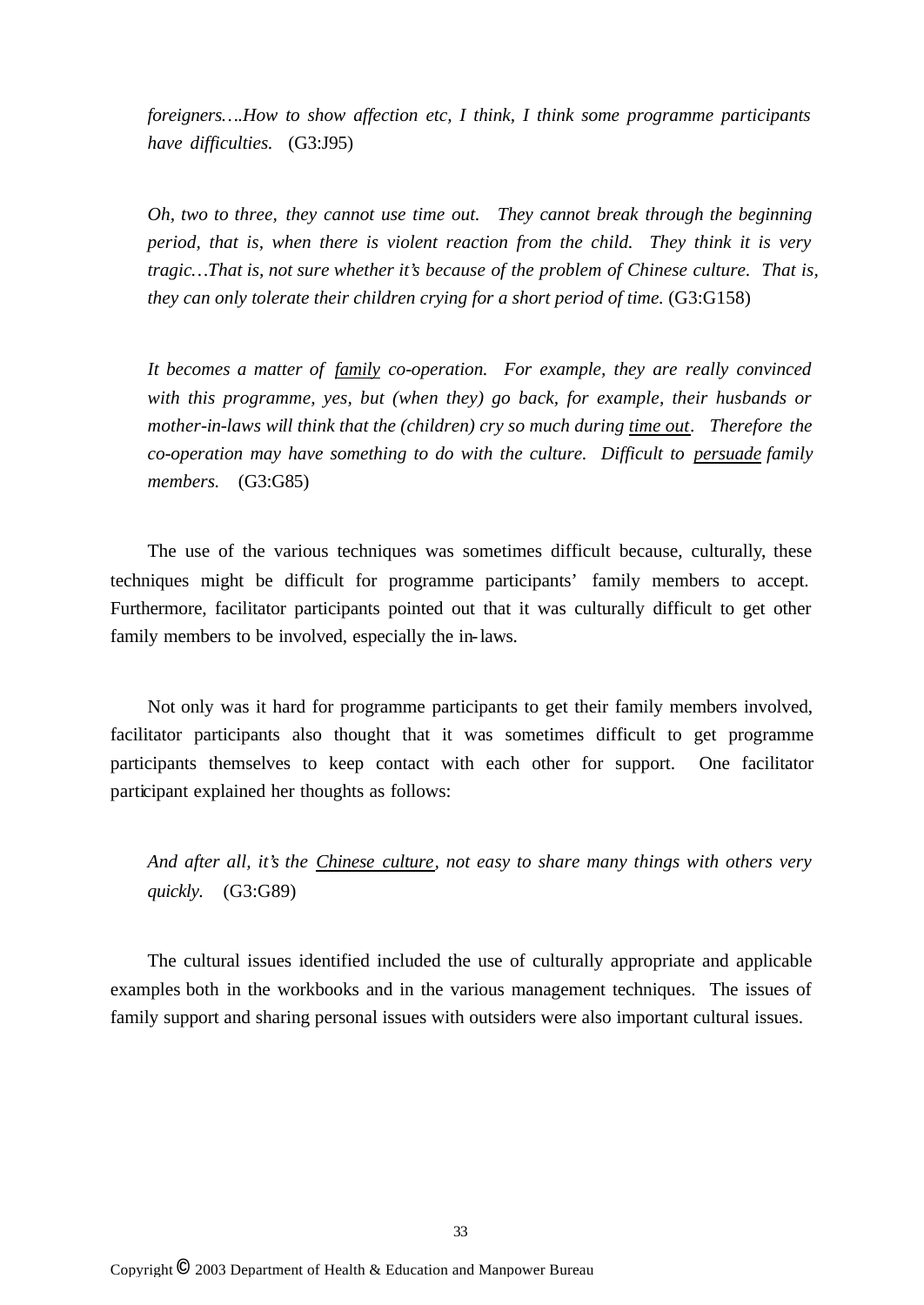*foreigners… .How to show affection etc, I think, I think some programme participants have difficulties.* (G3:J95)

*Oh, two to three, they cannot use time out. They cannot break through the beginning period, that is, when there is violent reaction from the child. They think it is very tragic… That is, not sure whether it's because of the problem of Chinese culture. That is, they can only tolerate their children crying for a short period of time.* (G3:G158)

*It becomes a matter of family co-operation. For example, they are really convinced with this programme, yes, but (when they) go back, for example, their husbands or mother-in-laws will think that the (children) cry so much during time out. Therefore the co-operation may have something to do with the culture. Difficult to persuade family members.* (G3:G85)

The use of the various techniques was sometimes difficult because, culturally, these techniques might be difficult for programme participants' family members to accept. Furthermore, facilitator participants pointed out that it was culturally difficult to get other family members to be involved, especially the in-laws.

Not only was it hard for programme participants to get their family members involved, facilitator participants also thought that it was sometimes difficult to get programme participants themselves to keep contact with each other for support. One facilitator participant explained her thoughts as follows:

*And after all, it's the Chinese culture, not easy to share many things with others very quickly.* (G3:G89)

The cultural issues identified included the use of culturally appropriate and applicable examples both in the workbooks and in the various management techniques. The issues of family support and sharing personal issues with outsiders were also important cultural issues.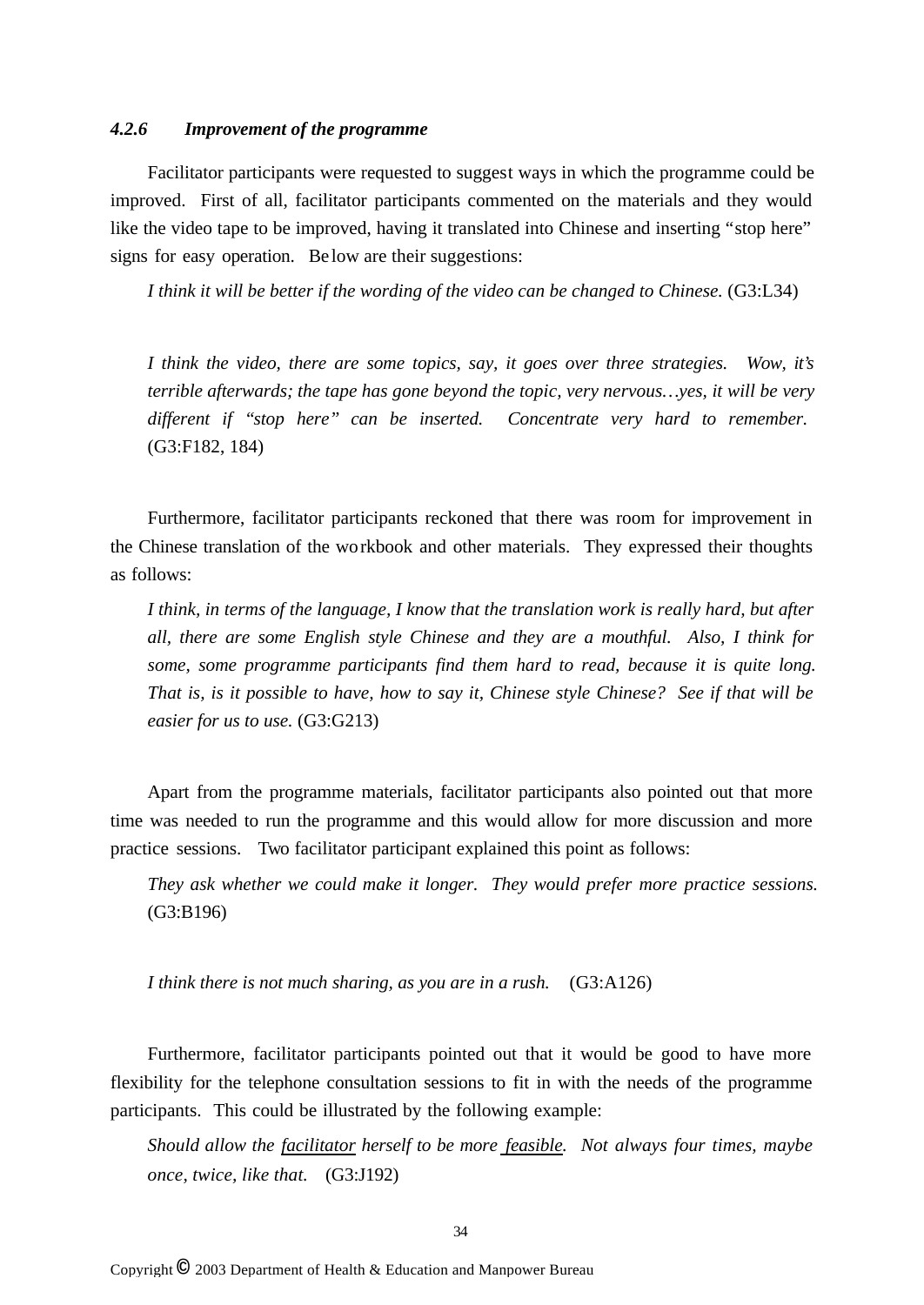## *4.2.6 Improvement of the programme*

Facilitator participants were requested to suggest ways in which the programme could be improved. First of all, facilitator participants commented on the materials and they would like the video tape to be improved, having it translated into Chinese and inserting "stop here" signs for easy operation. Be low are their suggestions:

*I think it will be better if the wording of the video can be changed to Chinese.* (G3:L34)

*I think the video, there are some topics, say, it goes over three strategies. Wow, it's terrible afterwards; the tape has gone beyond the topic, very nervous… yes, it will be very different if "stop here" can be inserted. Concentrate very hard to remember.*  (G3:F182, 184)

Furthermore, facilitator participants reckoned that there was room for improvement in the Chinese translation of the workbook and other materials. They expressed their thoughts as follows:

*I think, in terms of the language, I know that the translation work is really hard, but after all, there are some English style Chinese and they are a mouthful. Also, I think for some, some programme participants find them hard to read, because it is quite long. That is, is it possible to have, how to say it, Chinese style Chinese? See if that will be easier for us to use.* (G3:G213)

Apart from the programme materials, facilitator participants also pointed out that more time was needed to run the programme and this would allow for more discussion and more practice sessions. Two facilitator participant explained this point as follows:

*They ask whether we could make it longer. They would prefer more practice sessions.*  (G3:B196)

*I think there is not much sharing, as you are in a rush.* (G3:A126)

Furthermore, facilitator participants pointed out that it would be good to have more flexibility for the telephone consultation sessions to fit in with the needs of the programme participants. This could be illustrated by the following example:

*Should allow the facilitator herself to be more feasible. Not always four times, maybe once, twice, like that.* (G3:J192)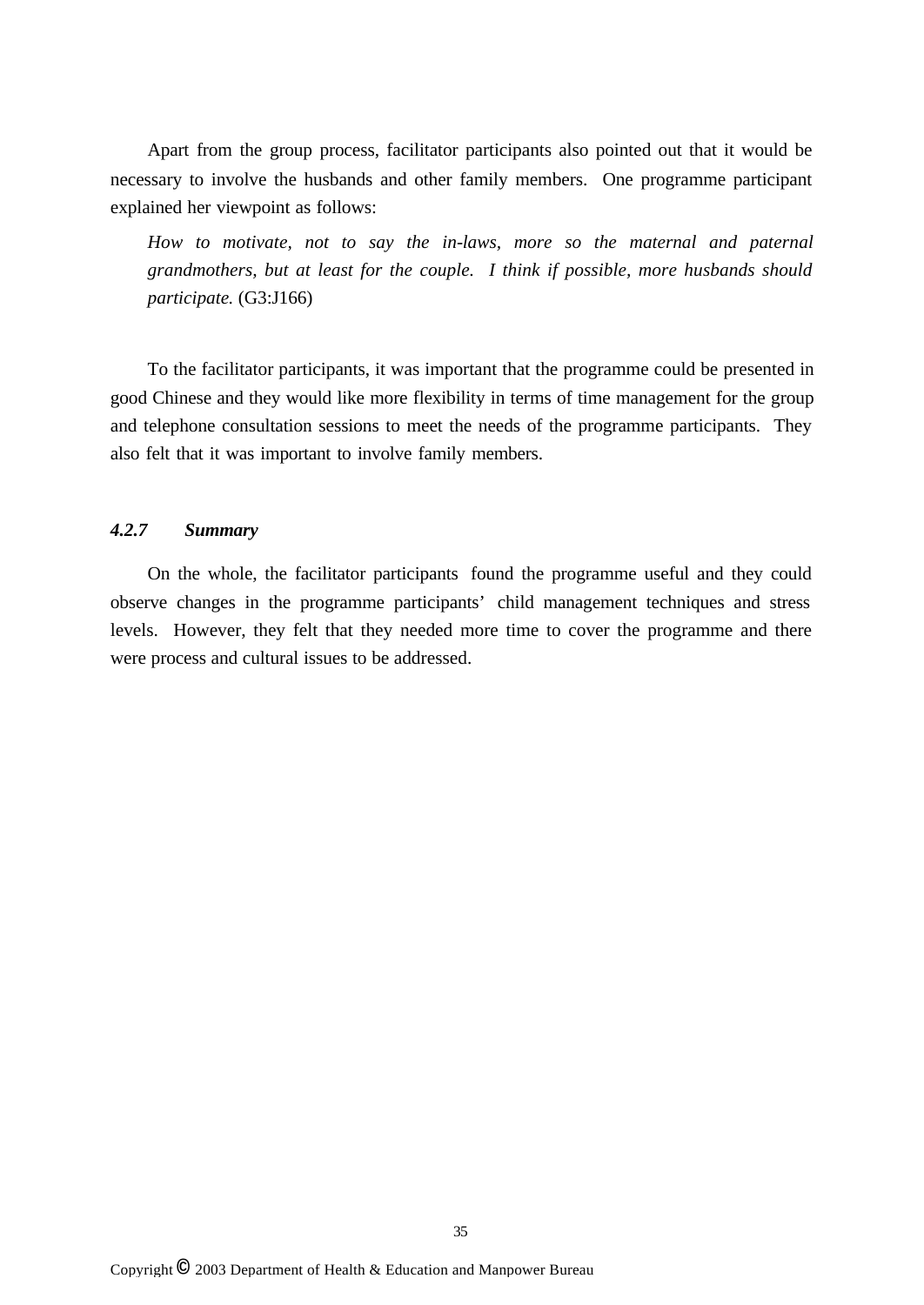Apart from the group process, facilitator participants also pointed out that it would be necessary to involve the husbands and other family members. One programme participant explained her viewpoint as follows:

*How to motivate, not to say the in-laws, more so the maternal and paternal grandmothers, but at least for the couple. I think if possible, more husbands should participate.* (G3:J166)

To the facilitator participants, it was important that the programme could be presented in good Chinese and they would like more flexibility in terms of time management for the group and telephone consultation sessions to meet the needs of the programme participants. They also felt that it was important to involve family members.

## *4.2.7 Summary*

On the whole, the facilitator participants found the programme useful and they could observe changes in the programme participants' child management techniques and stress levels. However, they felt that they needed more time to cover the programme and there were process and cultural issues to be addressed.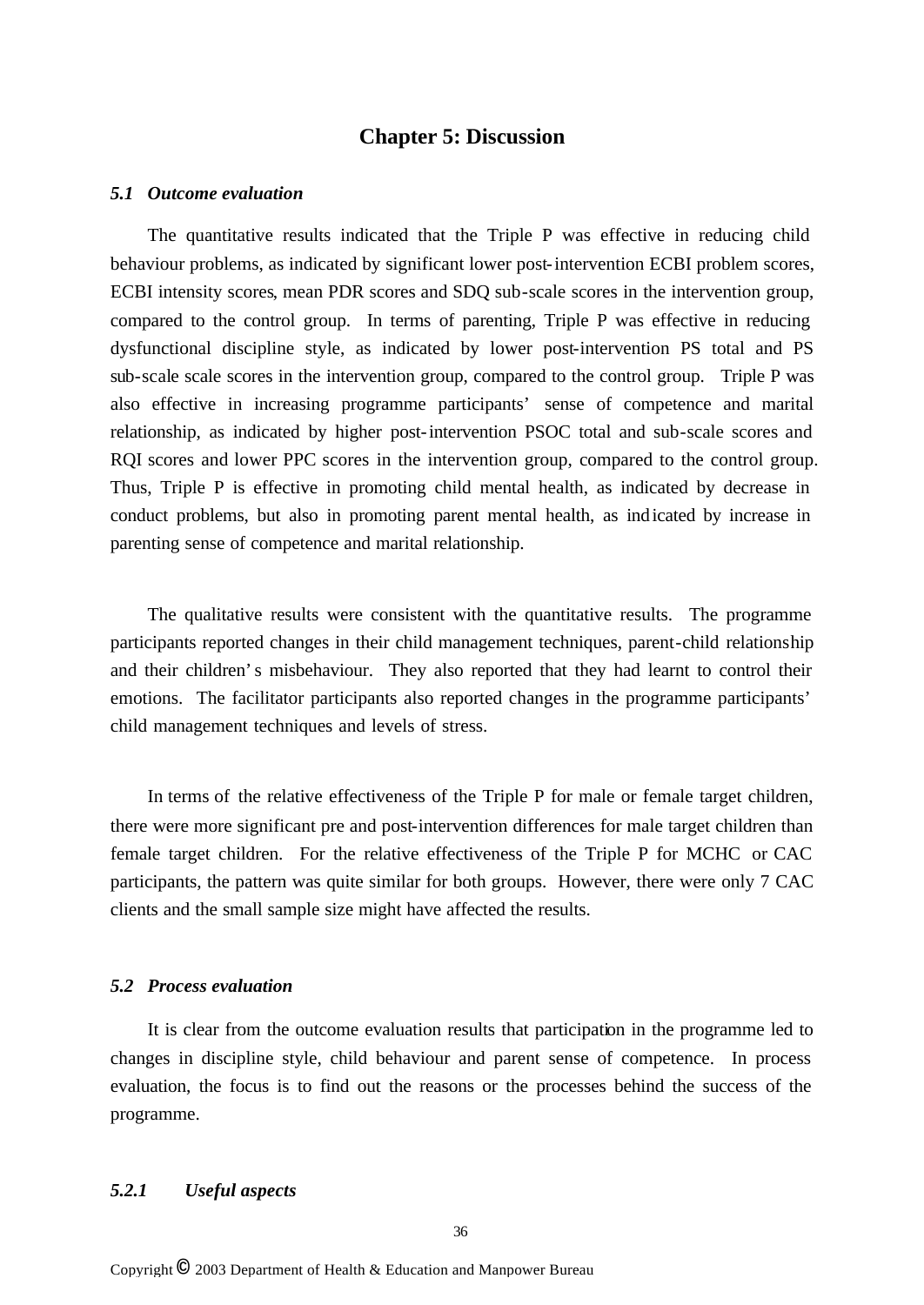## **Chapter 5: Discussion**

#### *5.1 Outcome evaluation*

The quantitative results indicated that the Triple P was effective in reducing child behaviour problems, as indicated by significant lower post-intervention ECBI problem scores, ECBI intensity scores, mean PDR scores and SDQ sub-scale scores in the intervention group, compared to the control group. In terms of parenting, Triple P was effective in reducing dysfunctional discipline style, as indicated by lower post-intervention PS total and PS sub-scale scale scores in the intervention group, compared to the control group. Triple P was also effective in increasing programme participants' sense of competence and marital relationship, as indicated by higher post-intervention PSOC total and sub-scale scores and RQI scores and lower PPC scores in the intervention group, compared to the control group. Thus, Triple P is effective in promoting child mental health, as indicated by decrease in conduct problems, but also in promoting parent mental health, as indicated by increase in parenting sense of competence and marital relationship.

The qualitative results were consistent with the quantitative results. The programme participants reported changes in their child management techniques, parent-child relationship and their children's misbehaviour. They also reported that they had learnt to control their emotions. The facilitator participants also reported changes in the programme participants' child management techniques and levels of stress.

In terms of the relative effectiveness of the Triple P for male or female target children, there were more significant pre and post-intervention differences for male target children than female target children. For the relative effectiveness of the Triple P for MCHC or CAC participants, the pattern was quite similar for both groups. However, there were only 7 CAC clients and the small sample size might have affected the results.

#### *5.2 Process evaluation*

It is clear from the outcome evaluation results that participation in the programme led to changes in discipline style, child behaviour and parent sense of competence. In process evaluation, the focus is to find out the reasons or the processes behind the success of the programme.

#### *5.2.1 Useful aspects*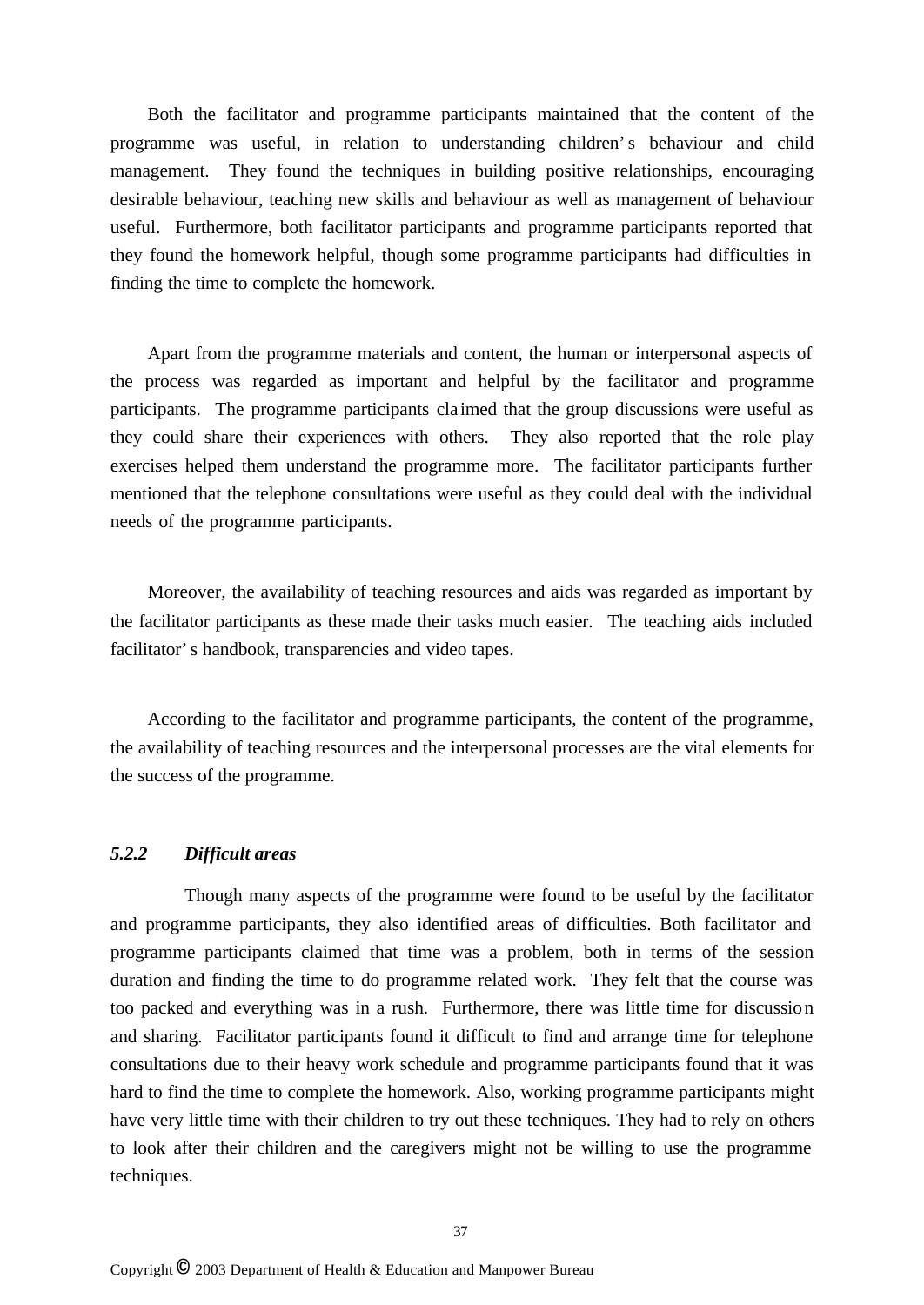Both the facilitator and programme participants maintained that the content of the programme was useful, in relation to understanding children's behaviour and child management. They found the techniques in building positive relationships, encouraging desirable behaviour, teaching new skills and behaviour as well as management of behaviour useful. Furthermore, both facilitator participants and programme participants reported that they found the homework helpful, though some programme participants had difficulties in finding the time to complete the homework.

Apart from the programme materials and content, the human or interpersonal aspects of the process was regarded as important and helpful by the facilitator and programme participants. The programme participants cla imed that the group discussions were useful as they could share their experiences with others. They also reported that the role play exercises helped them understand the programme more. The facilitator participants further mentioned that the telephone consultations were useful as they could deal with the individual needs of the programme participants.

Moreover, the availability of teaching resources and aids was regarded as important by the facilitator participants as these made their tasks much easier. The teaching aids included facilitator's handbook, transparencies and video tapes.

According to the facilitator and programme participants, the content of the programme, the availability of teaching resources and the interpersonal processes are the vital elements for the success of the programme.

### *5.2.2 Difficult areas*

Though many aspects of the programme were found to be useful by the facilitator and programme participants, they also identified areas of difficulties. Both facilitator and programme participants claimed that time was a problem, both in terms of the session duration and finding the time to do programme related work. They felt that the course was too packed and everything was in a rush. Furthermore, there was little time for discussion and sharing. Facilitator participants found it difficult to find and arrange time for telephone consultations due to their heavy work schedule and programme participants found that it was hard to find the time to complete the homework. Also, working programme participants might have very little time with their children to try out these techniques. They had to rely on others to look after their children and the caregivers might not be willing to use the programme techniques.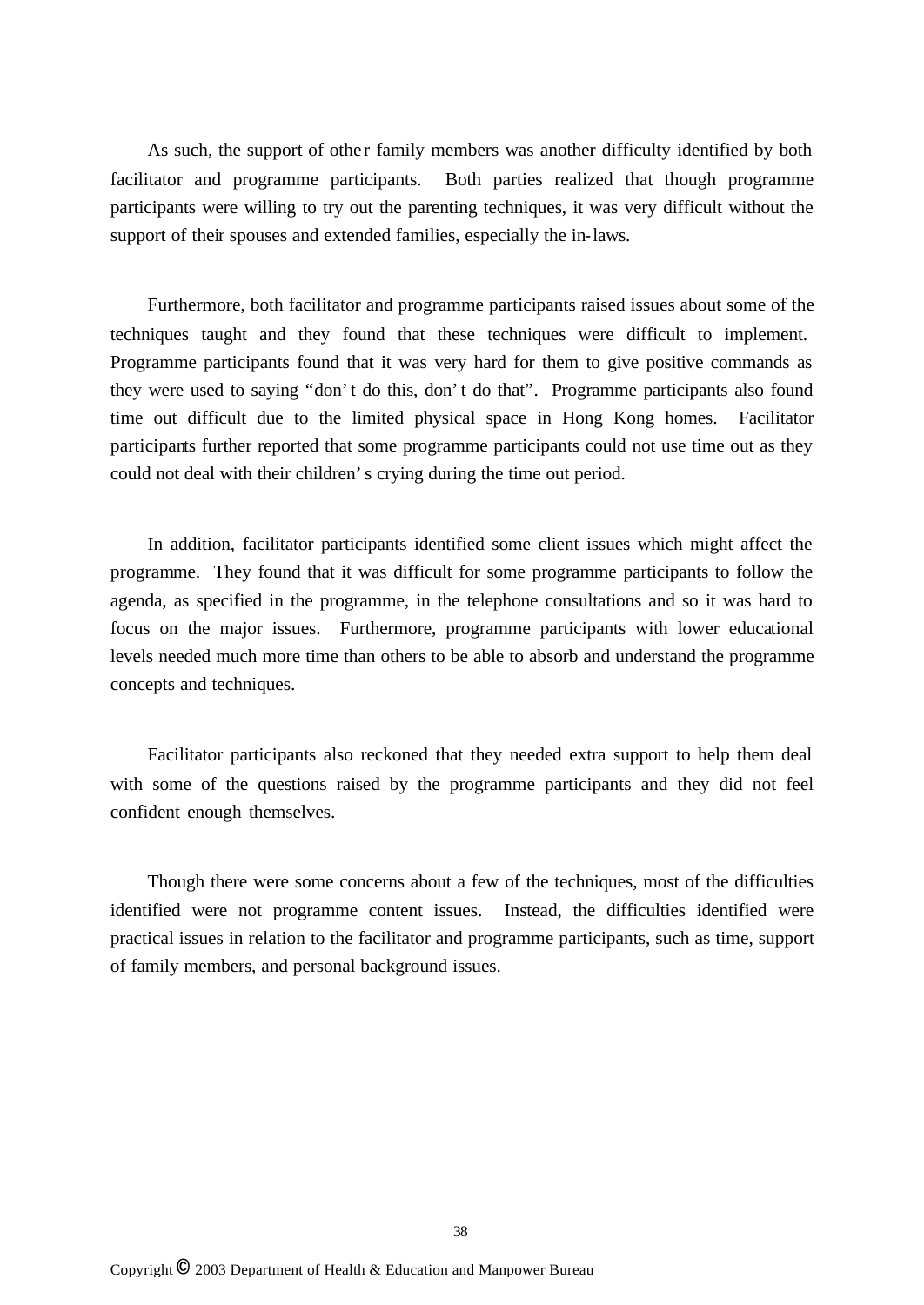As such, the support of other family members was another difficulty identified by both facilitator and programme participants. Both parties realized that though programme participants were willing to try out the parenting techniques, it was very difficult without the support of their spouses and extended families, especially the in-laws.

Furthermore, both facilitator and programme participants raised issues about some of the techniques taught and they found that these techniques were difficult to implement. Programme participants found that it was very hard for them to give positive commands as they were used to saying "don't do this, don't do that". Programme participants also found time out difficult due to the limited physical space in Hong Kong homes. Facilitator participants further reported that some programme participants could not use time out as they could not deal with their children's crying during the time out period.

In addition, facilitator participants identified some client issues which might affect the programme. They found that it was difficult for some programme participants to follow the agenda, as specified in the programme, in the telephone consultations and so it was hard to focus on the major issues. Furthermore, programme participants with lower educational levels needed much more time than others to be able to absorb and understand the programme concepts and techniques.

Facilitator participants also reckoned that they needed extra support to help them deal with some of the questions raised by the programme participants and they did not feel confident enough themselves.

Though there were some concerns about a few of the techniques, most of the difficulties identified were not programme content issues. Instead, the difficulties identified were practical issues in relation to the facilitator and programme participants, such as time, support of family members, and personal background issues.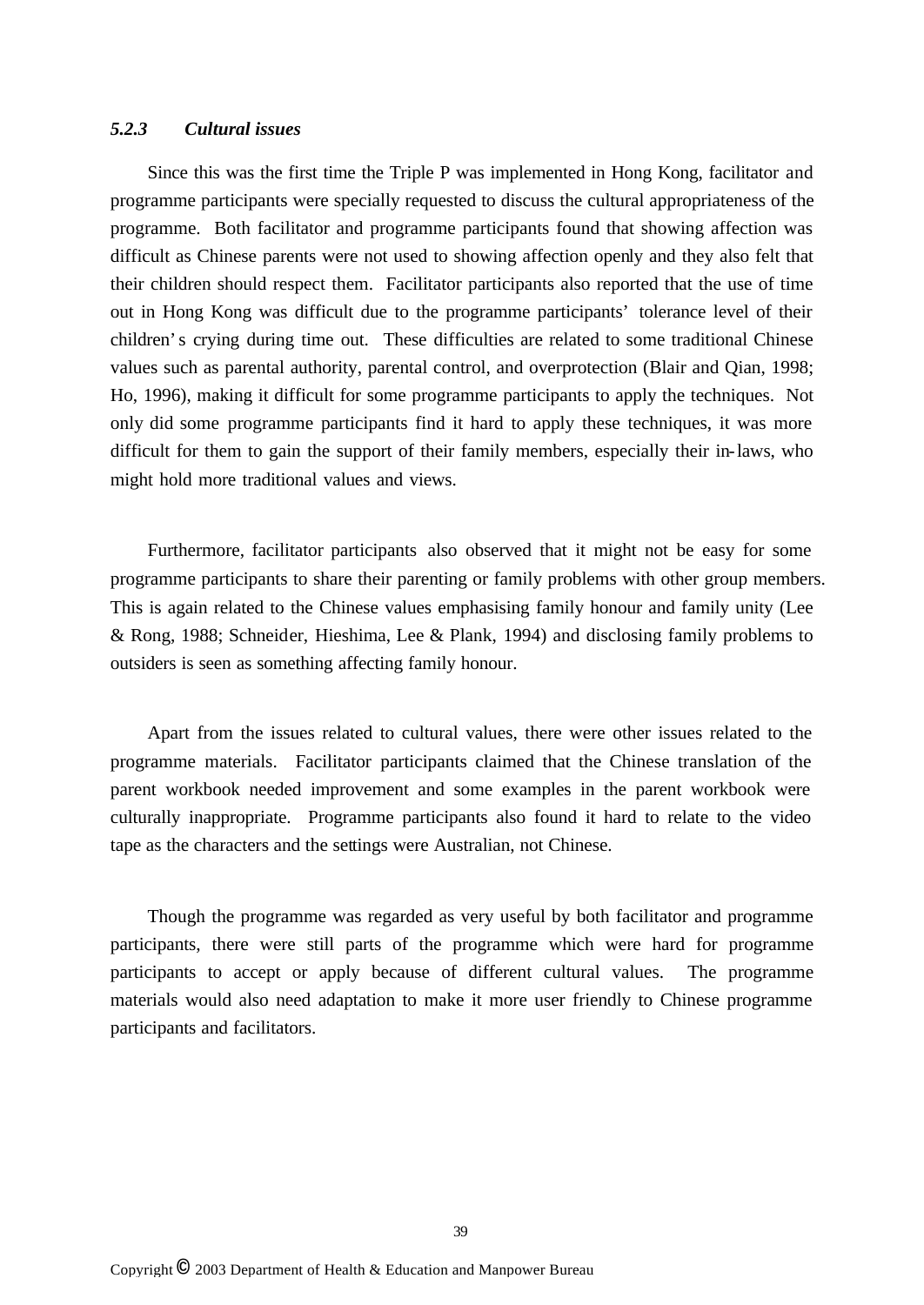## *5.2.3 Cultural issues*

Since this was the first time the Triple P was implemented in Hong Kong, facilitator and programme participants were specially requested to discuss the cultural appropriateness of the programme. Both facilitator and programme participants found that showing affection was difficult as Chinese parents were not used to showing affection openly and they also felt that their children should respect them. Facilitator participants also reported that the use of time out in Hong Kong was difficult due to the programme participants' tolerance level of their children's crying during time out. These difficulties are related to some traditional Chinese values such as parental authority, parental control, and overprotection (Blair and Qian, 1998; Ho, 1996), making it difficult for some programme participants to apply the techniques. Not only did some programme participants find it hard to apply these techniques, it was more difficult for them to gain the support of their family members, especially their in-laws, who might hold more traditional values and views.

Furthermore, facilitator participants also observed that it might not be easy for some programme participants to share their parenting or family problems with other group members. This is again related to the Chinese values emphasising family honour and family unity (Lee & Rong, 1988; Schneider, Hieshima, Lee & Plank, 1994) and disclosing family problems to outsiders is seen as something affecting family honour.

Apart from the issues related to cultural values, there were other issues related to the programme materials. Facilitator participants claimed that the Chinese translation of the parent workbook needed improvement and some examples in the parent workbook were culturally inappropriate. Programme participants also found it hard to relate to the video tape as the characters and the settings were Australian, not Chinese.

Though the programme was regarded as very useful by both facilitator and programme participants, there were still parts of the programme which were hard for programme participants to accept or apply because of different cultural values. The programme materials would also need adaptation to make it more user friendly to Chinese programme participants and facilitators.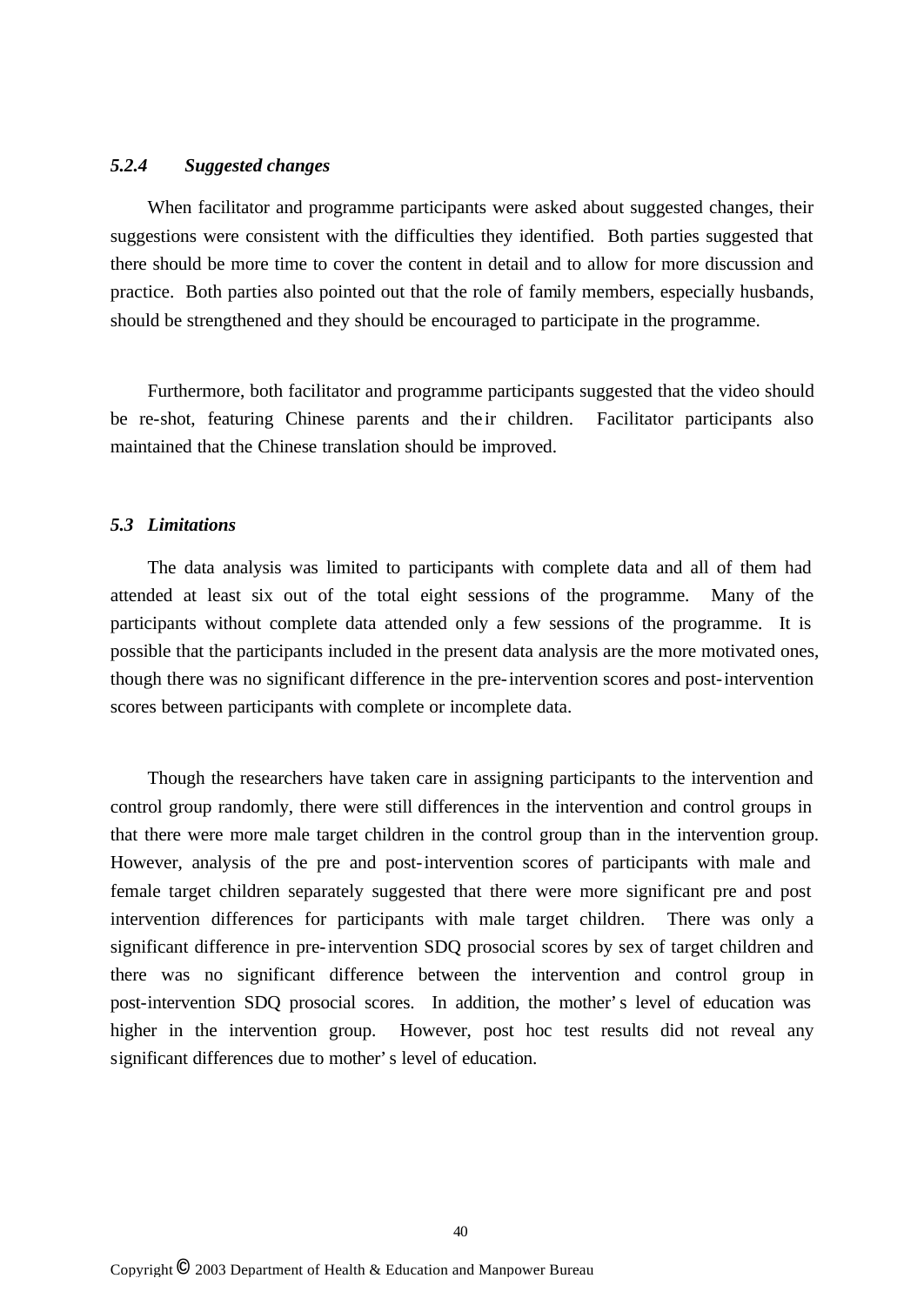## *5.2.4 Suggested changes*

When facilitator and programme participants were asked about suggested changes, their suggestions were consistent with the difficulties they identified. Both parties suggested that there should be more time to cover the content in detail and to allow for more discussion and practice. Both parties also pointed out that the role of family members, especially husbands, should be strengthened and they should be encouraged to participate in the programme.

Furthermore, both facilitator and programme participants suggested that the video should be re-shot, featuring Chinese parents and the ir children. Facilitator participants also maintained that the Chinese translation should be improved.

### *5.3 Limitations*

The data analysis was limited to participants with complete data and all of them had attended at least six out of the total eight sessions of the programme. Many of the participants without complete data attended only a few sessions of the programme. It is possible that the participants included in the present data analysis are the more motivated ones, though there was no significant difference in the pre-intervention scores and post-intervention scores between participants with complete or incomplete data.

Though the researchers have taken care in assigning participants to the intervention and control group randomly, there were still differences in the intervention and control groups in that there were more male target children in the control group than in the intervention group. However, analysis of the pre and post-intervention scores of participants with male and female target children separately suggested that there were more significant pre and post intervention differences for participants with male target children. There was only a significant difference in pre-intervention SDQ prosocial scores by sex of target children and there was no significant difference between the intervention and control group in post-intervention SDQ prosocial scores. In addition, the mother's level of education was higher in the intervention group. However, post hoc test results did not reveal any significant differences due to mother's level of education.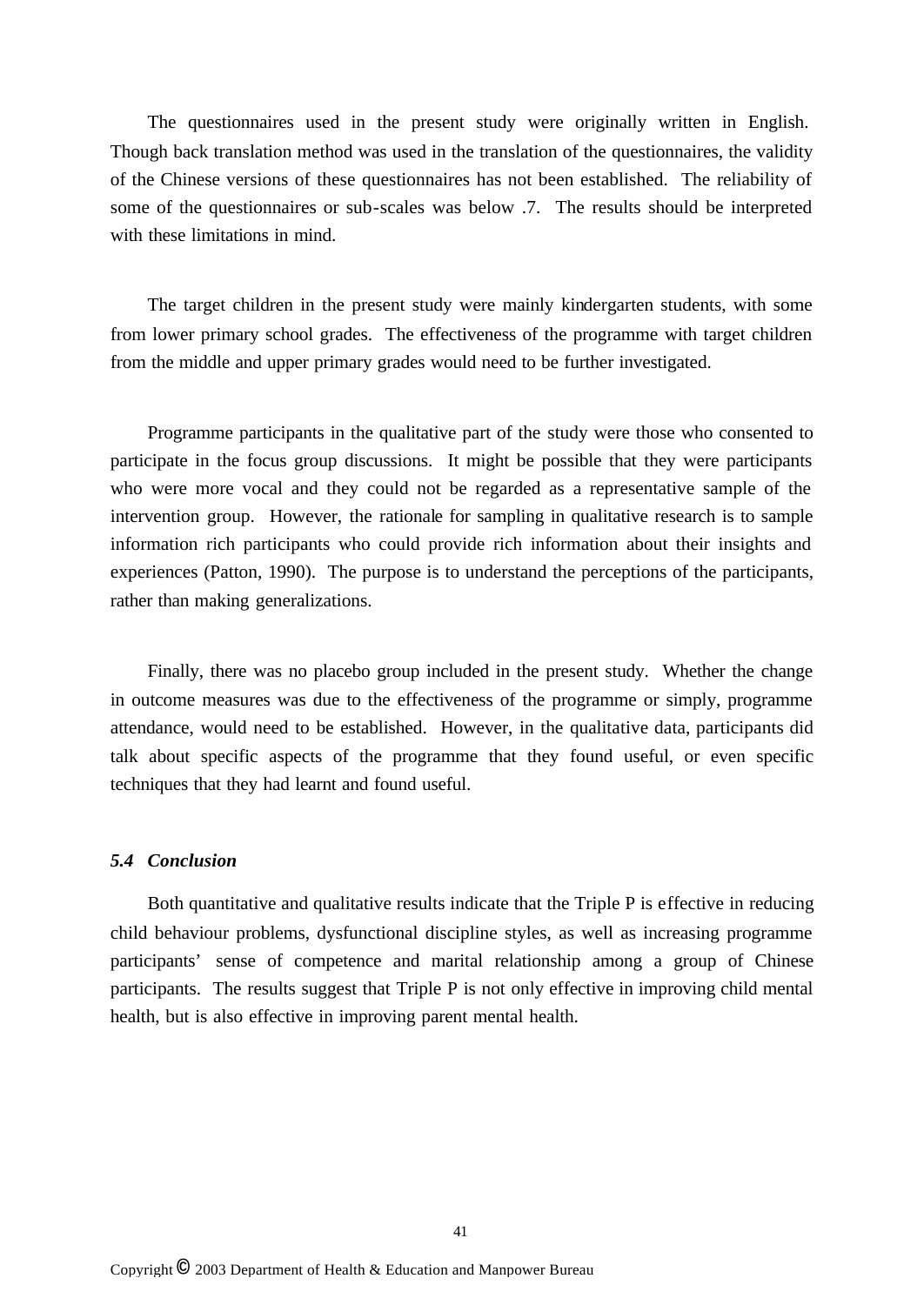The questionnaires used in the present study were originally written in English. Though back translation method was used in the translation of the questionnaires, the validity of the Chinese versions of these questionnaires has not been established. The reliability of some of the questionnaires or sub-scales was below .7. The results should be interpreted with these limitations in mind.

The target children in the present study were mainly kindergarten students, with some from lower primary school grades. The effectiveness of the programme with target children from the middle and upper primary grades would need to be further investigated.

Programme participants in the qualitative part of the study were those who consented to participate in the focus group discussions. It might be possible that they were participants who were more vocal and they could not be regarded as a representative sample of the intervention group. However, the rationale for sampling in qualitative research is to sample information rich participants who could provide rich information about their insights and experiences (Patton, 1990). The purpose is to understand the perceptions of the participants, rather than making generalizations.

Finally, there was no placebo group included in the present study. Whether the change in outcome measures was due to the effectiveness of the programme or simply, programme attendance, would need to be established. However, in the qualitative data, participants did talk about specific aspects of the programme that they found useful, or even specific techniques that they had learnt and found useful.

#### *5.4 Conclusion*

Both quantitative and qualitative results indicate that the Triple P is effective in reducing child behaviour problems, dysfunctional discipline styles, as well as increasing programme participants' sense of competence and marital relationship among a group of Chinese participants. The results suggest that Triple P is not only effective in improving child mental health, but is also effective in improving parent mental health.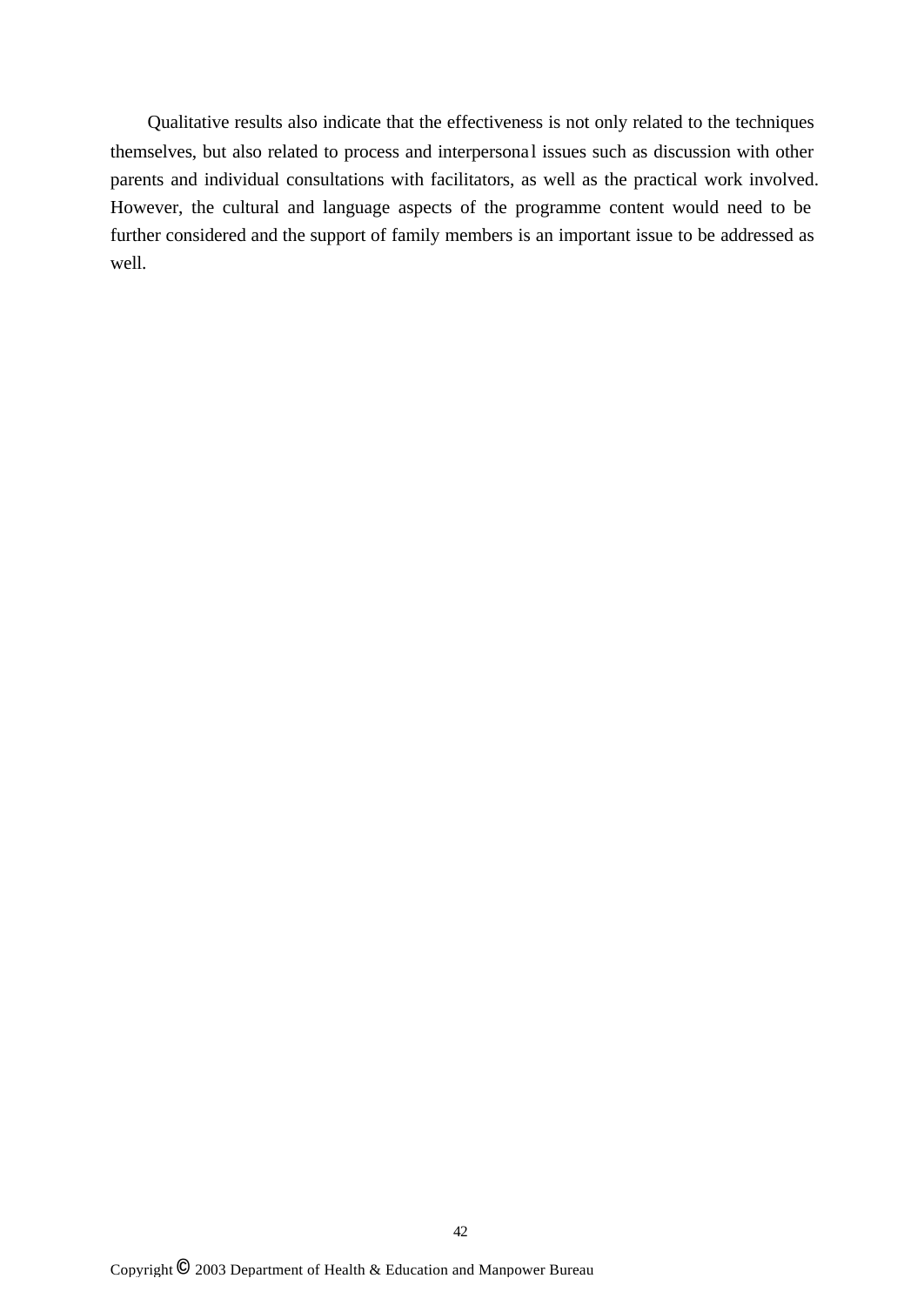Qualitative results also indicate that the effectiveness is not only related to the techniques themselves, but also related to process and interpersonal issues such as discussion with other parents and individual consultations with facilitators, as well as the practical work involved. However, the cultural and language aspects of the programme content would need to be further considered and the support of family members is an important issue to be addressed as well.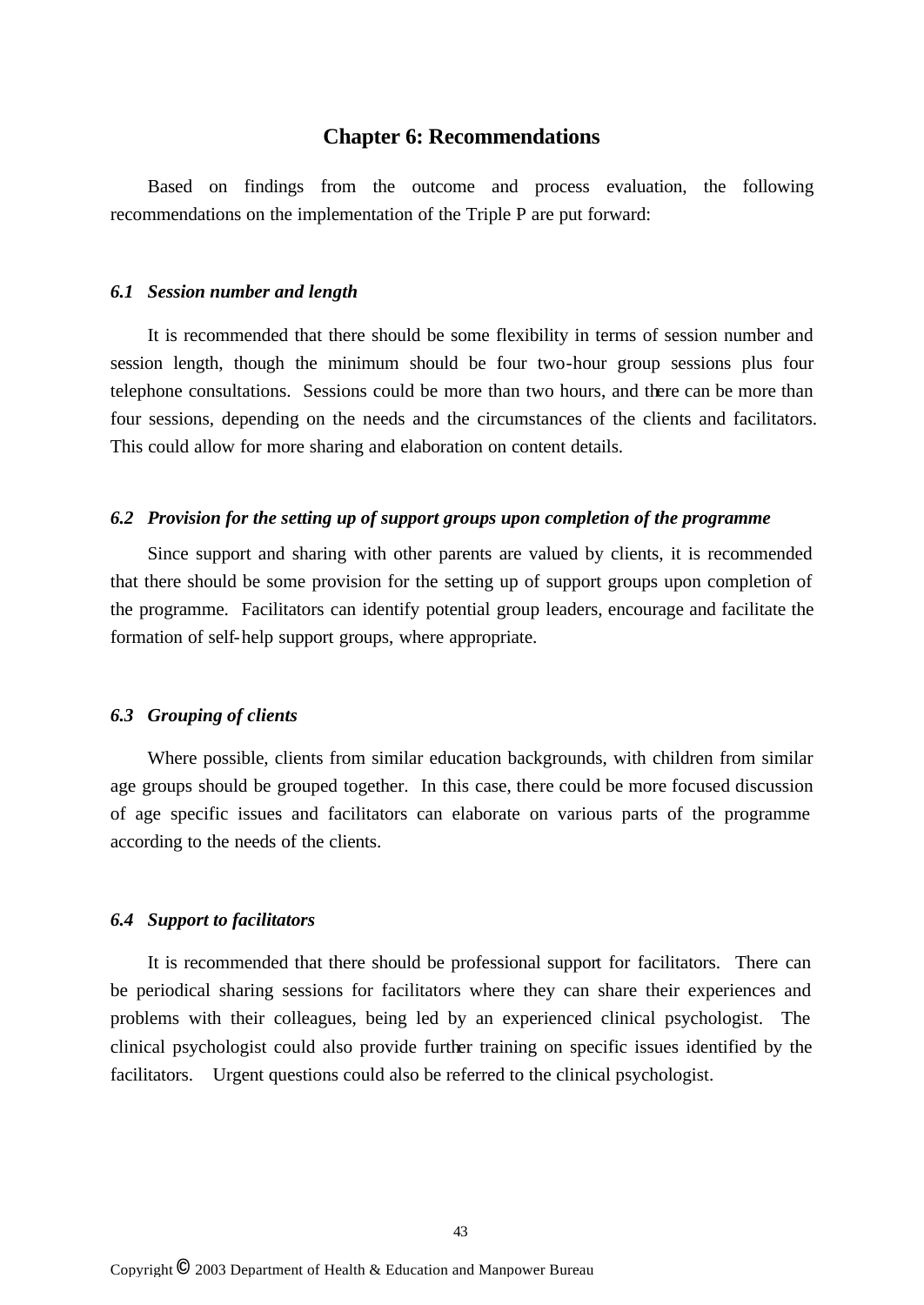## **Chapter 6: Recommendations**

Based on findings from the outcome and process evaluation, the following recommendations on the implementation of the Triple P are put forward:

#### *6.1 Session number and length*

It is recommended that there should be some flexibility in terms of session number and session length, though the minimum should be four two-hour group sessions plus four telephone consultations. Sessions could be more than two hours, and there can be more than four sessions, depending on the needs and the circumstances of the clients and facilitators. This could allow for more sharing and elaboration on content details.

#### *6.2 Provision for the setting up of support groups upon completion of the programme*

Since support and sharing with other parents are valued by clients, it is recommended that there should be some provision for the setting up of support groups upon completion of the programme. Facilitators can identify potential group leaders, encourage and facilitate the formation of self-help support groups, where appropriate.

#### *6.3 Grouping of clients*

Where possible, clients from similar education backgrounds, with children from similar age groups should be grouped together. In this case, there could be more focused discussion of age specific issues and facilitators can elaborate on various parts of the programme according to the needs of the clients.

#### *6.4 Support to facilitators*

It is recommended that there should be professional support for facilitators. There can be periodical sharing sessions for facilitators where they can share their experiences and problems with their colleagues, being led by an experienced clinical psychologist. The clinical psychologist could also provide further training on specific issues identified by the facilitators. Urgent questions could also be referred to the clinical psychologist.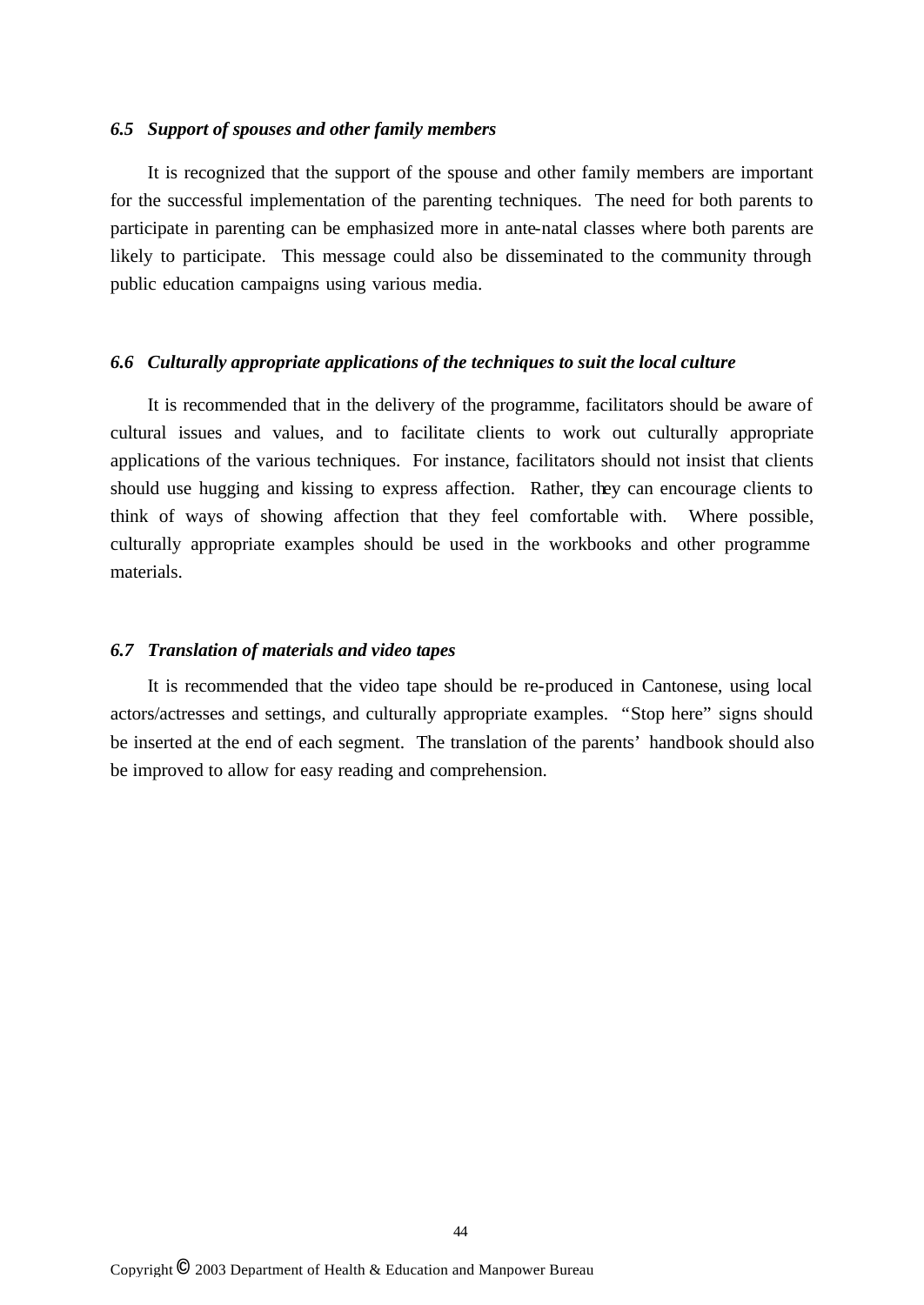### *6.5 Support of spouses and other family members*

It is recognized that the support of the spouse and other family members are important for the successful implementation of the parenting techniques. The need for both parents to participate in parenting can be emphasized more in ante-natal classes where both parents are likely to participate. This message could also be disseminated to the community through public education campaigns using various media.

#### *6.6 Culturally appropriate applications of the techniques to suit the local culture*

It is recommended that in the delivery of the programme, facilitators should be aware of cultural issues and values, and to facilitate clients to work out culturally appropriate applications of the various techniques. For instance, facilitators should not insist that clients should use hugging and kissing to express affection. Rather, they can encourage clients to think of ways of showing affection that they feel comfortable with. Where possible, culturally appropriate examples should be used in the workbooks and other programme materials.

#### *6.7 Translation of materials and video tapes*

It is recommended that the video tape should be re-produced in Cantonese, using local actors/actresses and settings, and culturally appropriate examples. "Stop here" signs should be inserted at the end of each segment. The translation of the parents' handbook should also be improved to allow for easy reading and comprehension.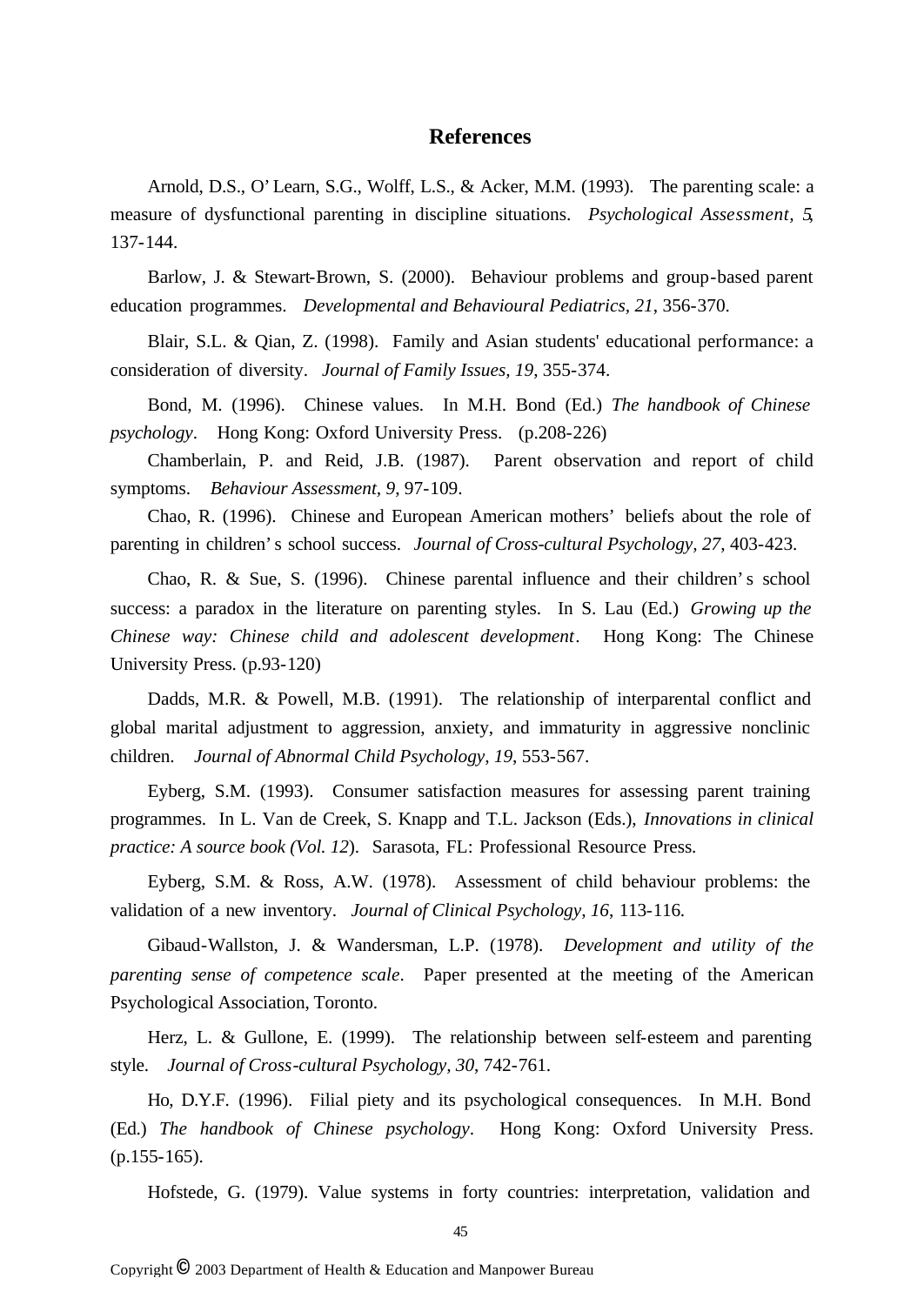## **References**

Arnold, D.S., O'Learn, S.G., Wolff, L.S., & Acker, M.M. (1993). The parenting scale: a measure of dysfunctional parenting in discipline situations. *Psychological Assessment, 5*, 137-144.

Barlow, J. & Stewart-Brown, S. (2000). Behaviour problems and group-based parent education programmes. *Developmental and Behavioural Pediatrics, 21*, 356-370.

Blair, S.L. & Qian, Z. (1998). Family and Asian students' educational performance: a consideration of diversity. *Journal of Family Issues, 19*, 355-374.

Bond, M. (1996). Chinese values. In M.H. Bond (Ed.) *The handbook of Chinese psychology*. Hong Kong: Oxford University Press. (p.208-226)

Chamberlain, P. and Reid, J.B. (1987). Parent observation and report of child symptoms. *Behaviour Assessment, 9*, 97-109.

Chao, R. (1996). Chinese and European American mothers' beliefs about the role of parenting in children's school success. *Journal of Cross-cultural Psychology, 27*, 403-423.

Chao, R. & Sue, S. (1996). Chinese parental influence and their children's school success: a paradox in the literature on parenting styles. In S. Lau (Ed.) *Growing up the Chinese way: Chinese child and adolescent development*. Hong Kong: The Chinese University Press. (p.93-120)

Dadds, M.R. & Powell, M.B. (1991). The relationship of interparental conflict and global marital adjustment to aggression, anxiety, and immaturity in aggressive nonclinic children. *Journal of Abnormal Child Psychology, 19*, 553-567.

Eyberg, S.M. (1993). Consumer satisfaction measures for assessing parent training programmes. In L. Van de Creek, S. Knapp and T.L. Jackson (Eds.), *Innovations in clinical practice: A source book (Vol. 12*). Sarasota, FL: Professional Resource Press.

Eyberg, S.M. & Ross, A.W. (1978). Assessment of child behaviour problems: the validation of a new inventory. *Journal of Clinical Psychology, 16*, 113-116.

Gibaud-Wallston, J. & Wandersman, L.P. (1978). *Development and utility of the parenting sense of competence scale*. Paper presented at the meeting of the American Psychological Association, Toronto.

Herz, L. & Gullone, E. (1999). The relationship between self-esteem and parenting style. *Journal of Cross-cultural Psychology, 30*, 742-761.

Ho, D.Y.F. (1996). Filial piety and its psychological consequences. In M.H. Bond (Ed.) *The handbook of Chinese psychology*. Hong Kong: Oxford University Press.  $(p.155-165)$ .

Hofstede, G. (1979). Value systems in forty countries: interpretation, validation and